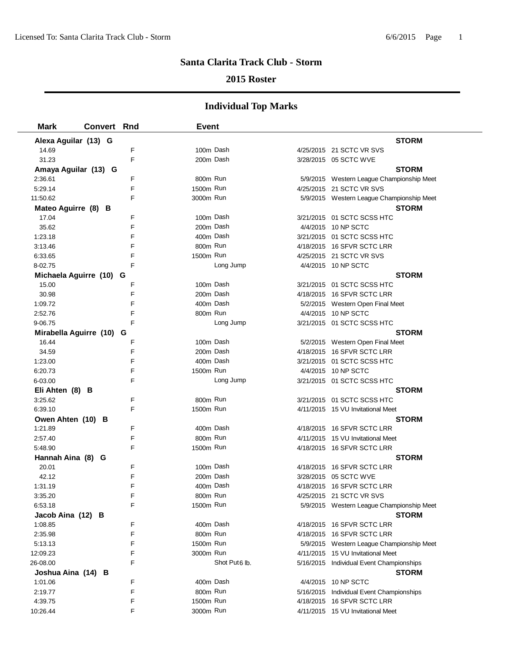### **2015 Roster**

| <b>Mark</b>                  | <b>Convert Rnd</b> |        | <b>Event</b>          |               |                                                                       |
|------------------------------|--------------------|--------|-----------------------|---------------|-----------------------------------------------------------------------|
| Alexa Aguilar (13) G         |                    |        |                       |               | <b>STORM</b>                                                          |
| 14.69                        |                    | F      | 100m Dash             |               | 4/25/2015 21 SCTC VR SVS                                              |
| 31.23                        |                    | F      | 200m Dash             |               | 3/28/2015 05 SCTC WVE                                                 |
| Amaya Aguilar (13) G         |                    |        |                       |               | <b>STORM</b>                                                          |
| 2:36.61                      |                    | F      | 800m Run              |               | 5/9/2015 Western League Championship Meet                             |
| 5:29.14                      |                    | F      | 1500m Run             |               | 4/25/2015 21 SCTC VR SVS                                              |
| 11:50.62                     |                    | F      | 3000m Run             |               | 5/9/2015 Western League Championship Meet                             |
| Mateo Aguirre (8) B          |                    |        |                       |               | <b>STORM</b>                                                          |
| 17.04                        |                    | F      | 100m Dash             |               | 3/21/2015 01 SCTC SCSS HTC                                            |
| 35.62                        |                    | F      | 200m Dash             |               | 4/4/2015 10 NP SCTC                                                   |
| 1:23.18                      |                    | F      | 400m Dash             |               | 3/21/2015 01 SCTC SCSS HTC                                            |
| 3:13.46                      |                    | F      | 800m Run              |               | 4/18/2015 16 SFVR SCTC LRR                                            |
| 6:33.65                      |                    | F      | 1500m Run             |               | 4/25/2015 21 SCTC VR SVS                                              |
| 8-02.75                      |                    | F      |                       | Long Jump     | 4/4/2015 10 NP SCTC                                                   |
| Michaela Aguirre (10) G      |                    |        |                       |               | <b>STORM</b>                                                          |
| 15.00                        |                    | F      | 100m Dash             |               | 3/21/2015 01 SCTC SCSS HTC                                            |
| 30.98                        |                    | F      | 200m Dash             |               | 4/18/2015 16 SFVR SCTC LRR                                            |
| 1:09.72                      |                    | F      | 400m Dash             |               | 5/2/2015 Western Open Final Meet                                      |
| 2:52.76                      |                    | F      | 800m Run              |               | 4/4/2015 10 NP SCTC                                                   |
| 9-06.75                      |                    | F      |                       | Long Jump     | 3/21/2015 01 SCTC SCSS HTC                                            |
| Mirabella Aguirre (10) G     |                    |        |                       |               | <b>STORM</b>                                                          |
| 16.44                        |                    | F      | 100m Dash             |               | 5/2/2015 Western Open Final Meet                                      |
| 34.59                        |                    | F      | 200m Dash             |               | 4/18/2015 16 SFVR SCTC LRR                                            |
| 1:23.00                      |                    | F      | 400m Dash             |               | 3/21/2015  01 SCTC SCSS HTC                                           |
| 6:20.73                      |                    | F      | 1500m Run             |               | 4/4/2015 10 NP SCTC                                                   |
| 6-03.00                      |                    | F      |                       | Long Jump     | 3/21/2015 01 SCTC SCSS HTC                                            |
| Eli Ahten (8) B              |                    |        |                       |               | <b>STORM</b>                                                          |
| 3:25.62                      |                    | F      | 800m Run              |               | 3/21/2015 01 SCTC SCSS HTC                                            |
| 6:39.10                      |                    | F      | 1500m Run             |               | 4/11/2015 15 VU Invitational Meet                                     |
| Owen Ahten (10) B            |                    |        |                       |               | <b>STORM</b>                                                          |
| 1:21.89                      |                    | F      | 400m Dash             |               | 4/18/2015 16 SFVR SCTC LRR                                            |
| 2:57.40                      |                    | F      | 800m Run              |               | 4/11/2015 15 VU Invitational Meet                                     |
| 5:48.90                      |                    | F      | 1500m Run             |               | 4/18/2015 16 SFVR SCTC LRR                                            |
| Hannah Aina (8) G            |                    |        |                       |               | <b>STORM</b>                                                          |
| 20.01                        |                    | F      | 100m Dash             |               | 4/18/2015 16 SFVR SCTC LRR                                            |
| 42.12                        |                    | F<br>F | 200m Dash             |               | 3/28/2015 05 SCTC WVE<br>4/18/2015 16 SFVR SCTC LRR                   |
| 1:31.19                      |                    |        | 400m Dash<br>800m Run |               |                                                                       |
| 3:35.20<br>6:53.18           |                    | F<br>F | 1500m Run             |               | 4/25/2015 21 SCTC VR SVS<br>5/9/2015 Western League Championship Meet |
|                              |                    |        |                       |               | <b>STORM</b>                                                          |
| Jacob Aina (12) B<br>1:08.85 |                    | F      | 400m Dash             |               | 4/18/2015 16 SFVR SCTC LRR                                            |
| 2:35.98                      |                    | F      | 800m Run              |               | 4/18/2015 16 SFVR SCTC LRR                                            |
| 5:13.13                      |                    | F      | 1500m Run             |               | 5/9/2015 Western League Championship Meet                             |
| 12:09.23                     |                    | F      | 3000m Run             |               | 4/11/2015 15 VU Invitational Meet                                     |
| 26-08.00                     |                    | F      |                       | Shot Put6 lb. | 5/16/2015 Individual Event Championships                              |
| Joshua Aina (14) B           |                    |        |                       |               | <b>STORM</b>                                                          |
| 1:01.06                      |                    | F      | 400m Dash             |               | 4/4/2015 10 NP SCTC                                                   |
| 2:19.77                      |                    | F      | 800m Run              |               | 5/16/2015 Individual Event Championships                              |
| 4:39.75                      |                    | F      | 1500m Run             |               | 4/18/2015 16 SFVR SCTC LRR                                            |
| 10:26.44                     |                    | F      | 3000m Run             |               | 4/11/2015 15 VU Invitational Meet                                     |
|                              |                    |        |                       |               |                                                                       |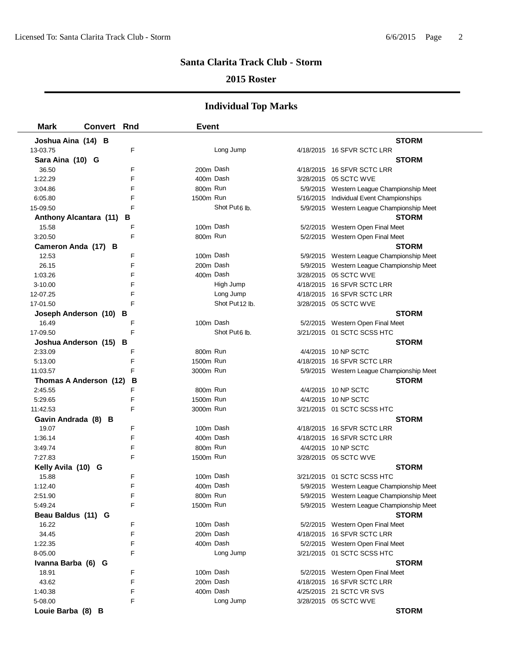### **2015 Roster**

| <b>Mark</b>            | <b>Convert Rnd</b> |   | <b>Event</b> |                           |                                           |  |
|------------------------|--------------------|---|--------------|---------------------------|-------------------------------------------|--|
| Joshua Aina (14) B     |                    |   |              |                           | <b>STORM</b>                              |  |
| 13-03.75               |                    | F |              | Long Jump                 | 4/18/2015 16 SFVR SCTC LRR                |  |
| Sara Aina (10) G       |                    |   |              |                           | <b>STORM</b>                              |  |
| 36.50                  |                    | F |              | 200m Dash                 | 4/18/2015 16 SFVR SCTC LRR                |  |
| 1:22.29                |                    | F |              | 400m Dash                 | 3/28/2015 05 SCTC WVE                     |  |
| 3:04.86                |                    | F | 800m Run     |                           | 5/9/2015 Western League Championship Meet |  |
| 6:05.80                |                    | F | 1500m Run    |                           | 5/16/2015 Individual Event Championships  |  |
| 15-09.50               |                    | F |              | Shot Put <sub>6</sub> lb. | 5/9/2015 Western League Championship Meet |  |
| Anthony Alcantara (11) |                    | В |              |                           | <b>STORM</b>                              |  |
| 15.58                  |                    | F | 100m Dash    |                           | 5/2/2015 Western Open Final Meet          |  |
| 3:20.50                |                    | F | 800m Run     |                           | 5/2/2015 Western Open Final Meet          |  |
| Cameron Anda (17) B    |                    |   |              |                           | <b>STORM</b>                              |  |
| 12.53                  |                    | F | 100m Dash    |                           | 5/9/2015 Western League Championship Meet |  |
| 26.15                  |                    | F | 200m Dash    |                           | 5/9/2015 Western League Championship Meet |  |
| 1:03.26                |                    | F | 400m Dash    |                           | 3/28/2015 05 SCTC WVE                     |  |
| 3-10.00                |                    | F |              | High Jump                 | 4/18/2015 16 SFVR SCTC LRR                |  |
| 12-07.25               |                    | F |              | Long Jump                 | 4/18/2015 16 SFVR SCTC LRR                |  |
| 17-01.50               |                    | F |              | Shot Put 12 lb.           | 3/28/2015 05 SCTC WVE                     |  |
| Joseph Anderson (10)   |                    | в |              |                           | <b>STORM</b>                              |  |
| 16.49                  |                    | F | 100m Dash    |                           | 5/2/2015 Western Open Final Meet          |  |
| 17-09.50               |                    | F |              | Shot Put <sub>6</sub> lb. | 3/21/2015 01 SCTC SCSS HTC                |  |
| Joshua Anderson (15) B |                    |   |              |                           | <b>STORM</b>                              |  |
| 2:33.09                |                    | F | 800m Run     |                           | 4/4/2015 10 NP SCTC                       |  |
| 5:13.00                |                    | F | 1500m Run    |                           | 4/18/2015 16 SFVR SCTC LRR                |  |
| 11:03.57               |                    | F | 3000m Run    |                           | 5/9/2015 Western League Championship Meet |  |
| Thomas A Anderson (12) |                    | В |              |                           | <b>STORM</b>                              |  |
| 2:45.55                |                    | F | 800m Run     |                           | 4/4/2015 10 NP SCTC                       |  |
| 5:29.65                |                    | F | 1500m Run    |                           | 4/4/2015 10 NP SCTC                       |  |
| 11:42.53               |                    | F | 3000m Run    |                           | 3/21/2015 01 SCTC SCSS HTC                |  |
| Gavin Andrada (8) B    |                    |   |              |                           | <b>STORM</b>                              |  |
| 19.07                  |                    | F | 100m Dash    |                           | 4/18/2015 16 SFVR SCTC LRR                |  |
| 1:36.14                |                    | F | 400m Dash    |                           | 4/18/2015 16 SFVR SCTC LRR                |  |
| 3:49.74                |                    | F | 800m Run     |                           | 4/4/2015 10 NP SCTC                       |  |
| 7:27.83                |                    | F | 1500m Run    |                           | 3/28/2015 05 SCTC WVE                     |  |
| Kelly Avila (10) G     |                    |   |              |                           | <b>STORM</b>                              |  |
| 15.88                  |                    | F | 100m Dash    |                           | 3/21/2015 01 SCTC SCSS HTC                |  |
| 1:12.40                |                    | F | 400m Dash    |                           | 5/9/2015 Western League Championship Meet |  |
| 2:51.90                |                    | F | 800m Run     |                           | 5/9/2015 Western League Championship Meet |  |
| 5:49.24                |                    | F | 1500m Run    |                           | 5/9/2015 Western League Championship Meet |  |
| Beau Baldus (11) G     |                    |   |              |                           | <b>STORM</b>                              |  |
| 16.22                  |                    | F | 100m Dash    |                           | 5/2/2015 Western Open Final Meet          |  |
| 34.45                  |                    | F | 200m Dash    |                           | 4/18/2015 16 SFVR SCTC LRR                |  |
| 1:22.35                |                    | F | 400m Dash    |                           | 5/2/2015 Western Open Final Meet          |  |
| 8-05.00                |                    | F |              | Long Jump                 | 3/21/2015 01 SCTC SCSS HTC                |  |
| Ivanna Barba (6) G     |                    |   |              |                           | <b>STORM</b>                              |  |
| 18.91                  |                    | F |              | 100m Dash                 | 5/2/2015 Western Open Final Meet          |  |
| 43.62                  |                    | F | 200m Dash    |                           | 4/18/2015 16 SFVR SCTC LRR                |  |
| 1:40.38                |                    | F |              | 400m Dash                 | 4/25/2015 21 SCTC VR SVS                  |  |
| 5-08.00                |                    | F |              | Long Jump                 | 3/28/2015 05 SCTC WVE                     |  |
| Louie Barba (8) B      |                    |   |              |                           | <b>STORM</b>                              |  |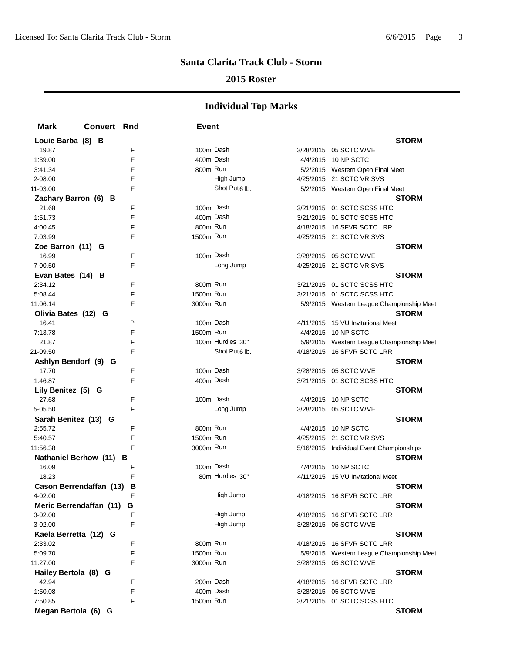### **2015 Roster**

| <b>Mark</b>                          | <b>Convert Rnd</b> |        | <b>Event</b> |                           |                                           |
|--------------------------------------|--------------------|--------|--------------|---------------------------|-------------------------------------------|
| Louie Barba (8) B                    |                    |        |              |                           | <b>STORM</b>                              |
| 19.87                                |                    | F      | 100m Dash    |                           | 3/28/2015 05 SCTC WVE                     |
| 1:39.00                              |                    | F      | 400m Dash    |                           | 4/4/2015 10 NP SCTC                       |
| 3:41.34                              |                    | F      | 800m Run     |                           | 5/2/2015 Western Open Final Meet          |
| 2-08.00                              |                    | F      |              | High Jump                 | 4/25/2015 21 SCTC VR SVS                  |
| 11-03.00                             |                    | F      |              | Shot Put <sub>6</sub> lb. | 5/2/2015 Western Open Final Meet          |
| Zachary Barron (6) B                 |                    |        |              |                           | <b>STORM</b>                              |
| 21.68                                |                    | F      | 100m Dash    |                           | 3/21/2015 01 SCTC SCSS HTC                |
| 1:51.73                              |                    | F      | 400m Dash    |                           | 3/21/2015 01 SCTC SCSS HTC                |
| 4:00.45                              |                    | F      | 800m Run     |                           | 4/18/2015 16 SFVR SCTC LRR                |
| 7:03.99                              |                    | F      | 1500m Run    |                           | 4/25/2015 21 SCTC VR SVS                  |
| Zoe Barron (11) G                    |                    |        |              |                           | <b>STORM</b>                              |
| 16.99                                |                    | F      | 100m Dash    |                           | 3/28/2015 05 SCTC WVE                     |
| 7-00.50                              |                    | F      |              | Long Jump                 | 4/25/2015 21 SCTC VR SVS                  |
| Evan Bates (14) B                    |                    |        |              |                           | <b>STORM</b>                              |
| 2:34.12                              |                    | F      | 800m Run     |                           | 3/21/2015 01 SCTC SCSS HTC                |
| 5:08.44                              |                    | F      | 1500m Run    |                           | 3/21/2015 01 SCTC SCSS HTC                |
| 11:06.14                             |                    | F      | 3000m Run    |                           | 5/9/2015 Western League Championship Meet |
| Olivia Bates (12) G                  |                    |        |              |                           | <b>STORM</b>                              |
| 16.41                                |                    | P      | 100m Dash    |                           | 4/11/2015 15 VU Invitational Meet         |
| 7:13.78                              |                    | F      | 1500m Run    |                           | 4/4/2015 10 NP SCTC                       |
| 21.87                                |                    | F      |              | 100m Hurdles 30"          | 5/9/2015 Western League Championship Meet |
| 21-09.50                             |                    | F      |              | Shot Put <sub>6</sub> lb. | 4/18/2015 16 SFVR SCTC LRR                |
| Ashlyn Bendorf (9) G                 |                    |        |              |                           | <b>STORM</b>                              |
| 17.70                                |                    | F      | 100m Dash    |                           | 3/28/2015 05 SCTC WVE                     |
| 1:46.87                              |                    | F      | 400m Dash    |                           | 3/21/2015 01 SCTC SCSS HTC                |
| Lily Benitez (5) G                   |                    |        |              |                           | <b>STORM</b>                              |
| 27.68                                |                    | F      | 100m Dash    |                           | 4/4/2015 10 NP SCTC                       |
| 5-05.50                              |                    | F      |              | Long Jump                 | 3/28/2015 05 SCTC WVE                     |
| Sarah Benitez (13) G                 |                    |        |              |                           | <b>STORM</b>                              |
| 2:55.72                              |                    | F      | 800m Run     |                           | 4/4/2015 10 NP SCTC                       |
| 5:40.57                              |                    | F<br>F | 1500m Run    |                           | 4/25/2015 21 SCTC VR SVS                  |
| 11:56.38                             |                    |        | 3000m Run    |                           | 5/16/2015 Individual Event Championships  |
| Nathaniel Berhow (11) B<br>16.09     |                    | F      | 100m Dash    |                           | <b>STORM</b><br>4/4/2015 10 NP SCTC       |
| 18.23                                |                    | F      |              | 80m Hurdles 30"           | 4/11/2015 15 VU Invitational Meet         |
|                                      |                    |        |              |                           | <b>STORM</b>                              |
| Cason Berrendaffan (13) B<br>4-02.00 |                    |        |              | High Jump                 | 4/18/2015 16 SFVR SCTC LRR                |
| Meric Berrendaffan (11)              |                    | G      |              |                           | <b>STORM</b>                              |
| 3-02.00                              |                    | F      |              | High Jump                 | 4/18/2015 16 SFVR SCTC LRR                |
| 3-02.00                              |                    | F      |              | High Jump                 | 3/28/2015 05 SCTC WVE                     |
| Kaela Berretta (12) G                |                    |        |              |                           | <b>STORM</b>                              |
| 2:33.02                              |                    | F      | 800m Run     |                           | 4/18/2015 16 SFVR SCTC LRR                |
| 5:09.70                              |                    | F      | 1500m Run    |                           | 5/9/2015 Western League Championship Meet |
| 11:27.00                             |                    | F      | 3000m Run    |                           | 3/28/2015 05 SCTC WVE                     |
| Hailey Bertola (8) G                 |                    |        |              |                           | <b>STORM</b>                              |
| 42.94                                |                    | F      | 200m Dash    |                           | 4/18/2015 16 SFVR SCTC LRR                |
| 1:50.08                              |                    | F      | 400m Dash    |                           | 3/28/2015 05 SCTC WVE                     |
| 7:50.85                              |                    | F      | 1500m Run    |                           | 3/21/2015 01 SCTC SCSS HTC                |
| Megan Bertola (6) G                  |                    |        |              |                           | <b>STORM</b>                              |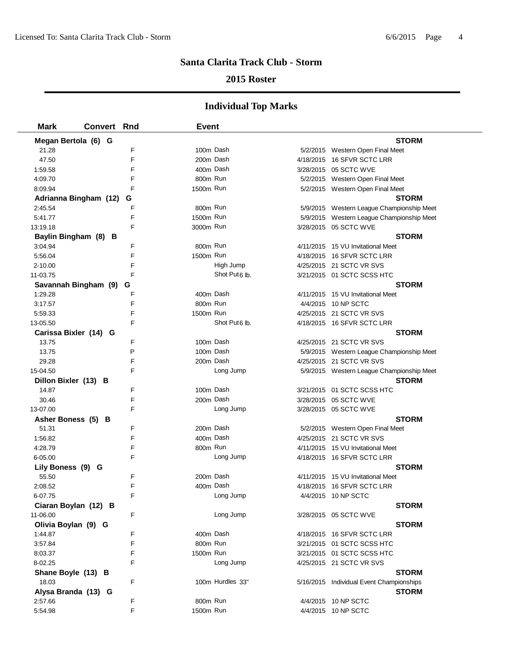### **2015 Roster**

| <b>Mark</b>            | <b>Convert Rnd</b> |   | <b>Event</b> |                           |                                            |  |
|------------------------|--------------------|---|--------------|---------------------------|--------------------------------------------|--|
| Megan Bertola (6) G    |                    |   |              |                           | <b>STORM</b>                               |  |
| 21.28                  |                    | F | 100m Dash    |                           | 5/2/2015 Western Open Final Meet           |  |
| 47.50                  |                    | E | 200m Dash    |                           | 4/18/2015 16 SFVR SCTC LRR                 |  |
| 1:59.58                |                    | F | 400m Dash    |                           | 3/28/2015 05 SCTC WVE                      |  |
| 4:09.70                |                    | F | 800m Run     |                           | 5/2/2015 Western Open Final Meet           |  |
| 8:09.94                |                    | F | 1500m Run    |                           | 5/2/2015 Western Open Final Meet           |  |
| Adrianna Bingham (12)  |                    | G |              |                           | <b>STORM</b>                               |  |
| 2:45.54                |                    | F | 800m Run     |                           | 5/9/2015 Western League Championship Meet  |  |
| 5:41.77                |                    | F | 1500m Run    |                           | 5/9/2015 Western League Championship Meet  |  |
| 13:19.18               |                    | F | 3000m Run    |                           | 3/28/2015 05 SCTC WVE                      |  |
| Baylin Bingham (8) B   |                    |   |              |                           | <b>STORM</b>                               |  |
| 3:04.94                |                    | F | 800m Run     |                           | 4/11/2015 15 VU Invitational Meet          |  |
| 5:56.04                |                    | F | 1500m Run    |                           | 4/18/2015 16 SFVR SCTC LRR                 |  |
| $2 - 10.00$            |                    | F |              | High Jump                 | 4/25/2015 21 SCTC VR SVS                   |  |
| 11-03.75               |                    | F |              | Shot Put <sub>6</sub> lb. | 3/21/2015 01 SCTC SCSS HTC                 |  |
| Savannah Bingham (9) G |                    |   |              |                           | <b>STORM</b>                               |  |
| 1:29.28                |                    | F | 400m Dash    |                           | 4/11/2015 15 VU Invitational Meet          |  |
| 3:17.57                |                    | F | 800m Run     |                           | 4/4/2015 10 NP SCTC                        |  |
| 5:59.33                |                    | F | 1500m Run    |                           | 4/25/2015 21 SCTC VR SVS                   |  |
| 13-05.50               |                    | F |              | Shot Put <sub>6</sub> lb. | 4/18/2015 16 SFVR SCTC LRR                 |  |
| Carissa Bixler (14) G  |                    |   |              |                           | <b>STORM</b>                               |  |
| 13.75                  |                    | F | 100m Dash    |                           | 4/25/2015 21 SCTC VR SVS                   |  |
| 13.75                  |                    | P | 100m Dash    |                           | 5/9/2015 Western League Championship Meet  |  |
| 29.28                  |                    | F | 200m Dash    |                           | 4/25/2015 21 SCTC VR SVS                   |  |
| 15-04.50               |                    | F |              | Long Jump                 | 5/9/2015 Western League Championship Meet  |  |
| Dillon Bixler (13) B   |                    |   |              |                           | <b>STORM</b>                               |  |
| 14.87                  |                    | F | 100m Dash    |                           | 3/21/2015 01 SCTC SCSS HTC                 |  |
| 30.46                  |                    | F | 200m Dash    |                           | 3/28/2015 05 SCTC WVE                      |  |
| 13-07.00               |                    | F |              | Long Jump                 | 3/28/2015 05 SCTC WVE                      |  |
| Asher Boness (5) B     |                    |   |              |                           | <b>STORM</b>                               |  |
| 51.31                  |                    | F | 200m Dash    |                           | 5/2/2015 Western Open Final Meet           |  |
| 1:56.82                |                    | F | 400m Dash    |                           | 4/25/2015 21 SCTC VR SVS                   |  |
| 4:28.79                |                    | F | 800m Run     |                           | 4/11/2015 15 VU Invitational Meet          |  |
| 6-05.00                |                    | F |              | Long Jump                 | 4/18/2015 16 SFVR SCTC LRR                 |  |
| Lily Boness (9) G      |                    |   |              |                           | STORM                                      |  |
| 55.50                  |                    | F | 200m Dash    |                           | 4/11/2015 15 VU Invitational Meet          |  |
| 2:08.52                |                    | F | 400m Dash    |                           | 4/18/2015 16 SFVR SCTC LRR                 |  |
| 6-07.75                |                    | F |              | Long Jump                 | 4/4/2015 10 NP SCTC                        |  |
| Ciaran Boylan (12) B   |                    |   |              |                           | <b>STORM</b>                               |  |
| 11-06.00               |                    | F |              | Long Jump                 | 3/28/2015 05 SCTC WVE                      |  |
| Olivia Boylan (9) G    |                    |   |              |                           | <b>STORM</b>                               |  |
| 1:44.87                |                    | F | 400m Dash    |                           | 4/18/2015 16 SFVR SCTC LRR                 |  |
| 3:57.84                |                    | F | 800m Run     |                           | 3/21/2015 01 SCTC SCSS HTC                 |  |
| 8:03.37                |                    | F | 1500m Run    |                           | 3/21/2015 01 SCTC SCSS HTC                 |  |
| 8-02.25                |                    | F |              | Long Jump                 | 4/25/2015 21 SCTC VR SVS                   |  |
| Shane Boyle (13) B     |                    |   |              | 100m Hurdles 33"          | <b>STORM</b>                               |  |
| 18.03                  |                    | F |              |                           | 5/16/2015 Individual Event Championships   |  |
| Alysa Branda (13) G    |                    | F | 800m Run     |                           | <b>STORM</b>                               |  |
| 2:57.66<br>5:54.98     |                    | F | 1500m Run    |                           | 4/4/2015 10 NP SCTC<br>4/4/2015 10 NP SCTC |  |
|                        |                    |   |              |                           |                                            |  |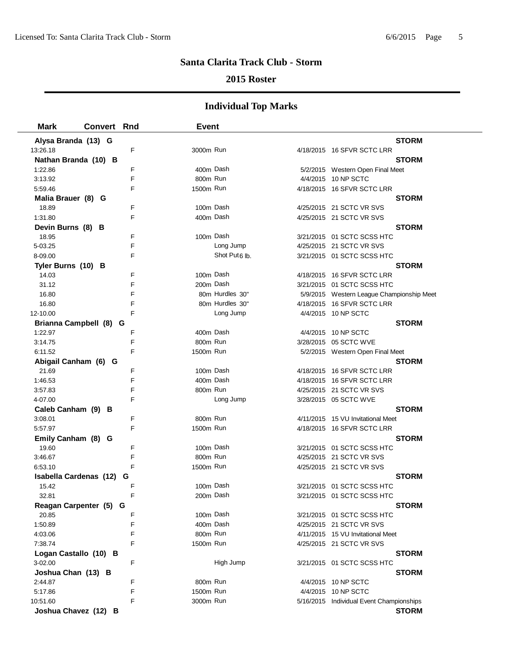### **2015 Roster**

| <b>Mark</b>                      | <b>Convert Rnd</b> |        | <b>Event</b>          |                           |                                                          |  |
|----------------------------------|--------------------|--------|-----------------------|---------------------------|----------------------------------------------------------|--|
| Alysa Branda (13) G              |                    |        |                       |                           | <b>STORM</b>                                             |  |
| 13:26.18                         |                    | F      | 3000m Run             |                           | 4/18/2015 16 SFVR SCTC LRR                               |  |
| Nathan Branda (10) B             |                    |        |                       |                           | <b>STORM</b>                                             |  |
| 1:22.86                          |                    | F      | 400m Dash             |                           | 5/2/2015 Western Open Final Meet                         |  |
| 3:13.92                          |                    | F      | 800m Run              |                           | 4/4/2015 10 NP SCTC                                      |  |
| 5:59.46                          |                    | F      | 1500m Run             |                           | 4/18/2015 16 SFVR SCTC LRR                               |  |
| Malia Brauer (8) G               |                    |        |                       |                           | <b>STORM</b>                                             |  |
| 18.89                            |                    | F      | 100m Dash             |                           | 4/25/2015 21 SCTC VR SVS                                 |  |
| 1:31.80                          |                    | F      | 400m Dash             |                           | 4/25/2015 21 SCTC VR SVS                                 |  |
| Devin Burns (8) B                |                    |        |                       |                           | <b>STORM</b>                                             |  |
| 18.95                            |                    | F      | 100m Dash             |                           | 3/21/2015 01 SCTC SCSS HTC                               |  |
| 5-03.25                          |                    | F      |                       | Long Jump                 | 4/25/2015 21 SCTC VR SVS                                 |  |
| 8-09.00                          |                    | F      |                       | Shot Put <sub>6</sub> lb. | 3/21/2015 01 SCTC SCSS HTC                               |  |
| Tyler Burns (10) B               |                    |        |                       |                           | <b>STORM</b>                                             |  |
| 14.03                            |                    | F      | 100m Dash             |                           | 4/18/2015 16 SFVR SCTC LRR                               |  |
| 31.12                            |                    | F      | 200m Dash             |                           | 3/21/2015 01 SCTC SCSS HTC                               |  |
| 16.80                            |                    | F      |                       | 80m Hurdles 30"           | 5/9/2015 Western League Championship Meet                |  |
| 16.80                            |                    | F      |                       | 80m Hurdles 30"           | 4/18/2015 16 SFVR SCTC LRR                               |  |
| 12-10.00                         |                    | F      |                       | Long Jump                 | 4/4/2015 10 NP SCTC                                      |  |
| Brianna Campbell (8) G           |                    |        |                       |                           | <b>STORM</b>                                             |  |
| 1:22.97                          |                    | F      | 400m Dash             |                           | 4/4/2015 10 NP SCTC                                      |  |
| 3:14.75                          |                    | F      | 800m Run              |                           | 3/28/2015 05 SCTC WVE                                    |  |
| 6:11.52                          |                    | F      | 1500m Run             |                           | 5/2/2015 Western Open Final Meet                         |  |
| Abigail Canham (6) G             |                    |        |                       |                           | <b>STORM</b>                                             |  |
| 21.69                            |                    | F      | 100m Dash             |                           | 4/18/2015 16 SFVR SCTC LRR                               |  |
| 1:46.53                          |                    | F      | 400m Dash             |                           | 4/18/2015 16 SFVR SCTC LRR                               |  |
| 3:57.83                          |                    | F      | 800m Run              |                           | 4/25/2015 21 SCTC VR SVS                                 |  |
| 4-07.00                          |                    | F      |                       | Long Jump                 | 3/28/2015 05 SCTC WVE                                    |  |
| Caleb Canham (9) B               |                    |        |                       |                           | <b>STORM</b>                                             |  |
| 3:08.01                          |                    | F      | 800m Run              |                           | 4/11/2015 15 VU Invitational Meet                        |  |
| 5:57.97                          |                    | F      | 1500m Run             |                           | 4/18/2015 16 SFVR SCTC LRR                               |  |
| Emily Canham (8) G               |                    |        |                       |                           | <b>STORM</b>                                             |  |
| 19.60                            |                    | F      | 100m Dash             |                           | 3/21/2015 01 SCTC SCSS HTC                               |  |
| 3:46.67                          |                    | F      | 800m Run              |                           | 4/25/2015 21 SCTC VR SVS                                 |  |
| 6:53.10                          |                    | F      | 1500m Run             |                           | 4/25/2015 21 SCTC VR SVS                                 |  |
| Isabella Cardenas (12)           |                    | G      |                       |                           | <b>STORM</b>                                             |  |
| 15.42                            |                    | F      | 100m Dash             |                           | 3/21/2015    01 SCTC SCSS HTC                            |  |
| 32.81                            |                    |        |                       | 200m Dash                 |                                                          |  |
| Reagan Carpenter (5) G           |                    |        |                       |                           | <b>STORM</b>                                             |  |
| 20.85                            |                    | F      | 100m Dash             |                           | 3/21/2015 01 SCTC SCSS HTC                               |  |
| 1:50.89                          |                    | F      | 400m Dash             |                           | 4/25/2015 21 SCTC VR SVS                                 |  |
| 4:03.06                          |                    | F      | 800m Run              |                           | 4/11/2015 15 VU Invitational Meet                        |  |
| 7:38.74                          |                    | F      | 1500m Run             |                           | 4/25/2015 21 SCTC VR SVS                                 |  |
| Logan Castallo (10) B            |                    |        |                       | High Jump                 | <b>STORM</b>                                             |  |
| 3-02.00                          |                    | F      |                       |                           | 3/21/2015 01 SCTC SCSS HTC                               |  |
| Joshua Chan (13) B               |                    |        |                       |                           | <b>STORM</b>                                             |  |
| 2:44.87                          |                    | F<br>F | 800m Run<br>1500m Run |                           | 4/4/2015 10 NP SCTC                                      |  |
| 5:17.86                          |                    | F      |                       |                           | 4/4/2015 10 NP SCTC                                      |  |
| 10:51.60<br>Joshua Chavez (12) B |                    |        | 3000m Run             |                           | 5/16/2015 Individual Event Championships<br><b>STORM</b> |  |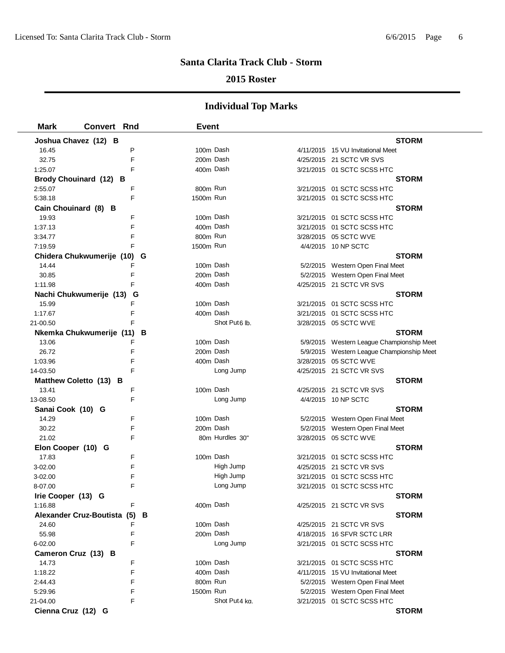#### **2015 Roster**

| <b>Mark</b>        | <b>Convert Rnd</b>            | <b>Event</b> |                           |                                           |
|--------------------|-------------------------------|--------------|---------------------------|-------------------------------------------|
|                    | Joshua Chavez (12) B          |              |                           | <b>STORM</b>                              |
| 16.45              | P                             | 100m Dash    |                           | 4/11/2015 15 VU Invitational Meet         |
| 32.75              | F                             | 200m Dash    |                           | 4/25/2015 21 SCTC VR SVS                  |
| 1:25.07            | F                             | 400m Dash    |                           | 3/21/2015 01 SCTC SCSS HTC                |
|                    | Brody Chouinard (12) B        |              |                           | <b>STORM</b>                              |
| 2:55.07            | F                             | 800m Run     |                           | 3/21/2015 01 SCTC SCSS HTC                |
| 5:38.18            | F                             | 1500m Run    |                           | 3/21/2015 01 SCTC SCSS HTC                |
|                    | Cain Chouinard (8) B          |              |                           | <b>STORM</b>                              |
| 19.93              | F                             | 100m Dash    |                           | 3/21/2015 01 SCTC SCSS HTC                |
| 1:37.13            | F                             | 400m Dash    |                           | 3/21/2015 01 SCTC SCSS HTC                |
| 3:34.77            | F                             | 800m Run     |                           | 3/28/2015 05 SCTC WVE                     |
| 7:19.59            | F                             | 1500m Run    |                           | 4/4/2015 10 NP SCTC                       |
|                    | Chidera Chukwumerije (10) G   |              |                           | <b>STORM</b>                              |
| 14.44              | F                             | 100m Dash    |                           | 5/2/2015 Western Open Final Meet          |
| 30.85              | F                             | 200m Dash    |                           | 5/2/2015 Western Open Final Meet          |
| 1:11.98            | F                             | 400m Dash    |                           | 4/25/2015 21 SCTC VR SVS                  |
|                    | Nachi Chukwumerije (13)<br>G  |              |                           | <b>STORM</b>                              |
| 15.99              | F                             | 100m Dash    |                           | 3/21/2015 01 SCTC SCSS HTC                |
| 1:17.67            | F                             | 400m Dash    |                           | 3/21/2015 01 SCTC SCSS HTC                |
| 21-00.50           | F                             |              | Shot Put <sub>6</sub> lb. | 3/28/2015 05 SCTC WVE                     |
|                    | Nkemka Chukwumerije (11)<br>В |              |                           | <b>STORM</b>                              |
| 13.06              | F                             | 100m Dash    |                           | 5/9/2015 Western League Championship Meet |
| 26.72              | F                             | 200m Dash    |                           | 5/9/2015 Western League Championship Meet |
| 1:03.96            | F                             | 400m Dash    |                           | 3/28/2015 05 SCTC WVE                     |
| 14-03.50           | F                             |              | Long Jump                 | 4/25/2015 21 SCTC VR SVS                  |
|                    | Matthew Coletto (13) B        |              |                           | <b>STORM</b>                              |
| 13.41              | F                             | 100m Dash    |                           | 4/25/2015 21 SCTC VR SVS                  |
| 13-08.50           | F                             |              | Long Jump                 | 4/4/2015 10 NP SCTC                       |
| Sanai Cook (10) G  |                               |              |                           | <b>STORM</b>                              |
| 14.29              | F                             | 100m Dash    |                           | 5/2/2015 Western Open Final Meet          |
| 30.22              | F                             | 200m Dash    |                           | 5/2/2015 Western Open Final Meet          |
| 21.02              | F                             |              | 80m Hurdles 30"           | 3/28/2015 05 SCTC WVE                     |
| Elon Cooper (10) G |                               |              |                           | <b>STORM</b>                              |
| 17.83              | F                             | 100m Dash    |                           | 3/21/2015 01 SCTC SCSS HTC                |
| 3-02.00            | F                             |              | High Jump                 | 4/25/2015 21 SCTC VR SVS                  |
| 3-02.00            | F                             |              | High Jump                 | 3/21/2015 01 SCTC SCSS HTC                |
| 8-07.00            | F                             |              | Long Jump                 | 3/21/2015 01 SCTC SCSS HTC                |
| Irie Cooper (13) G |                               |              |                           | <b>STORM</b>                              |
| 1:16.88            | F                             | 400m Dash    |                           | 4/25/2015 21 SCTC VR SVS                  |
|                    | Alexander Cruz-Boutista (5) B |              |                           | <b>STORM</b>                              |
| 24.60              | F                             | 100m Dash    |                           | 4/25/2015 21 SCTC VR SVS                  |
| 55.98              | F                             | 200m Dash    |                           | 4/18/2015 16 SFVR SCTC LRR                |
| 6-02.00            | F                             |              | Long Jump                 | 3/21/2015 01 SCTC SCSS HTC                |
|                    | Cameron Cruz (13) B           |              |                           | <b>STORM</b>                              |
| 14.73              | F                             | 100m Dash    |                           | 3/21/2015 01 SCTC SCSS HTC                |
| 1:18.22            | F                             | 400m Dash    |                           | 4/11/2015 15 VU Invitational Meet         |
| 2:44.43            | F                             | 800m Run     |                           | 5/2/2015 Western Open Final Meet          |
| 5:29.96            | F                             | 1500m Run    |                           | 5/2/2015 Western Open Final Meet          |
| 21-04.00           | F                             |              | Shot Put4 kg.             | 3/21/2015 01 SCTC SCSS HTC                |
| Cienna Cruz (12) G |                               |              |                           | <b>STORM</b>                              |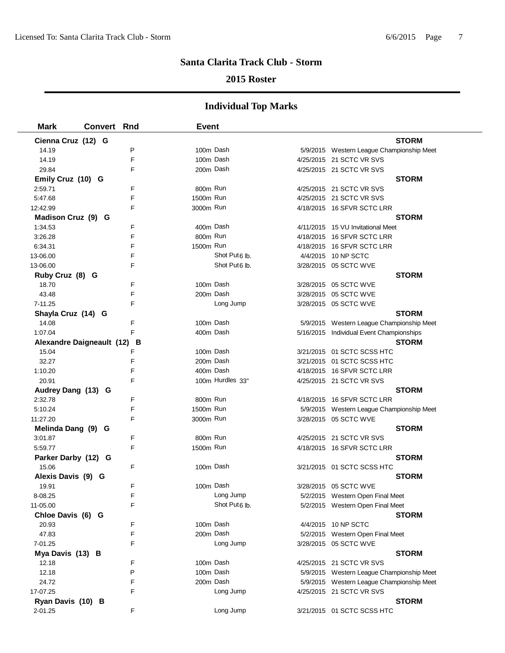### **2015 Roster**

| <b>Mark</b>               | <b>Convert Rnd</b> |   | <b>Event</b> |                           |                                           |
|---------------------------|--------------------|---|--------------|---------------------------|-------------------------------------------|
| Cienna Cruz (12) G        |                    |   |              |                           | <b>STORM</b>                              |
| 14.19                     |                    | P | 100m Dash    |                           | 5/9/2015 Western League Championship Meet |
| 14.19                     |                    | F | 100m Dash    |                           | 4/25/2015 21 SCTC VR SVS                  |
| 29.84                     |                    | F | 200m Dash    |                           | 4/25/2015 21 SCTC VR SVS                  |
| Emily Cruz (10) G         |                    |   |              |                           | <b>STORM</b>                              |
| 2:59.71                   |                    | F | 800m Run     |                           | 4/25/2015 21 SCTC VR SVS                  |
| 5:47.68                   |                    | F | 1500m Run    |                           | 4/25/2015 21 SCTC VR SVS                  |
| 12:42.99                  |                    | F | 3000m Run    |                           | 4/18/2015 16 SFVR SCTC LRR                |
| Madison Cruz (9) G        |                    |   |              |                           | <b>STORM</b>                              |
| 1:34.53                   |                    | F | 400m Dash    |                           | 4/11/2015 15 VU Invitational Meet         |
| 3:26.28                   |                    | F | 800m Run     |                           | 4/18/2015 16 SFVR SCTC LRR                |
| 6:34.31                   |                    | F | 1500m Run    |                           | 4/18/2015 16 SFVR SCTC LRR                |
| 13-06.00                  |                    | F |              | Shot Put <sub>6</sub> lb. | 4/4/2015 10 NP SCTC                       |
| 13-06.00                  |                    | F |              | Shot Put <sub>6</sub> lb. | 3/28/2015 05 SCTC WVE                     |
| Ruby Cruz (8) G           |                    |   |              |                           | <b>STORM</b>                              |
| 18.70                     |                    | F | 100m Dash    |                           | 3/28/2015 05 SCTC WVE                     |
| 43.48                     |                    | F | 200m Dash    |                           | 3/28/2015 05 SCTC WVE                     |
| 7-11.25                   |                    | F |              | Long Jump                 | 3/28/2015 05 SCTC WVE                     |
| Shayla Cruz (14) G        |                    |   |              |                           | <b>STORM</b>                              |
| 14.08                     |                    | F | 100m Dash    |                           | 5/9/2015 Western League Championship Meet |
| 1:07.04                   |                    | F | 400m Dash    |                           | 5/16/2015 Individual Event Championships  |
| Alexandre Daigneault (12) |                    | в |              |                           | <b>STORM</b>                              |
| 15.04                     |                    | F | 100m Dash    |                           | 3/21/2015 01 SCTC SCSS HTC                |
| 32.27                     |                    | F | 200m Dash    |                           | 3/21/2015 01 SCTC SCSS HTC                |
| 1:10.20                   |                    | F | 400m Dash    |                           | 4/18/2015 16 SFVR SCTC LRR                |
| 20.91                     |                    | F |              | 100m Hurdles 33"          | 4/25/2015 21 SCTC VR SVS                  |
| Audrey Dang (13) G        |                    |   |              |                           | <b>STORM</b>                              |
| 2:32.78                   |                    | F | 800m Run     |                           | 4/18/2015 16 SFVR SCTC LRR                |
| 5:10.24                   |                    | F | 1500m Run    |                           | 5/9/2015 Western League Championship Meet |
| 11:27.20                  |                    | F | 3000m Run    |                           | 3/28/2015 05 SCTC WVE                     |
| Melinda Dang (9) G        |                    |   |              |                           | <b>STORM</b>                              |
| 3:01.87                   |                    | F | 800m Run     |                           | 4/25/2015 21 SCTC VR SVS                  |
| 5:59.77                   |                    | F | 1500m Run    |                           | 4/18/2015 16 SFVR SCTC LRR                |
| Parker Darby (12) G       |                    |   |              |                           | <b>STORM</b>                              |
| 15.06                     |                    | F | 100m Dash    |                           | 3/21/2015 01 SCTC SCSS HTC                |
| Alexis Davis (9) G        |                    |   |              |                           | <b>STORM</b>                              |
| 19.91                     |                    | F | 100m Dash    |                           | 3/28/2015 05 SCTC WVE                     |
| 8-08.25                   |                    | F |              | Long Jump                 | 5/2/2015 Western Open Final Meet          |
| 11-05.00                  |                    | F |              | Shot Put6 lb.             | 5/2/2015 Western Open Final Meet          |
| Chloe Davis (6) G         |                    |   |              |                           | <b>STORM</b>                              |
| 20.93                     |                    | F | 100m Dash    |                           | 4/4/2015 10 NP SCTC                       |
| 47.83                     |                    | F | 200m Dash    |                           | 5/2/2015 Western Open Final Meet          |
| 7-01.25                   |                    | F |              | Long Jump                 | 3/28/2015 05 SCTC WVE                     |
| Mya Davis (13) B          |                    |   |              |                           | <b>STORM</b>                              |
| 12.18                     |                    | F | 100m Dash    |                           | 4/25/2015 21 SCTC VR SVS                  |
| 12.18                     |                    | P | 100m Dash    |                           | 5/9/2015 Western League Championship Meet |
| 24.72                     |                    | F |              | 200m Dash                 | 5/9/2015 Western League Championship Meet |
| 17-07.25                  |                    | F |              | Long Jump                 | 4/25/2015 21 SCTC VR SVS                  |
| Ryan Davis (10) B         |                    |   |              |                           | <b>STORM</b>                              |
| 2-01.25                   |                    | F |              | Long Jump                 | 3/21/2015 01 SCTC SCSS HTC                |
|                           |                    |   |              |                           |                                           |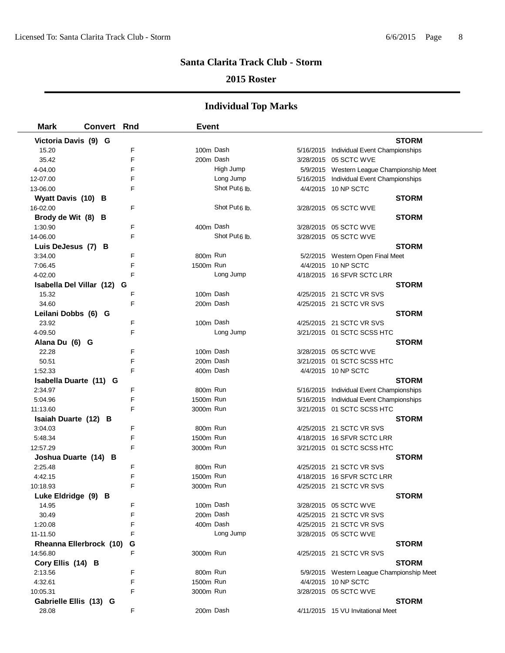### **2015 Roster**

| <b>Mark</b>              | <b>Convert Rnd</b> |   | <b>Event</b> |                           |                                           |  |
|--------------------------|--------------------|---|--------------|---------------------------|-------------------------------------------|--|
| Victoria Davis (9) G     |                    |   |              |                           | <b>STORM</b>                              |  |
| 15.20                    |                    | F | 100m Dash    |                           | 5/16/2015 Individual Event Championships  |  |
| 35.42                    |                    | E | 200m Dash    |                           | 3/28/2015 05 SCTC WVE                     |  |
| 4-04.00                  |                    | F |              | High Jump                 | 5/9/2015 Western League Championship Meet |  |
| 12-07.00                 |                    | F |              | Long Jump                 | 5/16/2015 Individual Event Championships  |  |
| 13-06.00                 |                    | F |              | Shot Put6 lb.             | 4/4/2015 10 NP SCTC                       |  |
| Wyatt Davis (10) B       |                    |   |              |                           | <b>STORM</b>                              |  |
| 16-02.00                 |                    | F |              | Shot Put <sub>6</sub> lb. | 3/28/2015 05 SCTC WVE                     |  |
| Brody de Wit (8) B       |                    |   |              |                           | <b>STORM</b>                              |  |
| 1:30.90                  |                    | F | 400m Dash    |                           | 3/28/2015 05 SCTC WVE                     |  |
| 14-06.00                 |                    | F |              | Shot Put <sub>6</sub> lb. | 3/28/2015 05 SCTC WVE                     |  |
| Luis DeJesus (7) B       |                    |   |              |                           | <b>STORM</b>                              |  |
| 3:34.00                  |                    | F | 800m Run     |                           | 5/2/2015 Western Open Final Meet          |  |
| 7:06.45                  |                    | F | 1500m Run    |                           | 4/4/2015 10 NP SCTC                       |  |
| 4-02.00                  |                    | F |              | Long Jump                 | 4/18/2015 16 SFVR SCTC LRR                |  |
| Isabella Del Villar (12) |                    | G |              |                           | <b>STORM</b>                              |  |
| 15.32                    |                    | F | 100m Dash    |                           | 4/25/2015 21 SCTC VR SVS                  |  |
| 34.60                    |                    | F | 200m Dash    |                           | 4/25/2015 21 SCTC VR SVS                  |  |
| Leilani Dobbs (6) G      |                    |   |              |                           | <b>STORM</b>                              |  |
| 23.92                    |                    | F | 100m Dash    |                           | 4/25/2015 21 SCTC VR SVS                  |  |
| 4-09.50                  |                    | F |              | Long Jump                 | 3/21/2015 01 SCTC SCSS HTC                |  |
| Alana Du (6) G           |                    |   |              |                           | <b>STORM</b>                              |  |
| 22.28                    |                    | F | 100m Dash    |                           | 3/28/2015 05 SCTC WVE                     |  |
| 50.51                    |                    | F | 200m Dash    |                           | 3/21/2015 01 SCTC SCSS HTC                |  |
| 1:52.33                  |                    | F | 400m Dash    |                           | 4/4/2015 10 NP SCTC                       |  |
| Isabella Duarte (11) G   |                    |   |              |                           | <b>STORM</b>                              |  |
| 2:34.97                  |                    | F | 800m Run     |                           | 5/16/2015 Individual Event Championships  |  |
| 5:04.96                  |                    | F | 1500m Run    |                           | 5/16/2015 Individual Event Championships  |  |
| 11:13.60                 |                    | F | 3000m Run    |                           | 3/21/2015 01 SCTC SCSS HTC                |  |
| Isaiah Duarte (12) B     |                    |   |              |                           | <b>STORM</b>                              |  |
| 3:04.03                  |                    | F | 800m Run     |                           | 4/25/2015 21 SCTC VR SVS                  |  |
| 5:48.34                  |                    | F | 1500m Run    |                           | 4/18/2015 16 SFVR SCTC LRR                |  |
| 12:57.29                 |                    | F | 3000m Run    |                           | 3/21/2015 01 SCTC SCSS HTC                |  |
| Joshua Duarte (14) B     |                    |   |              |                           | <b>STORM</b>                              |  |
| 2:25.48                  |                    | F | 800m Run     |                           | 4/25/2015 21 SCTC VR SVS                  |  |
| 4:42.15                  |                    | F | 1500m Run    |                           | 4/18/2015 16 SFVR SCTC LRR                |  |
| 10:18.93                 |                    | F | 3000m Run    |                           | 4/25/2015 21 SCTC VR SVS                  |  |
| Luke Eldridge (9) B      |                    |   |              |                           | <b>STORM</b>                              |  |
| 14.95                    |                    | F | 100m Dash    |                           | 3/28/2015 05 SCTC WVE                     |  |
| 30.49                    |                    | F | 200m Dash    |                           | 4/25/2015 21 SCTC VR SVS                  |  |
| 1:20.08                  |                    | F | 400m Dash    |                           | 4/25/2015 21 SCTC VR SVS                  |  |
| 11-11.50                 |                    | F |              | Long Jump                 | 3/28/2015 05 SCTC WVE                     |  |
| Rheanna Ellerbrock (10)  |                    | G |              |                           | <b>STORM</b>                              |  |
| 14:56.80                 |                    | F | 3000m Run    |                           | 4/25/2015 21 SCTC VR SVS                  |  |
| Cory Ellis (14) B        |                    |   |              |                           | <b>STORM</b>                              |  |
| 2:13.56                  |                    | F | 800m Run     |                           | 5/9/2015 Western League Championship Meet |  |
| 4:32.61                  |                    | F | 1500m Run    |                           | 4/4/2015 10 NP SCTC                       |  |
| 10:05.31                 |                    | F | 3000m Run    |                           | 3/28/2015 05 SCTC WVE                     |  |
| Gabrielle Ellis (13) G   |                    |   |              |                           | <b>STORM</b>                              |  |
| 28.08                    |                    | F | 200m Dash    |                           | 4/11/2015 15 VU Invitational Meet         |  |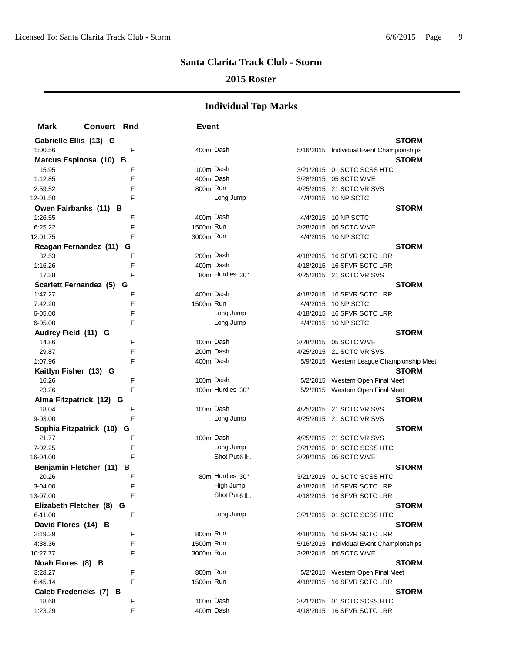### **2015 Roster**

| <b>Mark</b>              | <b>Convert Rnd</b> |   | <b>Event</b> |                           |                                           |
|--------------------------|--------------------|---|--------------|---------------------------|-------------------------------------------|
| Gabrielle Ellis (13) G   |                    |   |              |                           | <b>STORM</b>                              |
| 1:00.56                  |                    | F | 400m Dash    |                           | 5/16/2015 Individual Event Championships  |
| Marcus Espinosa (10) B   |                    |   |              |                           | <b>STORM</b>                              |
| 15.95                    |                    | F | 100m Dash    |                           | 3/21/2015 01 SCTC SCSS HTC                |
| 1:12.85                  |                    | F | 400m Dash    |                           | 3/28/2015 05 SCTC WVE                     |
| 2:59.52                  |                    | F | 800m Run     |                           | 4/25/2015 21 SCTC VR SVS                  |
| 12-01.50                 |                    | F |              | Long Jump                 | 4/4/2015 10 NP SCTC                       |
| Owen Fairbanks (11) B    |                    |   |              |                           | <b>STORM</b>                              |
| 1:26.55                  |                    | F | 400m Dash    |                           | 4/4/2015 10 NP SCTC                       |
| 6:25.22                  |                    | F | 1500m Run    |                           | 3/28/2015 05 SCTC WVE                     |
| 12:01.75                 |                    | F | 3000m Run    |                           | 4/4/2015 10 NP SCTC                       |
| Reagan Fernandez (11)    |                    | G |              |                           | <b>STORM</b>                              |
| 32.53                    |                    | F | 200m Dash    |                           | 4/18/2015 16 SFVR SCTC LRR                |
| 1:16.26                  |                    | F | 400m Dash    |                           | 4/18/2015 16 SFVR SCTC LRR                |
| 17.38                    |                    | F |              | 80m Hurdles 30"           | 4/25/2015 21 SCTC VR SVS                  |
| Scarlett Fernandez (5) G |                    |   |              |                           | <b>STORM</b>                              |
| 1:47.27                  |                    | F | 400m Dash    |                           | 4/18/2015 16 SFVR SCTC LRR                |
| 7:42.20                  |                    | F | 1500m Run    |                           | 4/4/2015 10 NP SCTC                       |
| 6-05.00                  |                    | F |              | Long Jump                 | 4/18/2015 16 SFVR SCTC LRR                |
| 6-05.00                  |                    | F |              | Long Jump                 | 4/4/2015 10 NP SCTC                       |
| Audrey Field (11) G      |                    |   |              |                           | <b>STORM</b>                              |
| 14.86                    |                    | F | 100m Dash    |                           | 3/28/2015 05 SCTC WVE                     |
| 29.87                    |                    | F | 200m Dash    |                           | 4/25/2015 21 SCTC VR SVS                  |
| 1:07.96                  |                    | F | 400m Dash    |                           | 5/9/2015 Western League Championship Meet |
| Kaitlyn Fisher (13) G    |                    |   |              |                           | <b>STORM</b>                              |
| 16.26                    |                    | F | 100m Dash    |                           | 5/2/2015 Western Open Final Meet          |
| 23.26                    |                    | F |              | 100m Hurdles 30"          | 5/2/2015 Western Open Final Meet          |
| Alma Fitzpatrick (12) G  |                    |   |              |                           | <b>STORM</b>                              |
| 18.04                    |                    | F | 100m Dash    |                           | 4/25/2015 21 SCTC VR SVS                  |
| 9-03.00                  |                    | F |              | Long Jump                 | 4/25/2015 21 SCTC VR SVS                  |
| Sophia Fitzpatrick (10)  |                    | G |              |                           | <b>STORM</b>                              |
| 21.77                    |                    | F | 100m Dash    |                           | 4/25/2015 21 SCTC VR SVS                  |
| 7-02.25                  |                    | F |              | Long Jump                 | 3/21/2015 01 SCTC SCSS HTC                |
| 16-04.00                 |                    | F |              | Shot Put <sub>6</sub> lb. | 3/28/2015 05 SCTC WVE                     |
| Benjamin Fletcher (11)   |                    | в |              |                           | <b>STORM</b>                              |
| 20.26                    |                    | F |              | 80m Hurdles 30"           | 3/21/2015 01 SCTC SCSS HTC                |
| 3-04.00                  |                    | F |              | High Jump                 | 4/18/2015 16 SFVR SCTC LRR                |
| 13-07.00                 |                    |   |              | Shot Put6 lb.             | 4/18/2015 16 SFVR SCTC LRR                |
| Elizabeth Fletcher (8) G |                    |   |              |                           | <b>STORM</b>                              |
| 6-11.00                  |                    | F |              | Long Jump                 | 3/21/2015 01 SCTC SCSS HTC                |
| David Flores (14) B      |                    |   |              |                           | <b>STORM</b>                              |
| 2:19.39                  |                    | F | 800m Run     |                           | 4/18/2015 16 SFVR SCTC LRR                |
| 4:38.36                  |                    | F | 1500m Run    |                           | 5/16/2015 Individual Event Championships  |
| 10:27.77                 |                    | F | 3000m Run    |                           | 3/28/2015 05 SCTC WVE                     |
| Noah Flores (8) B        |                    |   |              |                           | <b>STORM</b>                              |
| 3:28.27                  |                    | F | 800m Run     |                           | 5/2/2015 Western Open Final Meet          |
| 6:45.14                  |                    | F | 1500m Run    |                           | 4/18/2015 16 SFVR SCTC LRR                |
| Caleb Fredericks (7) B   |                    |   |              |                           | <b>STORM</b>                              |
| 18.68                    |                    | F | 100m Dash    |                           | 3/21/2015 01 SCTC SCSS HTC                |
| 1:23.29                  |                    | F | 400m Dash    |                           | 4/18/2015 16 SFVR SCTC LRR                |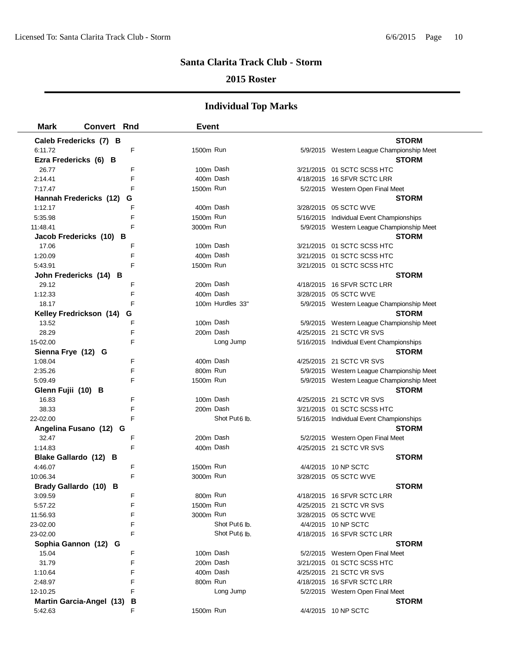### **2015 Roster**

| <b>Mark</b>        | <b>Convert Rnd</b>              |   | <b>Event</b> |                           |                                           |
|--------------------|---------------------------------|---|--------------|---------------------------|-------------------------------------------|
|                    | Caleb Fredericks (7) B          |   |              |                           | <b>STORM</b>                              |
| 6:11.72            |                                 | F | 1500m Run    |                           | 5/9/2015 Western League Championship Meet |
|                    | Ezra Fredericks (6) B           |   |              |                           | <b>STORM</b>                              |
| 26.77              |                                 | F | 100m Dash    |                           | 3/21/2015 01 SCTC SCSS HTC                |
| 2:14.41            |                                 | E | 400m Dash    |                           | 4/18/2015 16 SFVR SCTC LRR                |
| 7:17.47            |                                 | F | 1500m Run    |                           | 5/2/2015 Western Open Final Meet          |
|                    | Hannah Fredericks (12)          | G |              |                           | <b>STORM</b>                              |
| 1:12.17            |                                 | F |              | 400m Dash                 | 3/28/2015 05 SCTC WVE                     |
| 5:35.98            |                                 | F | 1500m Run    |                           | 5/16/2015 Individual Event Championships  |
| 11:48.41           |                                 | F | 3000m Run    |                           | 5/9/2015 Western League Championship Meet |
|                    | Jacob Fredericks (10) B         |   |              |                           | <b>STORM</b>                              |
| 17.06              |                                 | F | 100m Dash    |                           | 3/21/2015 01 SCTC SCSS HTC                |
| 1:20.09            |                                 | F | 400m Dash    |                           | 3/21/2015 01 SCTC SCSS HTC                |
| 5:43.91            |                                 | F | 1500m Run    |                           | 3/21/2015 01 SCTC SCSS HTC                |
|                    | John Fredericks (14) B          |   |              |                           | <b>STORM</b>                              |
| 29.12              |                                 | F | 200m Dash    |                           | 4/18/2015 16 SFVR SCTC LRR                |
| 1:12.33            |                                 | F |              | 400m Dash                 | 3/28/2015 05 SCTC WVE                     |
| 18.17              |                                 | F |              | 100m Hurdles 33"          | 5/9/2015 Western League Championship Meet |
|                    | Kelley Fredrickson (14)         | G |              |                           | <b>STORM</b>                              |
| 13.52              |                                 | F | 100m Dash    |                           | 5/9/2015 Western League Championship Meet |
| 28.29              |                                 | F | 200m Dash    |                           | 4/25/2015 21 SCTC VR SVS                  |
| 15-02.00           |                                 | F |              | Long Jump                 | 5/16/2015 Individual Event Championships  |
| Sienna Frye (12) G |                                 |   |              |                           | <b>STORM</b>                              |
| 1:08.04            |                                 | F | 400m Dash    |                           | 4/25/2015 21 SCTC VR SVS                  |
| 2:35.26            |                                 | F | 800m Run     |                           | 5/9/2015 Western League Championship Meet |
| 5:09.49            |                                 | F | 1500m Run    |                           | 5/9/2015 Western League Championship Meet |
| Glenn Fujii (10) B |                                 |   |              |                           | <b>STORM</b>                              |
| 16.83              |                                 | F | 100m Dash    |                           | 4/25/2015 21 SCTC VR SVS                  |
| 38.33              |                                 | F | 200m Dash    |                           | 3/21/2015 01 SCTC SCSS HTC                |
| 22-02.00           |                                 | F |              | Shot Put <sub>6</sub> lb. | 5/16/2015 Individual Event Championships  |
|                    | Angelina Fusano (12) G          |   |              |                           | <b>STORM</b>                              |
| 32.47              |                                 | F | 200m Dash    |                           | 5/2/2015 Western Open Final Meet          |
| 1:14.83            |                                 | F |              | 400m Dash                 | 4/25/2015 21 SCTC VR SVS                  |
|                    | Blake Gallardo (12) B           |   |              |                           | <b>STORM</b>                              |
| 4:46.07            |                                 | F | 1500m Run    |                           | 4/4/2015 10 NP SCTC                       |
| 10:06.34           |                                 | F | 3000m Run    |                           | 3/28/2015 05 SCTC WVE                     |
|                    | Brady Gallardo (10) B           |   |              |                           | <b>STORM</b>                              |
| 3:09.59            |                                 | F | 800m Run     |                           | 4/18/2015 16 SFVR SCTC LRR                |
| 5:57.22            |                                 | F | 1500m Run    |                           | 4/25/2015 21 SCTC VR SVS                  |
| 11:56.93           |                                 | F | 3000m Run    |                           | 3/28/2015 05 SCTC WVE                     |
| 23-02.00           |                                 | F |              | Shot Put <sub>6</sub> lb. | 4/4/2015 10 NP SCTC                       |
| 23-02.00           |                                 | F |              | Shot Put <sub>6</sub> lb. | 4/18/2015 16 SFVR SCTC LRR                |
|                    | Sophia Gannon (12) G            |   |              |                           | <b>STORM</b>                              |
| 15.04              |                                 | F | 100m Dash    |                           | 5/2/2015 Western Open Final Meet          |
| 31.79              |                                 | F | 200m Dash    |                           | 3/21/2015 01 SCTC SCSS HTC                |
| 1:10.64            |                                 | F | 400m Dash    |                           | 4/25/2015 21 SCTC VR SVS                  |
| 2:48.97            |                                 | F | 800m Run     |                           | 4/18/2015 16 SFVR SCTC LRR                |
| 12-10.25           |                                 | F |              | Long Jump                 | 5/2/2015 Western Open Final Meet          |
|                    | <b>Martin Garcia-Angel (13)</b> | В |              |                           | <b>STORM</b>                              |
| 5:42.63            |                                 | F | 1500m Run    |                           | 4/4/2015 10 NP SCTC                       |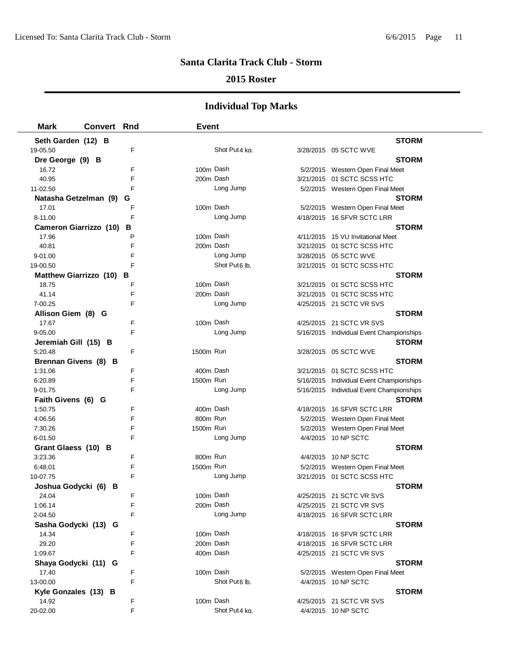### **2015 Roster**

| <b>Mark</b>                   | <b>Convert Rnd</b> |   | <b>Event</b> |                           |                                          |
|-------------------------------|--------------------|---|--------------|---------------------------|------------------------------------------|
| Seth Garden (12) B            |                    |   |              |                           | <b>STORM</b>                             |
| 19-05.50                      |                    | F |              | Shot Put4 ka.             | 3/28/2015 05 SCTC WVE                    |
| Dre George (9) B              |                    |   |              |                           | <b>STORM</b>                             |
| 16.72                         |                    | F | 100m Dash    |                           | 5/2/2015 Western Open Final Meet         |
| 40.95                         |                    | F | 200m Dash    |                           | 3/21/2015 01 SCTC SCSS HTC               |
| 11-02.50                      |                    | F |              | Long Jump                 | 5/2/2015 Western Open Final Meet         |
| Natasha Getzelman (9)         |                    | G |              |                           | <b>STORM</b>                             |
| 17.01                         |                    | F | 100m Dash    |                           | 5/2/2015 Western Open Final Meet         |
| 8-11.00                       |                    | F |              | Long Jump                 | 4/18/2015 16 SFVR SCTC LRR               |
| <b>Cameron Giarrizzo (10)</b> |                    | В |              |                           | <b>STORM</b>                             |
| 17.96                         |                    | P | 100m Dash    |                           | 4/11/2015 15 VU Invitational Meet        |
| 40.81                         |                    | F | 200m Dash    |                           | 3/21/2015 01 SCTC SCSS HTC               |
| 9-01.00                       |                    | F |              | Long Jump                 | 3/28/2015 05 SCTC WVE                    |
| 19-00.50                      |                    | F |              | Shot Put6 lb.             | 3/21/2015 01 SCTC SCSS HTC               |
| Matthew Giarrizzo (10) B      |                    |   |              |                           | <b>STORM</b>                             |
| 18.75                         |                    | F | 100m Dash    |                           | 3/21/2015 01 SCTC SCSS HTC               |
| 41.14                         |                    | F | 200m Dash    |                           | 3/21/2015 01 SCTC SCSS HTC               |
| 7-00.25                       |                    | F |              | Long Jump                 | 4/25/2015 21 SCTC VR SVS                 |
| Allison Giem (8) G            |                    |   |              |                           | <b>STORM</b>                             |
| 17.67                         |                    | F | 100m Dash    |                           | 4/25/2015 21 SCTC VR SVS                 |
| 9-05.00                       |                    | F |              | Long Jump                 | 5/16/2015 Individual Event Championships |
| Jeremiah Gill (15) B          |                    |   |              |                           | <b>STORM</b>                             |
| 5:20.48                       |                    | F | 1500m Run    |                           | 3/28/2015 05 SCTC WVE                    |
| Brennan Givens (8) B          |                    |   |              |                           | <b>STORM</b>                             |
| 1:31.06                       |                    | F | 400m Dash    |                           | 3/21/2015 01 SCTC SCSS HTC               |
| 6:20.89                       |                    | F | 1500m Run    |                           | 5/16/2015 Individual Event Championships |
| 9-01.75                       |                    | F |              | Long Jump                 | 5/16/2015 Individual Event Championships |
| Faith Givens (6) G            |                    |   |              |                           | <b>STORM</b>                             |
| 1:50.75                       |                    | F | 400m Dash    |                           | 4/18/2015 16 SFVR SCTC LRR               |
| 4:06.56                       |                    | F | 800m Run     |                           | 5/2/2015 Western Open Final Meet         |
| 7:30.26                       |                    | F | 1500m Run    |                           | 5/2/2015 Western Open Final Meet         |
| 6-01.50                       |                    | F |              | Long Jump                 | 4/4/2015 10 NP SCTC                      |
| Grant Glaess (10) B           |                    |   |              |                           | <b>STORM</b>                             |
| 3:23.36                       |                    | F | 800m Run     |                           | 4/4/2015 10 NP SCTC                      |
| 6:48.01                       |                    | F | 1500m Run    |                           | 5/2/2015 Western Open Final Meet         |
| 10-07.75                      |                    | E |              | Long Jump                 | 3/21/2015 01 SCTC SCSS HTC               |
| Joshua Godycki (6) B          |                    |   |              |                           | <b>STORM</b>                             |
| 24.04                         |                    | F | 100m Dash    |                           | 4/25/2015 21 SCTC VR SVS                 |
| 1:06.14                       |                    | F | 200m Dash    |                           | 4/25/2015 21 SCTC VR SVS                 |
| 2-04.50                       |                    | F |              | Long Jump                 | 4/18/2015 16 SFVR SCTC LRR               |
| Sasha Godycki (13) G          |                    |   |              |                           | <b>STORM</b>                             |
| 14.34                         |                    | F | 100m Dash    |                           | 4/18/2015 16 SFVR SCTC LRR               |
| 29.20                         |                    | F | 200m Dash    |                           | 4/18/2015 16 SFVR SCTC LRR               |
| 1:09.67                       |                    | F | 400m Dash    |                           | 4/25/2015 21 SCTC VR SVS                 |
| Shaya Godycki (11) G          |                    |   |              |                           | <b>STORM</b>                             |
| 17.40                         |                    | F | 100m Dash    |                           | 5/2/2015 Western Open Final Meet         |
| 13-00.00                      |                    | F |              | Shot Put <sub>6</sub> lb. | 4/4/2015 10 NP SCTC                      |
| Kyle Gonzales (13) B          |                    |   |              |                           | <b>STORM</b>                             |
| 14.92                         |                    | F | 100m Dash    |                           | 4/25/2015 21 SCTC VR SVS                 |
| 20-02.00                      |                    | F |              | Shot Put4 ka.             | 4/4/2015 10 NP SCTC                      |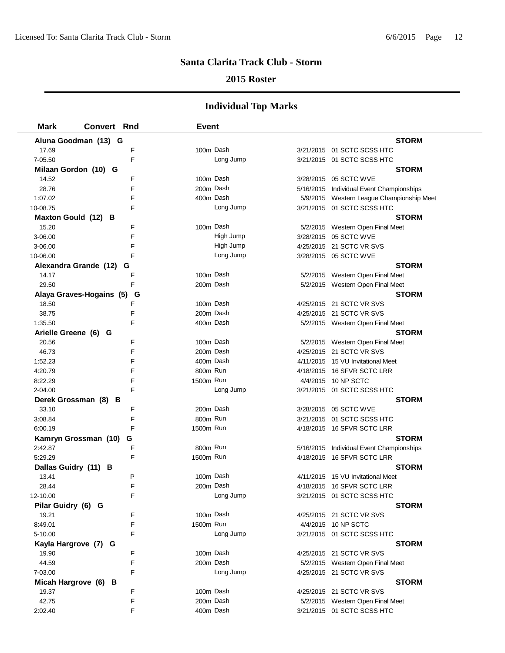### **2015 Roster**

| <b>Mark</b>          | <b>Convert Rnd</b>            | <b>Event</b> |                                           |
|----------------------|-------------------------------|--------------|-------------------------------------------|
|                      | Aluna Goodman (13) G          |              | <b>STORM</b>                              |
| 17.69                | F                             | 100m Dash    | 3/21/2015 01 SCTC SCSS HTC                |
| 7-05.50              | F                             | Long Jump    | 3/21/2015 01 SCTC SCSS HTC                |
|                      | Milaan Gordon (10) G          |              | <b>STORM</b>                              |
| 14.52                | F                             | 100m Dash    | 3/28/2015 05 SCTC WVE                     |
| 28.76                | F                             | 200m Dash    | 5/16/2015 Individual Event Championships  |
| 1:07.02              | F                             | 400m Dash    | 5/9/2015 Western League Championship Meet |
| 10-08.75             | F                             | Long Jump    | 3/21/2015 01 SCTC SCSS HTC                |
|                      | Maxton Gould (12) B           |              | <b>STORM</b>                              |
| 15.20                | F                             | 100m Dash    | 5/2/2015 Western Open Final Meet          |
| 3-06.00              | F                             | High Jump    | 3/28/2015 05 SCTC WVE                     |
| 3-06.00              | F                             | High Jump    | 4/25/2015 21 SCTC VR SVS                  |
| 10-06.00             | F                             | Long Jump    | 3/28/2015 05 SCTC WVE                     |
|                      | Alexandra Grande (12)<br>G    |              | <b>STORM</b>                              |
| 14.17                | F                             | 100m Dash    | 5/2/2015 Western Open Final Meet          |
| 29.50                | F                             | 200m Dash    | 5/2/2015 Western Open Final Meet          |
|                      | Alaya Graves-Hogains (5)<br>G |              | <b>STORM</b>                              |
| 18.50                | F                             | 100m Dash    | 4/25/2015 21 SCTC VR SVS                  |
| 38.75                | F                             | 200m Dash    | 4/25/2015 21 SCTC VR SVS                  |
| 1:35.50              | F                             | 400m Dash    | 5/2/2015 Western Open Final Meet          |
| Arielle Greene (6) G |                               |              | <b>STORM</b>                              |
| 20.56                | F                             | 100m Dash    | 5/2/2015 Western Open Final Meet          |
| 46.73                | F                             | 200m Dash    | 4/25/2015 21 SCTC VR SVS                  |
| 1:52.23              | F                             | 400m Dash    | 4/11/2015 15 VU Invitational Meet         |
| 4:20.79              | F                             | 800m Run     | 4/18/2015 16 SFVR SCTC LRR                |
| 8:22.29              | F                             | 1500m Run    | 4/4/2015 10 NP SCTC                       |
| 2-04.00              | F                             | Long Jump    | 3/21/2015 01 SCTC SCSS HTC                |
|                      | Derek Grossman (8) B          |              | <b>STORM</b>                              |
| 33.10                | F                             | 200m Dash    | 3/28/2015 05 SCTC WVE                     |
| 3:08.84              | F                             | 800m Run     | 3/21/2015 01 SCTC SCSS HTC                |
| 6:00.19              | F                             | 1500m Run    | 4/18/2015 16 SFVR SCTC LRR                |
|                      | G<br>Kamryn Grossman (10)     |              | <b>STORM</b>                              |
| 2:42.87              | F                             | 800m Run     | 5/16/2015 Individual Event Championships  |
| 5:29.29              | F                             | 1500m Run    | 4/18/2015 16 SFVR SCTC LRR                |
| Dallas Guidry (11) B |                               |              | <b>STORM</b>                              |
| 13.41                | P                             | 100m Dash    | 4/11/2015 15 VU Invitational Meet         |
| 28.44                | F                             | 200m Dash    | 4/18/2015 16 SFVR SCTC LRR                |
| 12-10.00             |                               | Long Jump    | 3/21/2015 01 SCTC SCSS HTC                |
| Pilar Guidry (6) G   |                               |              | <b>STORM</b>                              |
| 19.21                | F                             | 100m Dash    | 4/25/2015 21 SCTC VR SVS                  |
| 8:49.01              | F                             | 1500m Run    | 4/4/2015 10 NP SCTC                       |
| 5-10.00              | F                             | Long Jump    | 3/21/2015 01 SCTC SCSS HTC                |
|                      | Kayla Hargrove (7) G          |              | <b>STORM</b>                              |
| 19.90                | F                             | 100m Dash    | 4/25/2015 21 SCTC VR SVS                  |
| 44.59                | F<br>F                        | 200m Dash    | 5/2/2015 Western Open Final Meet          |
| 7-03.00              |                               | Long Jump    | 4/25/2015 21 SCTC VR SVS                  |
|                      | Micah Hargrove (6) B<br>F     | 100m Dash    | <b>STORM</b>                              |
| 19.37                | F                             | 200m Dash    | 4/25/2015 21 SCTC VR SVS                  |
| 42.75                | F                             | 400m Dash    | 5/2/2015 Western Open Final Meet          |
| 2:02.40              |                               |              | 3/21/2015 01 SCTC SCSS HTC                |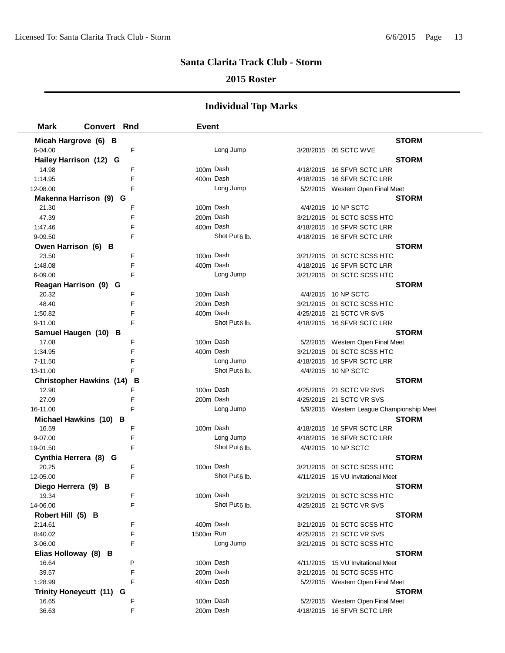### **2015 Roster**

| <b>Mark</b>           | <b>Convert Rnd</b>                   | <b>Event</b> |                           |                                           |
|-----------------------|--------------------------------------|--------------|---------------------------|-------------------------------------------|
| Micah Hargrove (6) B  |                                      |              |                           | <b>STORM</b>                              |
| 6-04.00               | F                                    |              | Long Jump                 | 3/28/2015 05 SCTC WVE                     |
|                       | Hailey Harrison (12) G               |              |                           | <b>STORM</b>                              |
| 14.98                 | F                                    | 100m Dash    |                           | 4/18/2015 16 SFVR SCTC LRR                |
| 1:14.95               | F                                    |              | 400m Dash                 | 4/18/2015 16 SFVR SCTC LRR                |
| 12-08.00              | F                                    |              | Long Jump                 | 5/2/2015 Western Open Final Meet          |
|                       | Makenna Harrison (9) G               |              |                           | <b>STORM</b>                              |
| 21.30                 | F                                    |              | 100m Dash                 | 4/4/2015 10 NP SCTC                       |
| 47.39                 | F                                    |              | 200m Dash                 | 3/21/2015 01 SCTC SCSS HTC                |
| 1:47.46               | F                                    |              | 400m Dash                 | 4/18/2015 16 SFVR SCTC LRR                |
| 9-09.50               | F                                    |              | Shot Put <sub>6</sub> lb. | 4/18/2015 16 SFVR SCTC LRR                |
| Owen Harrison (6) B   |                                      |              |                           | <b>STORM</b>                              |
| 23.50                 | F                                    |              | 100m Dash                 | 3/21/2015 01 SCTC SCSS HTC                |
| 1:48.08               | F                                    | 400m Dash    |                           | 4/18/2015 16 SFVR SCTC LRR                |
| 6-09.00               | F                                    |              | Long Jump                 | 3/21/2015 01 SCTC SCSS HTC                |
|                       | Reagan Harrison (9) G                |              |                           | <b>STORM</b>                              |
| 20.32                 | F                                    | 100m Dash    |                           | 4/4/2015 10 NP SCTC                       |
| 48.40                 | F                                    | 200m Dash    |                           | 3/21/2015 01 SCTC SCSS HTC                |
| 1:50.82               | F                                    | 400m Dash    |                           | 4/25/2015 21 SCTC VR SVS                  |
| 9-11.00               | F                                    |              | Shot Put <sub>6</sub> lb. | 4/18/2015 16 SFVR SCTC LRR                |
|                       | Samuel Haugen (10) B                 |              |                           | <b>STORM</b>                              |
| 17.08                 | F                                    | 100m Dash    |                           | 5/2/2015 Western Open Final Meet          |
| 1:34.95               | F                                    |              | 400m Dash                 | 3/21/2015 01 SCTC SCSS HTC                |
| 7-11.50               | F                                    |              | Long Jump                 | 4/18/2015 16 SFVR SCTC LRR                |
| 13-11.00              | F                                    |              | Shot Put <sub>6</sub> lb. | 4/4/2015 10 NP SCTC                       |
|                       | <b>Christopher Hawkins (14)</b><br>В |              |                           | <b>STORM</b>                              |
| 12.90                 | F                                    | 100m Dash    |                           | 4/25/2015 21 SCTC VR SVS                  |
| 27.09                 | F                                    | 200m Dash    |                           | 4/25/2015 21 SCTC VR SVS                  |
| 16-11.00              | F                                    |              | Long Jump                 | 5/9/2015 Western League Championship Meet |
|                       | Michael Hawkins (10) B               |              |                           | <b>STORM</b>                              |
| 16.59                 | F                                    | 100m Dash    |                           | 4/18/2015 16 SFVR SCTC LRR                |
| 9-07.00               | F                                    |              | Long Jump                 | 4/18/2015 16 SFVR SCTC LRR                |
| 19-01.50              | F                                    |              | Shot Put6 lb.             | 4/4/2015 10 NP SCTC                       |
| Cynthia Herrera (8) G |                                      |              |                           | <b>STORM</b>                              |
| 20.25                 | F                                    | 100m Dash    |                           | 3/21/2015 01 SCTC SCSS HTC                |
| 12-05.00              | F                                    |              | Shot Put <sub>6</sub> lb. | 4/11/2015 15 VU Invitational Meet         |
| Diego Herrera (9) B   |                                      |              |                           | <b>STORM</b>                              |
| 19.34                 | F                                    |              | 100m Dash                 | 3/21/2015 01 SCTC SCSS HTC                |
| 14-06.00              | F                                    |              | Shot Put <sub>6</sub> lb. | 4/25/2015 21 SCTC VR SVS                  |
| Robert Hill (5) B     |                                      |              |                           | <b>STORM</b>                              |
| 2:14.61               | F                                    | 400m Dash    |                           | 3/21/2015 01 SCTC SCSS HTC                |
| 8:40.02               | F                                    | 1500m Run    |                           | 4/25/2015 21 SCTC VR SVS                  |
| 3-06.00               | F                                    |              | Long Jump                 | 3/21/2015 01 SCTC SCSS HTC                |
| Elias Holloway (8) B  |                                      |              |                           | <b>STORM</b>                              |
| 16.64                 | P                                    | 100m Dash    |                           | 4/11/2015 15 VU Invitational Meet         |
| 39.57                 | F                                    | 200m Dash    |                           | 3/21/2015 01 SCTC SCSS HTC                |
| 1:28.99               | F                                    | 400m Dash    |                           | 5/2/2015 Western Open Final Meet          |
|                       | Trinity Honeycutt (11) G             |              |                           | <b>STORM</b>                              |
| 16.65                 | F                                    | 100m Dash    |                           | 5/2/2015 Western Open Final Meet          |
| 36.63                 | F                                    | 200m Dash    |                           | 4/18/2015 16 SFVR SCTC LRR                |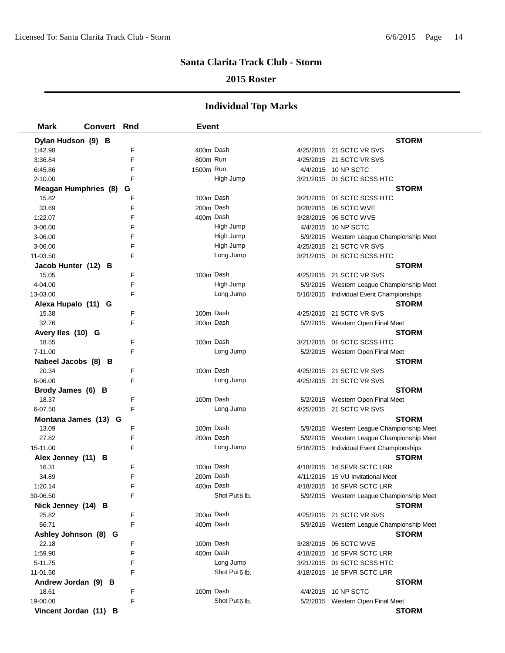### **2015 Roster**

| <b>Mark</b><br><b>Convert Rnd</b> |        | <b>Event</b>           |                           |                                                          |
|-----------------------------------|--------|------------------------|---------------------------|----------------------------------------------------------|
| Dylan Hudson (9) B                |        |                        |                           | <b>STORM</b>                                             |
| 1:42.98                           | F      | 400m Dash              |                           | 4/25/2015 21 SCTC VR SVS                                 |
| 3:36.84                           | E      | 800m Run               |                           | 4/25/2015 21 SCTC VR SVS                                 |
| 6:45.86                           | F      | 1500m Run              |                           | 4/4/2015 10 NP SCTC                                      |
| $2 - 10.00$                       | F      |                        | High Jump                 | 3/21/2015 01 SCTC SCSS HTC                               |
| <b>Meagan Humphries (8)</b>       | G      |                        |                           | <b>STORM</b>                                             |
| 15.82                             | F      | 100m Dash              |                           | 3/21/2015  01 SCTC SCSS HTC                              |
| 33.69                             | F      | 200m Dash              |                           | 3/28/2015 05 SCTC WVE                                    |
| 1:22.07                           | F      | 400m Dash              |                           | 3/28/2015 05 SCTC WVE                                    |
| 3-06.00                           | F      |                        | High Jump                 | 4/4/2015 10 NP SCTC                                      |
| 3-06.00                           | F      |                        | High Jump                 | 5/9/2015 Western League Championship Meet                |
| 3-06.00                           | F      |                        | High Jump                 | 4/25/2015 21 SCTC VR SVS                                 |
| 11-03.50                          | F      |                        | Long Jump                 | 3/21/2015 01 SCTC SCSS HTC                               |
| Jacob Hunter (12) B               |        |                        |                           | <b>STORM</b>                                             |
| 15.05                             | F      | 100m Dash              |                           | 4/25/2015 21 SCTC VR SVS                                 |
| 4-04.00                           | F      |                        | High Jump                 | 5/9/2015 Western League Championship Meet                |
| 13-03.00                          | F      |                        | Long Jump                 | 5/16/2015 Individual Event Championships                 |
| Alexa Hupalo (11) G               |        |                        |                           | <b>STORM</b>                                             |
| 15.38                             | F      | 100m Dash              |                           | 4/25/2015 21 SCTC VR SVS                                 |
| 32.76                             | E      | 200m Dash              |                           | 5/2/2015 Western Open Final Meet                         |
| Avery Iles (10) G                 |        |                        |                           | <b>STORM</b>                                             |
| 18.55                             | F      | 100m Dash              |                           | 3/21/2015 01 SCTC SCSS HTC                               |
| 7-11.00                           | F      |                        | Long Jump                 | 5/2/2015 Western Open Final Meet                         |
| Nabeel Jacobs (8) B               |        |                        |                           | <b>STORM</b>                                             |
| 20.34                             | F      | 100m Dash              |                           | 4/25/2015 21 SCTC VR SVS                                 |
| 6-06.00                           | F      |                        | Long Jump                 | 4/25/2015 21 SCTC VR SVS                                 |
| Brody James (6) B                 |        |                        |                           | <b>STORM</b>                                             |
| 18.37                             | F      | 100m Dash              |                           | 5/2/2015 Western Open Final Meet                         |
| 6-07.50                           | F      |                        | Long Jump                 | 4/25/2015 21 SCTC VR SVS                                 |
| Montana James (13) G              |        |                        |                           | <b>STORM</b>                                             |
| 13.09                             | F      | 100m Dash              |                           | 5/9/2015 Western League Championship Meet                |
| 27.82                             | F      | 200m Dash              |                           | 5/9/2015 Western League Championship Meet                |
| 15-11.00                          | F      |                        | Long Jump                 | 5/16/2015 Individual Event Championships                 |
| Alex Jenney (11) B                |        |                        |                           | <b>STORM</b>                                             |
| 16.31                             | F      | 100m Dash              |                           | 4/18/2015 16 SFVR SCTC LRR                               |
| 34.89                             | F      | 200m Dash              |                           | 4/11/2015 15 VU Invitational Meet                        |
| 1:20.14                           | F      | 400m Dash              |                           | 4/18/2015 16 SFVR SCTC LRR                               |
| 30-06.50                          |        |                        | Shot Put6 lb.             | 5/9/2015 Western League Championship Meet                |
| Nick Jenney (14) B                |        |                        |                           | <b>STORM</b>                                             |
| 25.82                             | F<br>F | 200m Dash              |                           | 4/25/2015 21 SCTC VR SVS                                 |
| 56.71                             |        | 400m Dash              |                           | 5/9/2015 Western League Championship Meet                |
| Ashley Johnson (8) G              |        |                        |                           | <b>STORM</b>                                             |
| 22.18                             | F      | 100m Dash<br>400m Dash |                           | 3/28/2015 05 SCTC WVE                                    |
| 1:59.90                           | F<br>F |                        | Long Jump                 | 4/18/2015 16 SFVR SCTC LRR<br>3/21/2015 01 SCTC SCSS HTC |
| 5-11.75<br>11-01.50               | F      |                        | Shot Put <sub>6</sub> lb. | 4/18/2015 16 SFVR SCTC LRR                               |
|                                   |        |                        |                           |                                                          |
| Andrew Jordan (9) B               | F      | 100m Dash              |                           | <b>STORM</b><br>4/4/2015 10 NP SCTC                      |
| 18.61<br>19-00.00                 | F      |                        | Shot Put <sub>6</sub> lb. |                                                          |
|                                   |        |                        |                           | 5/2/2015 Western Open Final Meet                         |
| Vincent Jordan (11) B             |        |                        |                           | <b>STORM</b>                                             |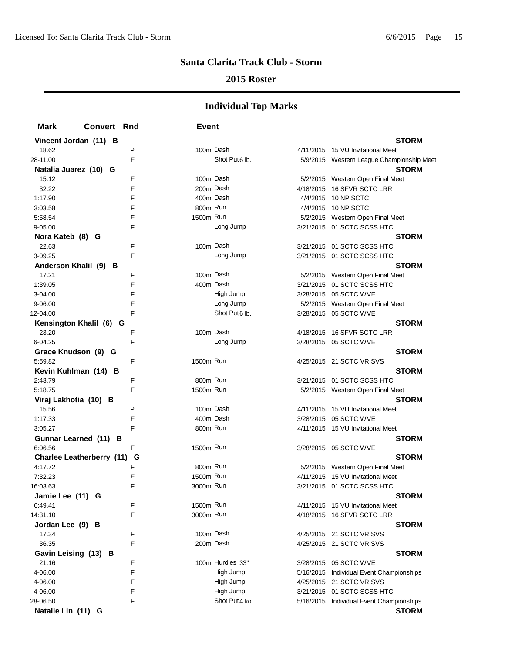### **2015 Roster**

| <b>Mark</b><br><b>Convert Rnd</b> |   | <b>Event</b> |                           |                                           |
|-----------------------------------|---|--------------|---------------------------|-------------------------------------------|
| Vincent Jordan (11) B             |   |              |                           | <b>STORM</b>                              |
| 18.62                             | P | 100m Dash    |                           | 4/11/2015 15 VU Invitational Meet         |
| 28-11.00                          | E |              | Shot Put <sub>6</sub> lb. | 5/9/2015 Western League Championship Meet |
| Natalia Juarez (10) G             |   |              |                           | <b>STORM</b>                              |
| 15.12                             | F | 100m Dash    |                           | 5/2/2015 Western Open Final Meet          |
| 32.22                             | F | 200m Dash    |                           | 4/18/2015 16 SFVR SCTC LRR                |
| 1:17.90                           | F | 400m Dash    |                           | 4/4/2015 10 NP SCTC                       |
| 3:03.58                           | F | 800m Run     |                           | 4/4/2015 10 NP SCTC                       |
| 5:58.54                           | F | 1500m Run    |                           | 5/2/2015 Western Open Final Meet          |
| $9 - 05.00$                       | F |              | Long Jump                 | 3/21/2015 01 SCTC SCSS HTC                |
| Nora Kateb (8) G                  |   |              |                           | <b>STORM</b>                              |
| 22.63                             | F | 100m Dash    |                           | 3/21/2015 01 SCTC SCSS HTC                |
| 3-09.25                           | F |              | Long Jump                 | 3/21/2015 01 SCTC SCSS HTC                |
| Anderson Khalil (9) B             |   |              |                           | <b>STORM</b>                              |
| 17.21                             | F | 100m Dash    |                           | 5/2/2015 Western Open Final Meet          |
| 1:39.05                           | F | 400m Dash    |                           | 3/21/2015 01 SCTC SCSS HTC                |
| 3-04.00                           | F |              | High Jump                 | 3/28/2015 05 SCTC WVE                     |
| 9-06.00                           | F |              | Long Jump                 | 5/2/2015 Western Open Final Meet          |
| 12-04.00                          | F |              | Shot Put6 lb.             | 3/28/2015 05 SCTC WVE                     |
| Kensington Khalil (6) G           |   |              |                           | <b>STORM</b>                              |
| 23.20                             | F | 100m Dash    |                           | 4/18/2015 16 SFVR SCTC LRR                |
| 6-04.25                           | F |              | Long Jump                 | 3/28/2015 05 SCTC WVE                     |
| Grace Knudson (9) G               |   |              |                           | <b>STORM</b>                              |
| 5:59.82                           | F | 1500m Run    |                           | 4/25/2015 21 SCTC VR SVS                  |
| Kevin Kuhlman (14) B              |   |              |                           | <b>STORM</b>                              |
| 2:43.79                           | F | 800m Run     |                           | 3/21/2015 01 SCTC SCSS HTC                |
| 5:18.75                           | F | 1500m Run    |                           | 5/2/2015 Western Open Final Meet          |
| Viraj Lakhotia (10) B             |   |              |                           | <b>STORM</b>                              |
| 15.56                             | P | 100m Dash    |                           | 4/11/2015 15 VU Invitational Meet         |
| 1:17.33                           | F | 400m Dash    |                           | 3/28/2015 05 SCTC WVE                     |
| 3:05.27                           | F | 800m Run     |                           | 4/11/2015 15 VU Invitational Meet         |
| Gunnar Learned (11) B             |   |              |                           | <b>STORM</b>                              |
| 6:06.56                           | F | 1500m Run    |                           | 3/28/2015 05 SCTC WVE                     |
| <b>Charlee Leatherberry (11)</b>  | G |              |                           | <b>STORM</b>                              |
| 4:17.72                           | F | 800m Run     |                           | 5/2/2015 Western Open Final Meet          |
| 7:32.23                           | F | 1500m Run    |                           | 4/11/2015 15 VU Invitational Meet         |
| 16:03.63                          | F | 3000m Run    |                           | 3/21/2015  01 SCTC SCSS HTC               |
| Jamie Lee (11) G                  |   |              |                           | <b>STORM</b>                              |
| 6:49.41                           | F | 1500m Run    |                           | 4/11/2015 15 VU Invitational Meet         |
| 14:31.10                          | F | 3000m Run    |                           | 4/18/2015 16 SFVR SCTC LRR                |
| Jordan Lee (9) B                  |   |              |                           | <b>STORM</b>                              |
| 17.34                             | F | 100m Dash    |                           | 4/25/2015 21 SCTC VR SVS                  |
| 36.35                             | F | 200m Dash    |                           | 4/25/2015 21 SCTC VR SVS                  |
| Gavin Leising (13) B              |   |              |                           | <b>STORM</b>                              |
| 21.16                             | F |              | 100m Hurdles 33"          | 3/28/2015 05 SCTC WVE                     |
| 4-06.00                           | F |              | High Jump                 | 5/16/2015 Individual Event Championships  |
| 4-06.00                           | F |              | High Jump                 | 4/25/2015 21 SCTC VR SVS                  |
| 4-06.00                           | F |              | High Jump                 | 3/21/2015 01 SCTC SCSS HTC                |
| 28-06.50                          | F |              | Shot Put4 kg.             | 5/16/2015 Individual Event Championships  |
| Natalie Lin (11) G                |   |              |                           | <b>STORM</b>                              |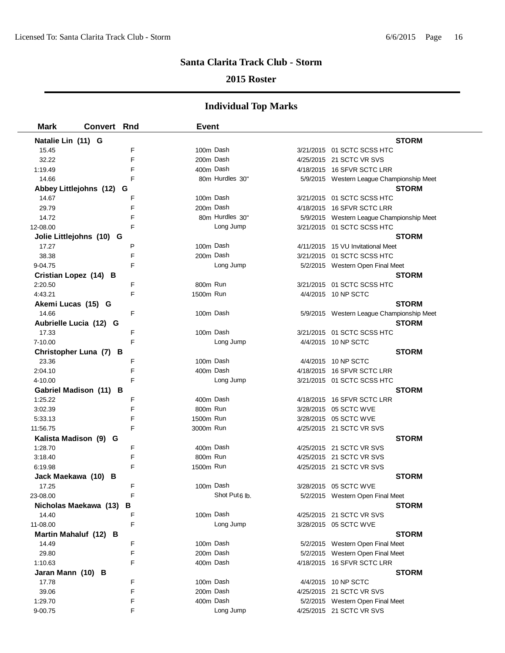### **2015 Roster**

| <b>Mark</b>        | <b>Convert Rnd</b>          | <b>Event</b> |                 |                                           |
|--------------------|-----------------------------|--------------|-----------------|-------------------------------------------|
| Natalie Lin (11) G |                             |              |                 | <b>STORM</b>                              |
| 15.45              | F                           |              | 100m Dash       | 3/21/2015 01 SCTC SCSS HTC                |
| 32.22              | E                           |              | 200m Dash       | 4/25/2015 21 SCTC VR SVS                  |
| 1:19.49            | F                           |              | 400m Dash       | 4/18/2015 16 SFVR SCTC LRR                |
| 14.66              | F                           |              | 80m Hurdles 30" | 5/9/2015 Western League Championship Meet |
|                    | Abbey Littlejohns (12)<br>G |              |                 | <b>STORM</b>                              |
| 14.67              | F                           |              | 100m Dash       | 3/21/2015 01 SCTC SCSS HTC                |
| 29.79              | F                           |              | 200m Dash       | 4/18/2015 16 SFVR SCTC LRR                |
| 14.72              | F                           |              | 80m Hurdles 30" | 5/9/2015 Western League Championship Meet |
| 12-08.00           | F                           |              | Long Jump       | 3/21/2015 01 SCTC SCSS HTC                |
|                    | Jolie Littlejohns (10) G    |              |                 | <b>STORM</b>                              |
| 17.27              | P                           |              | 100m Dash       | 4/11/2015 15 VU Invitational Meet         |
| 38.38              | F                           |              | 200m Dash       | 3/21/2015 01 SCTC SCSS HTC                |
| 9-04.75            | F                           |              | Long Jump       | 5/2/2015 Western Open Final Meet          |
|                    | Cristian Lopez (14) B       |              |                 | <b>STORM</b>                              |
| 2:20.50            | F                           | 800m Run     |                 | 3/21/2015 01 SCTC SCSS HTC                |
| 4:43.21            | F                           | 1500m Run    |                 | 4/4/2015 10 NP SCTC                       |
| Akemi Lucas (15) G |                             |              |                 | <b>STORM</b>                              |
| 14.66              | F                           |              | 100m Dash       | 5/9/2015 Western League Championship Meet |
|                    | Aubrielle Lucia (12) G      |              |                 | <b>STORM</b>                              |
| 17.33              | F                           |              | 100m Dash       | 3/21/2015 01 SCTC SCSS HTC                |
| 7-10.00            | F                           |              | Long Jump       | 4/4/2015 10 NP SCTC                       |
|                    | Christopher Luna (7) B      |              |                 | <b>STORM</b>                              |
| 23.36              | F                           |              | 100m Dash       | 4/4/2015 10 NP SCTC                       |
| 2:04.10            | F                           |              | 400m Dash       | 4/18/2015 16 SFVR SCTC LRR                |
| 4-10.00            | F                           |              | Long Jump       | 3/21/2015 01 SCTC SCSS HTC                |
|                    | Gabriel Madison (11) B      |              |                 | <b>STORM</b>                              |
| 1:25.22            | F                           |              | 400m Dash       | 4/18/2015 16 SFVR SCTC LRR                |
| 3:02.39            | F                           | 800m Run     |                 | 3/28/2015 05 SCTC WVE                     |
| 5:33.13            | F                           | 1500m Run    |                 | 3/28/2015 05 SCTC WVE                     |
| 11:56.75           | F                           | 3000m Run    |                 | 4/25/2015 21 SCTC VR SVS                  |
|                    | Kalista Madison (9) G       |              |                 | <b>STORM</b>                              |
| 1:28.70            | F                           |              | 400m Dash       | 4/25/2015 21 SCTC VR SVS                  |
| 3:18.40            | F                           | 800m Run     |                 | 4/25/2015 21 SCTC VR SVS                  |
| 6:19.98            | F                           | 1500m Run    |                 | 4/25/2015 21 SCTC VR SVS                  |
|                    | Jack Maekawa (10) B         |              |                 | <b>STORM</b>                              |
| 17.25              | F                           |              | 100m Dash       | 3/28/2015 05 SCTC WVE                     |
| 23-08.00           |                             |              | Shot Put6 lb.   | 5/2/2015 Western Open Final Meet          |
|                    | Nicholas Maekawa (13)<br>В  |              |                 | <b>STORM</b>                              |
| 14.40              | F                           |              | 100m Dash       | 4/25/2015 21 SCTC VR SVS                  |
| 11-08.00           | F                           |              | Long Jump       | 3/28/2015 05 SCTC WVE                     |
|                    | Martin Mahaluf (12) B       |              |                 | <b>STORM</b>                              |
| 14.49              | F                           |              | 100m Dash       | 5/2/2015 Western Open Final Meet          |
| 29.80              | F                           |              | 200m Dash       | 5/2/2015 Western Open Final Meet          |
| 1:10.63            | F                           |              | 400m Dash       | 4/18/2015 16 SFVR SCTC LRR                |
| Jaran Mann (10) B  |                             |              |                 | <b>STORM</b>                              |
| 17.78              | F                           |              | 100m Dash       | 4/4/2015 10 NP SCTC                       |
| 39.06              | F                           |              | 200m Dash       | 4/25/2015 21 SCTC VR SVS                  |
| 1:29.70            | F                           |              | 400m Dash       | 5/2/2015 Western Open Final Meet          |
| 9-00.75            | F                           |              | Long Jump       | 4/25/2015 21 SCTC VR SVS                  |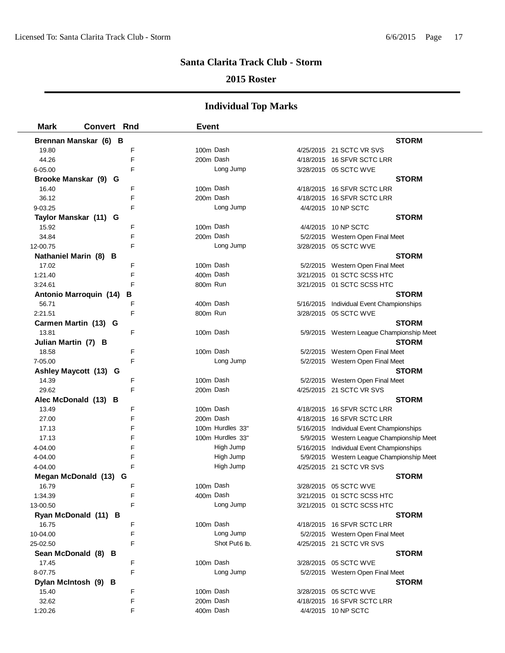### **2015 Roster**

| <b>Mark</b>                   | <b>Convert Rnd</b> | <b>Event</b> |                  |                                           |
|-------------------------------|--------------------|--------------|------------------|-------------------------------------------|
| Brennan Manskar (6) B         |                    |              |                  | <b>STORM</b>                              |
| 19.80                         | F                  |              | 100m Dash        | 4/25/2015 21 SCTC VR SVS                  |
| 44.26                         | F                  |              | 200m Dash        | 4/18/2015 16 SFVR SCTC LRR                |
| 6-05.00                       | F                  |              | Long Jump        | 3/28/2015 05 SCTC WVE                     |
| Brooke Manskar (9) G          |                    |              |                  | <b>STORM</b>                              |
| 16.40                         | F                  |              | 100m Dash        | 4/18/2015 16 SFVR SCTC LRR                |
| 36.12                         | F                  |              | 200m Dash        | 4/18/2015 16 SFVR SCTC LRR                |
| 9-03.25                       | F                  |              | Long Jump        | 4/4/2015 10 NP SCTC                       |
| Taylor Manskar (11) G         |                    |              |                  | <b>STORM</b>                              |
| 15.92                         | F                  |              | 100m Dash        | 4/4/2015 10 NP SCTC                       |
| 34.84                         | F                  |              | 200m Dash        | 5/2/2015 Western Open Final Meet          |
| 12-00.75                      | F                  |              | Long Jump        | 3/28/2015 05 SCTC WVE                     |
| Nathaniel Marin (8) B         |                    |              |                  | <b>STORM</b>                              |
| 17.02                         | F                  |              | 100m Dash        | 5/2/2015 Western Open Final Meet          |
| 1:21.40                       | F                  |              | 400m Dash        | 3/21/2015 01 SCTC SCSS HTC                |
| 3:24.61                       | F                  | 800m Run     |                  | 3/21/2015 01 SCTC SCSS HTC                |
| <b>Antonio Marroquin (14)</b> | в                  |              |                  | <b>STORM</b>                              |
| 56.71                         | F                  |              | 400m Dash        | 5/16/2015 Individual Event Championships  |
| 2:21.51                       | F                  | 800m Run     |                  | 3/28/2015 05 SCTC WVE                     |
| Carmen Martin (13) G          |                    |              |                  | <b>STORM</b>                              |
| 13.81                         | F                  |              | 100m Dash        | 5/9/2015 Western League Championship Meet |
| Julian Martin (7) B           |                    |              |                  | <b>STORM</b>                              |
| 18.58                         | F                  |              | 100m Dash        | 5/2/2015 Western Open Final Meet          |
| 7-05.00                       | F                  |              | Long Jump        | 5/2/2015 Western Open Final Meet          |
| Ashley Maycott (13) G         |                    |              |                  | <b>STORM</b>                              |
| 14.39                         | F                  |              | 100m Dash        | 5/2/2015 Western Open Final Meet          |
| 29.62                         | F                  |              | 200m Dash        | 4/25/2015 21 SCTC VR SVS                  |
| Alec McDonald (13) B          |                    |              |                  | <b>STORM</b>                              |
| 13.49                         | F                  |              | 100m Dash        | 4/18/2015 16 SFVR SCTC LRR                |
| 27.00                         | F                  |              | 200m Dash        | 4/18/2015 16 SFVR SCTC LRR                |
| 17.13                         | F                  |              | 100m Hurdles 33" | 5/16/2015 Individual Event Championships  |
| 17.13                         | F                  |              | 100m Hurdles 33" | 5/9/2015 Western League Championship Meet |
| 4-04.00                       | F                  |              | High Jump        | 5/16/2015 Individual Event Championships  |
| 4-04.00                       | F                  |              | High Jump        | 5/9/2015 Western League Championship Meet |
| 4-04.00                       | F                  |              | High Jump        | 4/25/2015 21 SCTC VR SVS                  |
| Megan McDonald (13)           | G                  |              |                  | <b>STORM</b>                              |
| 16.79                         | F                  |              | 100m Dash        | 3/28/2015 05 SCTC WVE                     |
| 1:34.39                       | F                  |              | 400m Dash        | 3/21/2015 01 SCTC SCSS HTC                |
| 13-00.50                      | F                  |              | Long Jump        | 3/21/2015 01 SCTC SCSS HTC                |
| Ryan McDonald (11) B          |                    |              |                  | <b>STORM</b>                              |
| 16.75                         | F                  |              | 100m Dash        | 4/18/2015 16 SFVR SCTC LRR                |
| 10-04.00                      | F                  |              | Long Jump        | 5/2/2015 Western Open Final Meet          |
| 25-02.50                      | F                  |              | Shot Put6 lb.    | 4/25/2015 21 SCTC VR SVS                  |
| Sean McDonald (8) B           |                    |              |                  | <b>STORM</b>                              |
| 17.45                         | F                  |              | 100m Dash        | 3/28/2015 05 SCTC WVE                     |
| 8-07.75                       | F                  |              | Long Jump        | 5/2/2015 Western Open Final Meet          |
| Dylan McIntosh (9) B          |                    |              |                  | <b>STORM</b>                              |
| 15.40                         | F                  |              | 100m Dash        | 3/28/2015 05 SCTC WVE                     |
| 32.62                         | F                  |              | 200m Dash        | 4/18/2015 16 SFVR SCTC LRR                |
| 1:20.26                       | F                  |              | 400m Dash        | 4/4/2015 10 NP SCTC                       |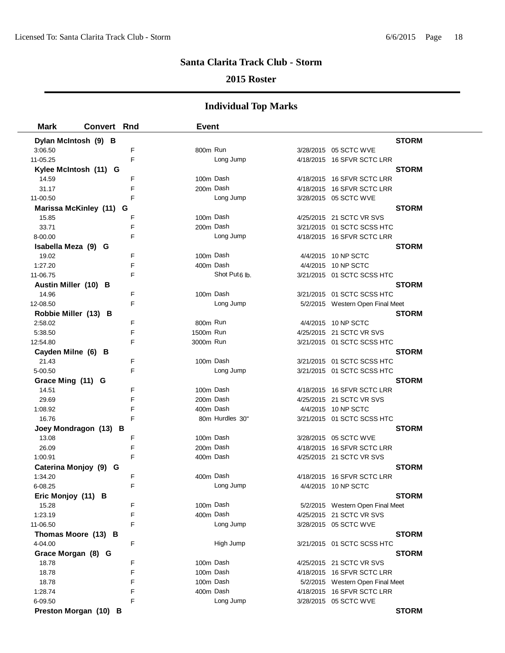### **2015 Roster**

| <b>Mark</b>             | <b>Convert Rnd</b> | <b>Event</b> |                           |                                                                |
|-------------------------|--------------------|--------------|---------------------------|----------------------------------------------------------------|
| Dylan McIntosh (9) B    |                    |              |                           | <b>STORM</b>                                                   |
| 3:06.50                 | F                  | 800m Run     |                           | 3/28/2015 05 SCTC WVE                                          |
| 11-05.25                | E                  |              | Long Jump                 | 4/18/2015 16 SFVR SCTC LRR                                     |
| Kylee McIntosh (11) G   |                    |              |                           | <b>STORM</b>                                                   |
| 14.59                   | F                  | 100m Dash    |                           | 4/18/2015    16 SFVR SCTC LRR                                  |
| 31.17                   | F                  | 200m Dash    |                           | 4/18/2015 16 SFVR SCTC LRR                                     |
| 11-00.50                | F                  |              | Long Jump                 | 3/28/2015 05 SCTC WVE                                          |
| Marissa McKinley (11) G |                    |              |                           | <b>STORM</b>                                                   |
| 15.85                   | F                  | 100m Dash    |                           | 4/25/2015 21 SCTC VR SVS                                       |
| 33.71                   | F                  | 200m Dash    |                           | 3/21/2015 01 SCTC SCSS HTC                                     |
| 8-00.00                 | F                  |              | Long Jump                 | 4/18/2015 16 SFVR SCTC LRR                                     |
| Isabella Meza (9) G     |                    |              |                           | <b>STORM</b>                                                   |
| 19.02                   | F                  | 100m Dash    |                           | 4/4/2015 10 NP SCTC                                            |
| 1:27.20                 | F                  | 400m Dash    |                           | 4/4/2015 10 NP SCTC                                            |
| 11-06.75                | F                  |              | Shot Put <sub>6</sub> lb. | 3/21/2015 01 SCTC SCSS HTC                                     |
| Austin Miller (10) B    |                    |              |                           | <b>STORM</b>                                                   |
| 14.96                   | F                  | 100m Dash    |                           | 3/21/2015  01 SCTC SCSS HTC                                    |
| 12-08.50                | F                  |              | Long Jump                 | 5/2/2015 Western Open Final Meet                               |
| Robbie Miller (13) B    |                    |              |                           | <b>STORM</b>                                                   |
| 2:58.02                 | F                  | 800m Run     |                           | 4/4/2015 10 NP SCTC                                            |
| 5:38.50                 | F                  | 1500m Run    |                           | 4/25/2015 21 SCTC VR SVS                                       |
| 12:54.80                | F                  | 3000m Run    |                           | 3/21/2015  01 SCTC SCSS HTC                                    |
| Cayden Milne (6) B      |                    |              |                           | <b>STORM</b>                                                   |
| 21.43                   | F                  | 100m Dash    |                           | 3/21/2015 01 SCTC SCSS HTC                                     |
| 5-00.50                 | F                  |              | Long Jump                 | 3/21/2015 01 SCTC SCSS HTC                                     |
| Grace Ming (11) G       |                    |              |                           | <b>STORM</b>                                                   |
| 14.51                   | F                  | 100m Dash    |                           | 4/18/2015 16 SFVR SCTC LRR                                     |
| 29.69                   | F                  | 200m Dash    |                           | 4/25/2015 21 SCTC VR SVS                                       |
| 1:08.92                 | F                  | 400m Dash    |                           | 4/4/2015 10 NP SCTC                                            |
| 16.76                   | F                  |              | 80m Hurdles 30"           | 3/21/2015 01 SCTC SCSS HTC                                     |
| Joey Mondragon (13) B   |                    |              |                           | <b>STORM</b>                                                   |
| 13.08                   | F                  | 100m Dash    |                           | 3/28/2015  05 SCTC WVE                                         |
| 26.09                   | F                  | 200m Dash    |                           | 4/18/2015 16 SFVR SCTC LRR                                     |
| 1:00.91                 | F                  | 400m Dash    |                           | 4/25/2015 21 SCTC VR SVS                                       |
| Caterina Monjoy (9) G   |                    |              |                           | <b>STORM</b>                                                   |
| 1:34.20                 | F                  | 400m Dash    |                           | 4/18/2015    16 SFVR SCTC LRR                                  |
| 6-08.25                 | F                  |              | Long Jump                 | 4/4/2015 10 NP SCTC                                            |
| Eric Monjoy (11) B      |                    |              |                           | <b>STORM</b>                                                   |
| 15.28                   | F                  | 100m Dash    |                           | 5/2/2015 Western Open Final Meet                               |
| 1:23.19                 | F                  | 400m Dash    |                           | 4/25/2015 21 SCTC VR SVS                                       |
| 11-06.50                | F                  |              | Long Jump                 | 3/28/2015 05 SCTC WVE                                          |
| Thomas Moore (13) B     |                    |              |                           | <b>STORM</b>                                                   |
| 4-04.00                 | F                  |              | High Jump                 | 3/21/2015 01 SCTC SCSS HTC                                     |
| Grace Morgan (8) G      | F                  | 100m Dash    |                           | <b>STORM</b>                                                   |
| 18.78<br>18.78          | F                  | 100m Dash    |                           | 4/25/2015 21 SCTC VR SVS<br>4/18/2015 16 SFVR SCTC LRR         |
|                         | F                  | 100m Dash    |                           |                                                                |
| 18.78<br>1:28.74        | F                  | 400m Dash    |                           | 5/2/2015 Western Open Final Meet<br>4/18/2015 16 SFVR SCTC LRR |
| 6-09.50                 | F                  |              | Long Jump                 |                                                                |
|                         |                    |              |                           | 3/28/2015 05 SCTC WVE<br><b>STORM</b>                          |
| Preston Morgan (10) B   |                    |              |                           |                                                                |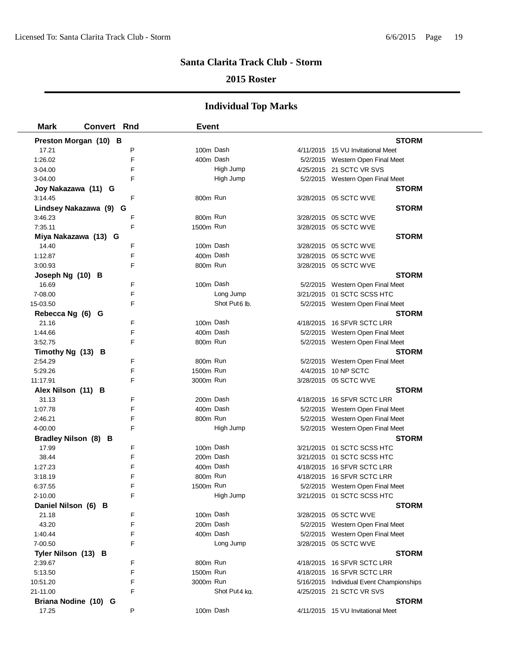### **2015 Roster**

| <b>Mark</b>           | <b>Convert Rnd</b> | <b>Event</b> |               |                                          |  |
|-----------------------|--------------------|--------------|---------------|------------------------------------------|--|
| Preston Morgan (10) B |                    |              |               | <b>STORM</b>                             |  |
| 17.21                 | P                  | 100m Dash    |               | 4/11/2015 15 VU Invitational Meet        |  |
| 1:26.02               | F                  | 400m Dash    |               | 5/2/2015 Western Open Final Meet         |  |
| 3-04.00               | F                  |              | High Jump     | 4/25/2015 21 SCTC VR SVS                 |  |
| 3-04.00               | F                  |              | High Jump     | 5/2/2015 Western Open Final Meet         |  |
| Joy Nakazawa (11) G   |                    |              |               | <b>STORM</b>                             |  |
| 3:14.45               | F                  | 800m Run     |               | 3/28/2015  05 SCTC WVE                   |  |
| Lindsey Nakazawa (9)  | G                  |              |               | <b>STORM</b>                             |  |
| 3:46.23               | F                  | 800m Run     |               | 3/28/2015 05 SCTC WVE                    |  |
| 7:35.11               | F                  | 1500m Run    |               | 3/28/2015 05 SCTC WVE                    |  |
| Miya Nakazawa (13) G  |                    |              |               | <b>STORM</b>                             |  |
| 14.40                 | F                  | 100m Dash    |               | 3/28/2015 05 SCTC WVE                    |  |
| 1:12.87               | F                  | 400m Dash    |               | 3/28/2015 05 SCTC WVE                    |  |
| 3:00.93               | F                  | 800m Run     |               | 3/28/2015 05 SCTC WVE                    |  |
| Joseph Ng (10) B      |                    |              |               | <b>STORM</b>                             |  |
| 16.69                 | F                  |              | 100m Dash     | 5/2/2015 Western Open Final Meet         |  |
| 7-08.00               | F                  |              | Long Jump     | 3/21/2015  01 SCTC SCSS HTC              |  |
| 15-03.50              | F                  |              | Shot Put6 lb. | 5/2/2015 Western Open Final Meet         |  |
| Rebecca Ng (6) G      |                    |              |               | <b>STORM</b>                             |  |
| 21.16                 | F                  | 100m Dash    |               | 4/18/2015 16 SFVR SCTC LRR               |  |
| 1:44.66               | F                  | 400m Dash    |               | 5/2/2015 Western Open Final Meet         |  |
| 3:52.75               | F                  | 800m Run     |               | 5/2/2015 Western Open Final Meet         |  |
| Timothy Ng (13) B     |                    |              |               | <b>STORM</b>                             |  |
| 2:54.29               | F                  | 800m Run     |               | 5/2/2015 Western Open Final Meet         |  |
| 5:29.26               | F                  | 1500m Run    |               | 4/4/2015 10 NP SCTC                      |  |
| 11:17.91              | F                  | 3000m Run    |               | 3/28/2015 05 SCTC WVE                    |  |
| Alex Nilson (11) B    |                    |              |               | <b>STORM</b>                             |  |
| 31.13                 | F                  | 200m Dash    |               | 4/18/2015 16 SFVR SCTC LRR               |  |
| 1:07.78               | F                  | 400m Dash    |               | 5/2/2015 Western Open Final Meet         |  |
| 2:46.21               | F                  | 800m Run     |               | 5/2/2015 Western Open Final Meet         |  |
| 4-00.00               | F                  |              | High Jump     | 5/2/2015 Western Open Final Meet         |  |
| Bradley Nilson (8) B  |                    |              |               | <b>STORM</b>                             |  |
| 17.99                 | F                  | 100m Dash    |               | 3/21/2015 01 SCTC SCSS HTC               |  |
| 38.44                 | F                  | 200m Dash    |               | 3/21/2015 01 SCTC SCSS HTC               |  |
| 1:27.23               | F                  | 400m Dash    |               | 4/18/2015 16 SFVR SCTC LRR               |  |
| 3:18.19               | F                  | 800m Run     |               | 4/18/2015 16 SFVR SCTC LRR               |  |
| 6:37.55               | F                  | 1500m Run    |               | 5/2/2015 Western Open Final Meet         |  |
| $2 - 10.00$           | F                  |              | High Jump     | 3/21/2015 01 SCTC SCSS HTC               |  |
| Daniel Nilson (6) B   |                    |              |               | <b>STORM</b>                             |  |
| 21.18                 | F                  | 100m Dash    |               | 3/28/2015 05 SCTC WVE                    |  |
| 43.20                 | F                  | 200m Dash    |               | 5/2/2015 Western Open Final Meet         |  |
| 1:40.44               | F                  | 400m Dash    |               | 5/2/2015 Western Open Final Meet         |  |
| 7-00.50               | F                  |              | Long Jump     | 3/28/2015 05 SCTC WVE                    |  |
| Tyler Nilson (13) B   |                    |              |               | <b>STORM</b>                             |  |
| 2:39.67               | F                  | 800m Run     |               | 4/18/2015 16 SFVR SCTC LRR               |  |
| 5:13.50               | F                  | 1500m Run    |               | 4/18/2015 16 SFVR SCTC LRR               |  |
| 10:51.20              | F                  | 3000m Run    |               | 5/16/2015 Individual Event Championships |  |
| 21-11.00              | F                  |              | Shot Put4 ka. | 4/25/2015 21 SCTC VR SVS                 |  |
| Briana Nodine (10) G  |                    |              |               | <b>STORM</b>                             |  |
| 17.25                 | P                  | 100m Dash    |               | 4/11/2015 15 VU Invitational Meet        |  |
|                       |                    |              |               |                                          |  |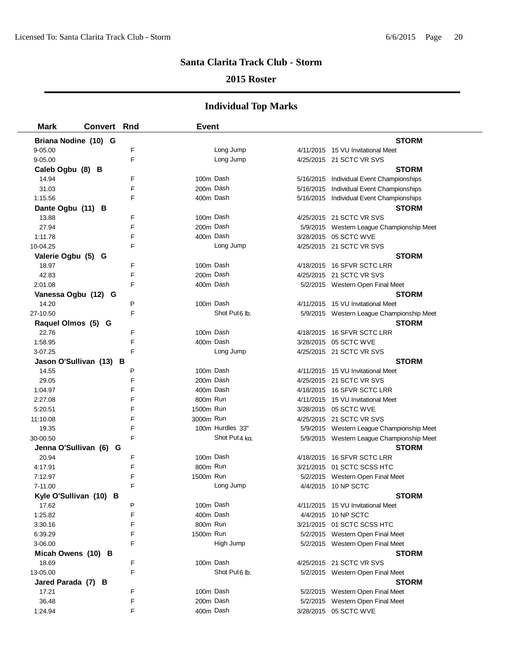### **2015 Roster**

| <b>Mark</b>             | <b>Convert Rnd</b> |   | <b>Event</b> |                           |                                           |
|-------------------------|--------------------|---|--------------|---------------------------|-------------------------------------------|
| Briana Nodine (10) G    |                    |   |              |                           | <b>STORM</b>                              |
| 9-05.00                 |                    | F |              | Long Jump                 | 4/11/2015 15 VU Invitational Meet         |
| 9-05.00                 |                    | F |              | Long Jump                 | 4/25/2015 21 SCTC VR SVS                  |
| Caleb Ogbu (8) B        |                    |   |              |                           | <b>STORM</b>                              |
| 14.94                   |                    | F | 100m Dash    |                           | 5/16/2015 Individual Event Championships  |
| 31.03                   |                    | F | 200m Dash    |                           | 5/16/2015 Individual Event Championships  |
| 1:15.56                 |                    | F | 400m Dash    |                           | 5/16/2015 Individual Event Championships  |
| Dante Ogbu (11) B       |                    |   |              |                           | <b>STORM</b>                              |
| 13.88                   |                    | F | 100m Dash    |                           | 4/25/2015 21 SCTC VR SVS                  |
| 27.94                   |                    | F | 200m Dash    |                           | 5/9/2015 Western League Championship Meet |
| 1:11.78                 |                    | F | 400m Dash    |                           | 3/28/2015 05 SCTC WVE                     |
| 10-04.25                |                    | F |              | Long Jump                 | 4/25/2015 21 SCTC VR SVS                  |
| Valerie Ogbu (5) G      |                    |   |              |                           | <b>STORM</b>                              |
| 18.97                   |                    | F | 100m Dash    |                           | 4/18/2015 16 SFVR SCTC LRR                |
| 42.83                   |                    | F | 200m Dash    |                           | 4/25/2015 21 SCTC VR SVS                  |
| 2:01.08                 |                    | F | 400m Dash    |                           | 5/2/2015 Western Open Final Meet          |
| Vanessa Ogbu (12) G     |                    |   |              |                           | <b>STORM</b>                              |
| 14.20                   |                    | P | 100m Dash    |                           | 4/11/2015 15 VU Invitational Meet         |
| 27-10.50                |                    | F |              | Shot Put6 lb.             | 5/9/2015 Western League Championship Meet |
| Raquel Olmos (5) G      |                    |   |              |                           | <b>STORM</b>                              |
| 22.76                   |                    | F | 100m Dash    |                           | 4/18/2015 16 SFVR SCTC LRR                |
| 1:58.95                 |                    | F | 400m Dash    |                           | 3/28/2015 05 SCTC WVE                     |
| 3-07.25                 |                    | F |              | Long Jump                 | 4/25/2015 21 SCTC VR SVS                  |
| Jason O'Sullivan (13) B |                    |   |              |                           | <b>STORM</b>                              |
| 14.55                   |                    | P | 100m Dash    |                           | 4/11/2015 15 VU Invitational Meet         |
| 29.05                   |                    | F | 200m Dash    |                           | 4/25/2015 21 SCTC VR SVS                  |
| 1:04.97                 |                    | F | 400m Dash    |                           | 4/18/2015 16 SFVR SCTC LRR                |
| 2:27.08                 |                    | F | 800m Run     |                           | 4/11/2015 15 VU Invitational Meet         |
| 5:20.51                 |                    | F | 1500m Run    |                           | 3/28/2015 05 SCTC WVE                     |
| 11:10.08                |                    | F | 3000m Run    |                           | 4/25/2015 21 SCTC VR SVS                  |
| 19.35                   |                    | F |              | 100m Hurdles 33"          | 5/9/2015 Western League Championship Meet |
| 30-00.50                |                    | F |              | Shot Put4 ka.             | 5/9/2015 Western League Championship Meet |
| Jenna O'Sullivan (6) G  |                    |   |              |                           | <b>STORM</b>                              |
| 20.94                   |                    | F | 100m Dash    |                           | 4/18/2015 16 SFVR SCTC LRR                |
| 4:17.91                 |                    | F | 800m Run     |                           | 3/21/2015 01 SCTC SCSS HTC                |
| 7:12.97                 |                    | F | 1500m Run    |                           | 5/2/2015 Western Open Final Meet          |
| 7-11.00                 |                    | F |              | Long Jump                 | 4/4/2015 10 NP SCTC                       |
| Kyle O'Sullivan (10) B  |                    |   |              |                           | <b>STORM</b>                              |
| 17.62                   |                    | P | 100m Dash    |                           | 4/11/2015 15 VU Invitational Meet         |
| 1:25.82                 |                    | F | 400m Dash    |                           | 4/4/2015 10 NP SCTC                       |
| 3:30.16                 |                    | F | 800m Run     |                           | 3/21/2015 01 SCTC SCSS HTC                |
| 6:39.29                 |                    | F | 1500m Run    |                           | 5/2/2015 Western Open Final Meet          |
| 3-06.00                 |                    | F |              | High Jump                 | 5/2/2015 Western Open Final Meet          |
| Micah Owens (10) B      |                    |   |              |                           | <b>STORM</b>                              |
| 18.69                   |                    | F | 100m Dash    |                           | 4/25/2015 21 SCTC VR SVS                  |
| 13-05.00                |                    | F |              | Shot Put <sub>6</sub> lb. | 5/2/2015 Western Open Final Meet          |
| Jared Parada (7) B      |                    |   |              |                           | <b>STORM</b>                              |
| 17.21                   |                    | F | 100m Dash    |                           | 5/2/2015 Western Open Final Meet          |
| 36.48                   |                    | F | 200m Dash    |                           | 5/2/2015 Western Open Final Meet          |
| 1:24.94                 |                    | F | 400m Dash    |                           | 3/28/2015 05 SCTC WVE                     |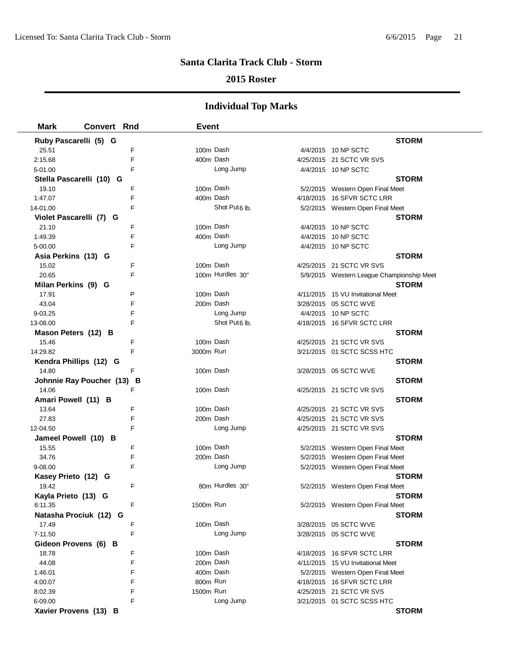### **2015 Roster**

| <b>Mark</b>              | <b>Convert Rnd</b>              | <b>Event</b>              |                                           |
|--------------------------|---------------------------------|---------------------------|-------------------------------------------|
| Ruby Pascarelli (5) G    |                                 |                           | <b>STORM</b>                              |
| 25.51                    | F                               | 100m Dash                 | 4/4/2015 10 NP SCTC                       |
| 2:15.68                  | F                               | 400m Dash                 | 4/25/2015 21 SCTC VR SVS                  |
| 5-01.00                  | F                               | Long Jump                 | 4/4/2015 10 NP SCTC                       |
| Stella Pascarelli (10) G |                                 |                           | <b>STORM</b>                              |
| 19.10                    | F                               | 100m Dash                 | 5/2/2015 Western Open Final Meet          |
| 1:47.07                  | F                               | 400m Dash                 | 4/18/2015 16 SFVR SCTC LRR                |
| 14-01.00                 | F                               | Shot Put <sub>6</sub> lb. | 5/2/2015 Western Open Final Meet          |
| Violet Pascarelli (7) G  |                                 |                           | <b>STORM</b>                              |
| 21.10                    | F                               | 100m Dash                 | 4/4/2015 10 NP SCTC                       |
| 1:49.39                  | F                               | 400m Dash                 | 4/4/2015 10 NP SCTC                       |
| 5-00.00                  | F                               | Long Jump                 | 4/4/2015 10 NP SCTC                       |
| Asia Perkins (13) G      |                                 |                           | <b>STORM</b>                              |
| 15.02                    | F                               | 100m Dash                 | 4/25/2015 21 SCTC VR SVS                  |
| 20.65                    | F                               | 100m Hurdles 30"          | 5/9/2015 Western League Championship Meet |
| Milan Perkins (9) G      |                                 |                           | <b>STORM</b>                              |
| 17.91                    | P                               | 100m Dash                 | 4/11/2015 15 VU Invitational Meet         |
| 43.04                    | F                               | 200m Dash                 | 3/28/2015 05 SCTC WVE                     |
| 9-03.25                  | F                               | Long Jump                 | 4/4/2015 10 NP SCTC                       |
| 13-08.00                 | F                               | Shot Put <sub>6</sub> lb. | 4/18/2015 16 SFVR SCTC LRR                |
| Mason Peters (12) B      |                                 |                           | <b>STORM</b>                              |
| 15.46                    | F                               | 100m Dash                 | 4/25/2015 21 SCTC VR SVS                  |
| 14:29.82                 | F                               | 3000m Run                 | 3/21/2015 01 SCTC SCSS HTC                |
| Kendra Phillips (12) G   |                                 |                           | <b>STORM</b>                              |
| 14.80                    | F                               | 100m Dash                 | 3/28/2015 05 SCTC WVE                     |
|                          | Johnnie Ray Poucher (13)<br>- В |                           | <b>STORM</b>                              |
| 14.06                    | F                               | 100m Dash                 | 4/25/2015 21 SCTC VR SVS                  |
| Amari Powell (11) B      |                                 |                           | <b>STORM</b>                              |
| 13.64                    | F                               | 100m Dash                 | 4/25/2015 21 SCTC VR SVS                  |
| 27.83                    | F                               | 200m Dash                 | 4/25/2015 21 SCTC VR SVS                  |
| 12-04.50                 | F                               | Long Jump                 | 4/25/2015 21 SCTC VR SVS                  |
| Jameel Powell (10) B     |                                 |                           | <b>STORM</b>                              |
| 15.55                    | F                               | 100m Dash                 | 5/2/2015 Western Open Final Meet          |
| 34.76                    | F                               | 200m Dash                 | 5/2/2015 Western Open Final Meet          |
| 9-08.00                  | F                               | Long Jump                 | 5/2/2015 Western Open Final Meet          |
| Kasey Prieto (12) G      |                                 |                           | <b>STORM</b>                              |
| 19.42                    | F                               | 80m Hurdles 30"           | 5/2/2015 Western Open Final Meet          |
| Kayla Prieto (13) G      |                                 |                           | <b>STORM</b>                              |
| 6:11.35                  | F                               | 1500m Run                 | 5/2/2015 Western Open Final Meet          |
| Natasha Prociuk (12) G   |                                 |                           | <b>STORM</b>                              |
| 17.49                    | F                               | 100m Dash                 | 3/28/2015 05 SCTC WVE                     |
| 7-11.50                  | F                               | Long Jump                 | 3/28/2015 05 SCTC WVE                     |
| Gideon Provens (6) B     |                                 |                           | <b>STORM</b>                              |
| 18.78                    | F                               | 100m Dash                 | 4/18/2015 16 SFVR SCTC LRR                |
| 44.08                    | F                               | 200m Dash                 | 4/11/2015 15 VU Invitational Meet         |
| 1:46.01                  | F                               | 400m Dash                 | 5/2/2015 Western Open Final Meet          |
| 4:00.07                  | F                               | 800m Run                  | 4/18/2015 16 SFVR SCTC LRR                |
| 8:02.39                  | F                               | 1500m Run                 | 4/25/2015 21 SCTC VR SVS                  |
| 6-09.00                  | F                               | Long Jump                 | 3/21/2015 01 SCTC SCSS HTC                |
| Xavier Provens (13) B    |                                 |                           | <b>STORM</b>                              |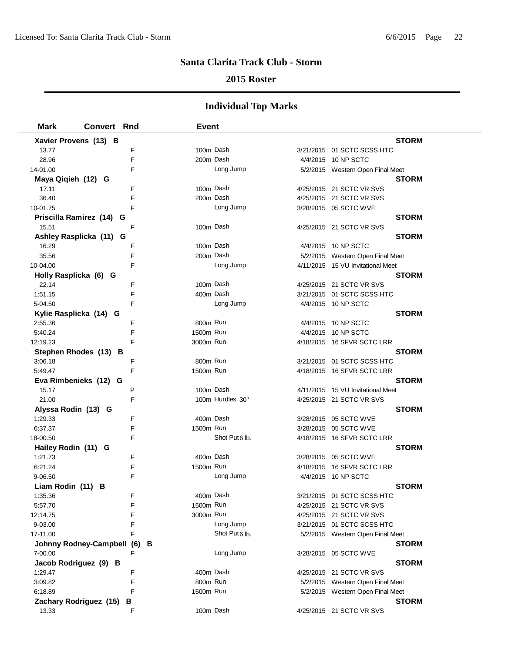### **2015 Roster**

| <b>Mark</b>                       | <b>Convert Rnd</b>         |        | <b>Event</b> |                           |                                          |
|-----------------------------------|----------------------------|--------|--------------|---------------------------|------------------------------------------|
| Xavier Provens (13) B             |                            |        |              |                           | <b>STORM</b>                             |
| 13.77                             |                            | F      |              | 100m Dash                 | 3/21/2015 01 SCTC SCSS HTC               |
| 28.96                             |                            | F      |              | 200m Dash                 | 4/4/2015 10 NP SCTC                      |
| 14-01.00                          |                            | F      |              | Long Jump                 | 5/2/2015 Western Open Final Meet         |
| Maya Qiqieh (12) G                |                            |        |              |                           | <b>STORM</b>                             |
| 17.11                             |                            | F      |              | 100m Dash                 | 4/25/2015 21 SCTC VR SVS                 |
| 36.40                             |                            | F      |              | 200m Dash                 | 4/25/2015 21 SCTC VR SVS                 |
| 10-01.75                          |                            | F      |              | Long Jump                 | 3/28/2015 05 SCTC WVE                    |
|                                   | Priscilla Ramirez (14) G   |        |              |                           | <b>STORM</b>                             |
| 15.51                             |                            | F      |              | 100m Dash                 | 4/25/2015 21 SCTC VR SVS                 |
|                                   | Ashley Rasplicka (11) G    |        |              |                           | <b>STORM</b>                             |
| 16.29                             |                            | F      |              | 100m Dash                 | 4/4/2015 10 NP SCTC                      |
| 35.56                             |                            | F      |              | 200m Dash                 | 5/2/2015 Western Open Final Meet         |
| 10-04.00                          |                            | F      |              | Long Jump                 | 4/11/2015 15 VU Invitational Meet        |
| Holly Rasplicka (6) G             |                            |        |              |                           | <b>STORM</b>                             |
| 22.14                             |                            | F      |              | 100m Dash                 | 4/25/2015 21 SCTC VR SVS                 |
| 1:51.15                           |                            | F      |              | 400m Dash                 | 3/21/2015 01 SCTC SCSS HTC               |
| 5-04.50                           |                            | F      |              | Long Jump                 | 4/4/2015 10 NP SCTC                      |
| Kylie Rasplicka (14) G            |                            |        |              |                           | <b>STORM</b>                             |
| 2:55.36                           |                            | F      | 800m Run     |                           | 4/4/2015 10 NP SCTC                      |
| 5:40.24                           |                            | F      | 1500m Run    |                           | 4/4/2015 10 NP SCTC                      |
| 12:19.23                          |                            | F      | 3000m Run    |                           | 4/18/2015 16 SFVR SCTC LRR               |
| Stephen Rhodes (13) B             |                            |        |              |                           | <b>STORM</b>                             |
| 3:06.18                           |                            | F      | 800m Run     |                           | 3/21/2015 01 SCTC SCSS HTC               |
| 5:49.47                           |                            | F      | 1500m Run    |                           | 4/18/2015 16 SFVR SCTC LRR               |
| Eva Rimbenieks (12) G             |                            |        |              |                           | <b>STORM</b>                             |
| 15.17                             |                            | P      |              | 100m Dash                 | 4/11/2015 15 VU Invitational Meet        |
| 21.00                             |                            | F      |              | 100m Hurdles 30"          | 4/25/2015 21 SCTC VR SVS                 |
| Alyssa Rodin (13) G               |                            |        |              |                           | <b>STORM</b>                             |
| 1:29.33                           |                            | F      |              | 400m Dash                 | 3/28/2015 05 SCTC WVE                    |
| 6:37.37                           |                            | F      | 1500m Run    |                           | 3/28/2015 05 SCTC WVE                    |
| 18-00.50                          |                            | F      |              | Shot Put <sub>6</sub> lb. | 4/18/2015 16 SFVR SCTC LRR               |
| Hailey Rodin (11) G               |                            |        |              |                           | <b>STORM</b>                             |
| 1:21.73                           |                            | F      |              | 400m Dash                 | 3/28/2015 05 SCTC WVE                    |
| 6:21.24                           |                            | F      | 1500m Run    |                           | 4/18/2015 16 SFVR SCTC LRR               |
| 9-06.50                           |                            | F      |              | Long Jump                 | 4/4/2015 10 NP SCTC                      |
| Liam Rodin (11) B                 |                            |        |              |                           | <b>STORM</b>                             |
| 1:35.36                           |                            | F      |              | 400m Dash                 | 3/21/2015 01 SCTC SCSS HTC               |
| 5:57.70                           |                            | F      | 1500m Run    |                           | 4/25/2015 21 SCTC VR SVS                 |
| 12:14.75                          |                            | F      | 3000m Run    |                           | 4/25/2015 21 SCTC VR SVS                 |
| $9 - 03.00$                       |                            | F<br>F |              | Long Jump                 | 3/21/2015 01 SCTC SCSS HTC               |
| 17-11.00                          |                            |        |              | Shot Put <sub>6</sub> lb. | 5/2/2015 Western Open Final Meet         |
|                                   | Johnny Rodney-Campbell (6) | F      | в            | Long Jump                 | <b>STORM</b>                             |
| 7-00.00                           |                            |        |              |                           | 3/28/2015 05 SCTC WVE                    |
| Jacob Rodriguez (9) B<br>1:29.47  |                            | F      |              | 400m Dash                 | <b>STORM</b><br>4/25/2015 21 SCTC VR SVS |
| 3:09.82                           |                            | F      | 800m Run     |                           | 5/2/2015 Western Open Final Meet         |
| 6:18.89                           |                            | F      | 1500m Run    |                           | 5/2/2015 Western Open Final Meet         |
|                                   |                            |        |              |                           | <b>STORM</b>                             |
| Zachary Rodriguez (15) B<br>13.33 |                            | F      |              | 100m Dash                 | 4/25/2015 21 SCTC VR SVS                 |
|                                   |                            |        |              |                           |                                          |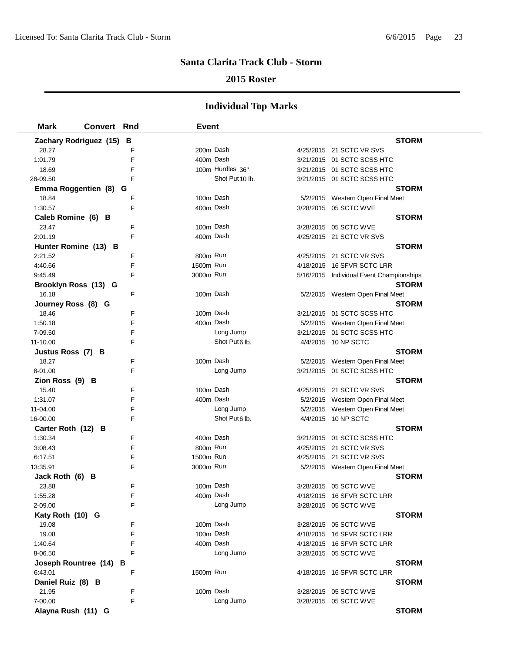### **2015 Roster**

| <b>Mark</b>        | <b>Convert Rnd</b>       | Event     |                  |                                          |  |
|--------------------|--------------------------|-----------|------------------|------------------------------------------|--|
|                    | Zachary Rodriguez (15) B |           |                  | <b>STORM</b>                             |  |
| 28.27              | F                        | 200m Dash |                  | 4/25/2015 21 SCTC VR SVS                 |  |
| 1:01.79            | F                        | 400m Dash |                  | 3/21/2015 01 SCTC SCSS HTC               |  |
| 18.69              | F                        |           | 100m Hurdles 36" | 3/21/2015 01 SCTC SCSS HTC               |  |
| 28-09.50           | F                        |           | Shot Put 10 lb.  | 3/21/2015 01 SCTC SCSS HTC               |  |
|                    | Emma Roggentien (8) G    |           |                  | <b>STORM</b>                             |  |
| 18.84              | F                        | 100m Dash |                  | 5/2/2015 Western Open Final Meet         |  |
| 1:30.57            | F                        | 400m Dash |                  | 3/28/2015 05 SCTC WVE                    |  |
| Caleb Romine (6) B |                          |           |                  | <b>STORM</b>                             |  |
| 23.47              | F                        | 100m Dash |                  | 3/28/2015 05 SCTC WVE                    |  |
| 2:01.19            | F                        | 400m Dash |                  | 4/25/2015 21 SCTC VR SVS                 |  |
|                    | Hunter Romine (13) B     |           |                  | <b>STORM</b>                             |  |
| 2:21.52            | F                        | 800m Run  |                  | 4/25/2015 21 SCTC VR SVS                 |  |
| 4:40.66            | F                        | 1500m Run |                  | 4/18/2015 16 SFVR SCTC LRR               |  |
| 9:45.49            | F                        | 3000m Run |                  | 5/16/2015 Individual Event Championships |  |
|                    | Brooklyn Ross (13) G     |           |                  | <b>STORM</b>                             |  |
| 16.18              | F                        | 100m Dash |                  | 5/2/2015 Western Open Final Meet         |  |
| Journey Ross (8) G |                          |           |                  | <b>STORM</b>                             |  |
| 18.46              | F                        | 100m Dash |                  | 3/21/2015 01 SCTC SCSS HTC               |  |
| 1:50.18            | F                        | 400m Dash |                  | 5/2/2015 Western Open Final Meet         |  |
| 7-09.50            | F                        |           | Long Jump        | 3/21/2015 01 SCTC SCSS HTC               |  |
| 11-10.00           | F                        |           | Shot Put6 lb.    | 4/4/2015 10 NP SCTC                      |  |
| Justus Ross (7) B  |                          |           |                  | <b>STORM</b>                             |  |
| 18.27              | F                        | 100m Dash |                  | 5/2/2015 Western Open Final Meet         |  |
| 8-01.00            | F                        |           | Long Jump        | 3/21/2015 01 SCTC SCSS HTC               |  |
| Zion Ross (9) B    |                          |           |                  | <b>STORM</b>                             |  |
| 15.40              | F                        | 100m Dash |                  | 4/25/2015 21 SCTC VR SVS                 |  |
| 1:31.07            | F                        | 400m Dash |                  | 5/2/2015 Western Open Final Meet         |  |
| 11-04.00           | F                        |           | Long Jump        | 5/2/2015 Western Open Final Meet         |  |
| 16-00.00           | F                        |           | Shot Put6 lb.    | 4/4/2015 10 NP SCTC                      |  |
| Carter Roth (12) B |                          |           |                  | <b>STORM</b>                             |  |
| 1:30.34            | F                        | 400m Dash |                  | 3/21/2015 01 SCTC SCSS HTC               |  |
| 3:08.43            | F                        | 800m Run  |                  | 4/25/2015 21 SCTC VR SVS                 |  |
| 6:17.51            | F                        | 1500m Run |                  | 4/25/2015 21 SCTC VR SVS                 |  |
| 13:35.91           | F                        | 3000m Run |                  | 5/2/2015 Western Open Final Meet         |  |
| Jack Roth (6) B    |                          |           |                  | <b>STORM</b>                             |  |
| 23.88              | F                        | 100m Dash |                  | 3/28/2015 05 SCTC WVE                    |  |
| 1:55.28            | F                        | 400m Dash |                  | 4/18/2015 16 SFVR SCTC LRR               |  |
| 2-09.00            | F                        |           | Long Jump        | 3/28/2015 05 SCTC WVE                    |  |
| Katy Roth (10) G   |                          |           |                  | <b>STORM</b>                             |  |
| 19.08              | F                        | 100m Dash |                  | 3/28/2015 05 SCTC WVE                    |  |
| 19.08              | F                        | 100m Dash |                  | 4/18/2015 16 SFVR SCTC LRR               |  |
| 1:40.64            | F                        | 400m Dash |                  | 4/18/2015 16 SFVR SCTC LRR               |  |
| 8-06.50            | F                        |           | Long Jump        | 3/28/2015 05 SCTC WVE                    |  |
|                    | Joseph Rountree (14) B   | 1500m Run |                  | <b>STORM</b>                             |  |
| 6:43.01            | F                        |           |                  | 4/18/2015 16 SFVR SCTC LRR               |  |
| Daniel Ruiz (8) B  |                          | 100m Dash |                  | <b>STORM</b>                             |  |
| 21.95              | F                        |           |                  | 3/28/2015 05 SCTC WVE                    |  |
| 7-00.00            | F                        |           | Long Jump        | 3/28/2015 05 SCTC WVE                    |  |
| Alayna Rush (11) G |                          |           |                  | <b>STORM</b>                             |  |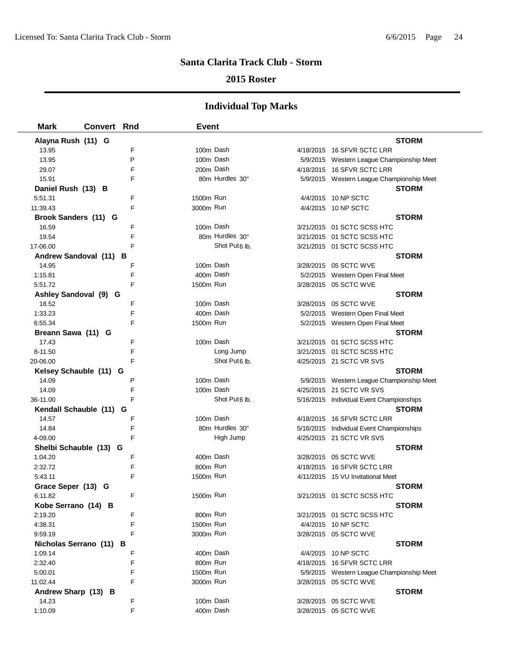### **2015 Roster**

| <b>Mark</b>         | <b>Convert Rnd</b>      | <b>Event</b>              |                                           |
|---------------------|-------------------------|---------------------------|-------------------------------------------|
| Alayna Rush (11) G  |                         |                           | <b>STORM</b>                              |
| 13.95               | F                       | 100m Dash                 | 4/18/2015 16 SFVR SCTC LRR                |
| 13.95               | P                       | 100m Dash                 | 5/9/2015 Western League Championship Meet |
| 29.07               | F                       | 200m Dash                 | 4/18/2015 16 SFVR SCTC LRR                |
| 15.91               | F                       | 80m Hurdles 30"           | 5/9/2015 Western League Championship Meet |
| Daniel Rush (13) B  |                         |                           | <b>STORM</b>                              |
| 5:51.31             | F                       | 1500m Run                 | 4/4/2015 10 NP SCTC                       |
| 11:39.43            | F                       | 3000m Run                 | 4/4/2015 10 NP SCTC                       |
|                     | Brook Sanders (11) G    |                           | <b>STORM</b>                              |
| 16.59               | F                       | 100m Dash                 | 3/21/2015 01 SCTC SCSS HTC                |
| 19.54               | F                       | 80m Hurdles 30"           | 3/21/2015 01 SCTC SCSS HTC                |
| 17-06.00            | F                       | Shot Put6 lb.             | 3/21/2015 01 SCTC SCSS HTC                |
|                     | Andrew Sandoval (11) B  |                           | <b>STORM</b>                              |
| 14.95               | F                       | 100m Dash                 | 3/28/2015 05 SCTC WVE                     |
| 1:15.81             | F                       | 400m Dash                 | 5/2/2015 Western Open Final Meet          |
| 5:51.72             | F                       | 1500m Run                 | 3/28/2015 05 SCTC WVE                     |
|                     | Ashley Sandoval (9) G   |                           | <b>STORM</b>                              |
| 18.52               | F                       | 100m Dash                 | 3/28/2015 05 SCTC WVE                     |
| 1:33.23             | F                       | 400m Dash                 | 5/2/2015 Western Open Final Meet          |
| 6:55.34             | F                       | 1500m Run                 | 5/2/2015 Western Open Final Meet          |
| Breann Sawa (11) G  |                         |                           | <b>STORM</b>                              |
| 17.43               | F                       | 100m Dash                 | 3/21/2015 01 SCTC SCSS HTC                |
| 8-11.50             | F                       | Long Jump                 | 3/21/2015 01 SCTC SCSS HTC                |
| 20-06.00            | F                       | Shot Put <sub>6</sub> lb. | 4/25/2015 21 SCTC VR SVS                  |
|                     | Kelsey Schauble (11) G  |                           | <b>STORM</b>                              |
| 14.09               | P                       | 100m Dash                 | 5/9/2015 Western League Championship Meet |
| 14.09               | F                       | 100m Dash                 | 4/25/2015 21 SCTC VR SVS                  |
| 36-11.00            | F                       | Shot Put6 lb.             | 5/16/2015 Individual Event Championships  |
|                     | Kendall Schauble (11) G |                           | <b>STORM</b>                              |
| 14.57               | F                       | 100m Dash                 | 4/18/2015 16 SFVR SCTC LRR                |
| 14.84               | F                       | 80m Hurdles 30"           | 5/16/2015 Individual Event Championships  |
| 4-09.00             | F                       | High Jump                 | 4/25/2015 21 SCTC VR SVS                  |
|                     | Shelbi Schauble (13) G  |                           | <b>STORM</b>                              |
| 1:04.20             | F                       | 400m Dash                 | 3/28/2015 05 SCTC WVE                     |
| 2:32.72             | F                       | 800m Run                  | 4/18/2015 16 SFVR SCTC LRR                |
| 5:43.11             | F                       | 1500m Run                 | 4/11/2015 15 VU Invitational Meet         |
| Grace Seper (13) G  |                         |                           | <b>STORM</b>                              |
| 6:11.82             | F                       | 1500m Run                 | 3/21/2015 01 SCTC SCSS HTC                |
| Kobe Serrano (14) B |                         |                           | <b>STORM</b>                              |
| 2:19.20             | F                       | 800m Run                  | 3/21/2015 01 SCTC SCSS HTC                |
| 4:38.31             | F                       | 1500m Run                 | 4/4/2015 10 NP SCTC                       |
| 9:59.19             | F                       | 3000m Run                 | 3/28/2015 05 SCTC WVE                     |
|                     | Nicholas Serrano (11) B |                           | <b>STORM</b>                              |
| 1:09.14             | F                       | 400m Dash                 | 4/4/2015 10 NP SCTC                       |
| 2:32.40             | F                       | 800m Run                  | 4/18/2015 16 SFVR SCTC LRR                |
| 5:00.01             | F                       | 1500m Run                 | 5/9/2015 Western League Championship Meet |
| 11:02.44            | F                       | 3000m Run                 | 3/28/2015 05 SCTC WVE                     |
| Andrew Sharp (13) B |                         |                           | <b>STORM</b>                              |
| 14.23               | F                       | 100m Dash                 | 3/28/2015 05 SCTC WVE                     |
| 1:10.09             | F                       | 400m Dash                 | 3/28/2015 05 SCTC WVE                     |
|                     |                         |                           |                                           |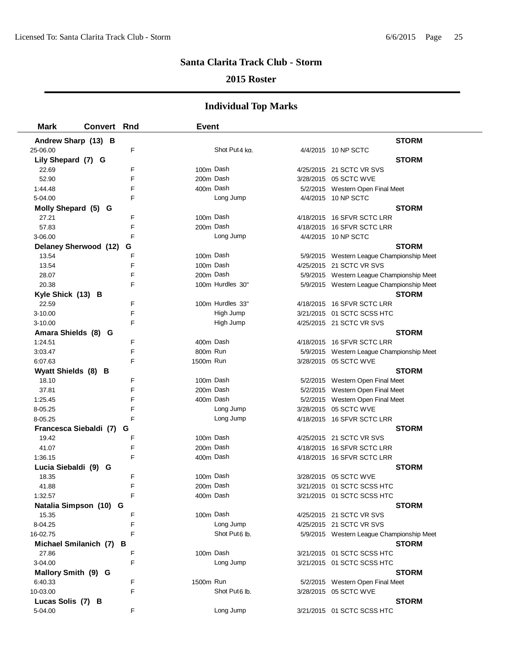### **2015 Roster**

| <b>Mark</b>             | <b>Convert Rnd</b> |             | <b>Event</b> |                           |                                           |
|-------------------------|--------------------|-------------|--------------|---------------------------|-------------------------------------------|
| Andrew Sharp (13) B     |                    |             |              |                           | <b>STORM</b>                              |
| 25-06.00                |                    | $\mathsf F$ |              | Shot Put4 kg.             | 4/4/2015 10 NP SCTC                       |
| Lily Shepard (7) G      |                    |             |              |                           | <b>STORM</b>                              |
| 22.69                   |                    | F           | 100m Dash    |                           | 4/25/2015 21 SCTC VR SVS                  |
| 52.90                   |                    | F           | 200m Dash    |                           | 3/28/2015 05 SCTC WVE                     |
| 1:44.48                 |                    | F           | 400m Dash    |                           | 5/2/2015 Western Open Final Meet          |
| 5-04.00                 |                    | F           |              | Long Jump                 | 4/4/2015 10 NP SCTC                       |
| Molly Shepard (5) G     |                    |             |              |                           | <b>STORM</b>                              |
| 27.21                   |                    | F           | 100m Dash    |                           | 4/18/2015 16 SFVR SCTC LRR                |
| 57.83                   |                    | F           | 200m Dash    |                           | 4/18/2015 16 SFVR SCTC LRR                |
| 3-06.00                 |                    | F           |              | Long Jump                 | 4/4/2015 10 NP SCTC                       |
| Delaney Sherwood (12)   |                    | G           |              |                           | <b>STORM</b>                              |
| 13.54                   |                    | F           | 100m Dash    |                           | 5/9/2015 Western League Championship Meet |
| 13.54                   |                    | F           | 100m Dash    |                           | 4/25/2015 21 SCTC VR SVS                  |
| 28.07                   |                    | F           | 200m Dash    |                           | 5/9/2015 Western League Championship Meet |
| 20.38                   |                    | F           |              | 100m Hurdles 30"          | 5/9/2015 Western League Championship Meet |
| Kyle Shick (13) B       |                    |             |              |                           | <b>STORM</b>                              |
| 22.59                   |                    | F           |              | 100m Hurdles 33"          | 4/18/2015 16 SFVR SCTC LRR                |
| 3-10.00                 |                    | F           |              | High Jump                 | 3/21/2015 01 SCTC SCSS HTC                |
| 3-10.00                 |                    | F           |              | High Jump                 | 4/25/2015 21 SCTC VR SVS                  |
| Amara Shields (8) G     |                    |             |              |                           | <b>STORM</b>                              |
| 1:24.51                 |                    | F           | 400m Dash    |                           | 4/18/2015 16 SFVR SCTC LRR                |
| 3:03.47                 |                    | F           | 800m Run     |                           | 5/9/2015 Western League Championship Meet |
| 6:07.63                 |                    | F           | 1500m Run    |                           | 3/28/2015 05 SCTC WVE                     |
| Wyatt Shields (8) B     |                    |             |              |                           | <b>STORM</b>                              |
| 18.10                   |                    | F           | 100m Dash    |                           | 5/2/2015 Western Open Final Meet          |
| 37.81                   |                    | E           | 200m Dash    |                           | 5/2/2015 Western Open Final Meet          |
| 1:25.45                 |                    | F           | 400m Dash    |                           | 5/2/2015 Western Open Final Meet          |
| 8-05.25                 |                    | F           |              | Long Jump                 | 3/28/2015 05 SCTC WVE                     |
| 8-05.25                 |                    | F           |              | Long Jump                 | 4/18/2015 16 SFVR SCTC LRR                |
| Francesca Siebaldi (7)  |                    | G           |              |                           | <b>STORM</b>                              |
| 19.42                   |                    | F           | 100m Dash    |                           | 4/25/2015 21 SCTC VR SVS                  |
| 41.07                   |                    | F           | 200m Dash    |                           | 4/18/2015 16 SFVR SCTC LRR                |
| 1:36.15                 |                    | F           | 400m Dash    |                           | 4/18/2015 16 SFVR SCTC LRR                |
| Lucia Siebaldi (9) G    |                    |             |              |                           | <b>STORM</b>                              |
| 18.35                   |                    | F           | 100m Dash    |                           | 3/28/2015 05 SCTC WVE                     |
| 41.88                   |                    | F           | 200m Dash    |                           | 3/21/2015  01 SCTC SCSS HTC               |
| 1:32.57                 |                    | F           | 400m Dash    |                           | 3/21/2015 01 SCTC SCSS HTC                |
| Natalia Simpson (10) G  |                    |             |              |                           | <b>STORM</b>                              |
| 15.35                   |                    | F           | 100m Dash    |                           | 4/25/2015 21 SCTC VR SVS                  |
| 8-04.25                 |                    | F           |              | Long Jump                 | 4/25/2015 21 SCTC VR SVS                  |
| 16-02.75                |                    | E           |              | Shot Put6 lb.             | 5/9/2015 Western League Championship Meet |
| Michael Smilanich (7) B |                    |             |              |                           | <b>STORM</b>                              |
| 27.86                   |                    | F           | 100m Dash    |                           | 3/21/2015 01 SCTC SCSS HTC                |
| 3-04.00                 |                    | F           |              | Long Jump                 | 3/21/2015 01 SCTC SCSS HTC                |
| Mallory Smith (9) G     |                    |             |              |                           | <b>STORM</b>                              |
| 6:40.33                 |                    | F           | 1500m Run    |                           | 5/2/2015 Western Open Final Meet          |
| 10-03.00                |                    | F           |              | Shot Put <sub>6</sub> lb. | 3/28/2015 05 SCTC WVE                     |
| Lucas Solis (7) B       |                    |             |              |                           | <b>STORM</b>                              |
| 5-04.00                 |                    | F           |              | Long Jump                 | 3/21/2015 01 SCTC SCSS HTC                |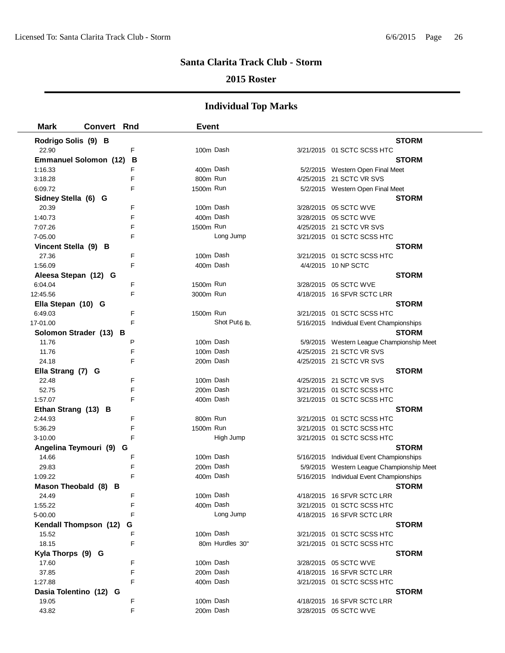### **2015 Roster**

| <b>Mark</b>            | <b>Convert Rnd</b>           |   | <b>Event</b> |                 |                                           |
|------------------------|------------------------------|---|--------------|-----------------|-------------------------------------------|
| Rodrigo Solis (9) B    |                              |   |              |                 | <b>STORM</b>                              |
| 22.90                  |                              | F | 100m Dash    |                 | 3/21/2015 01 SCTC SCSS HTC                |
|                        | <b>Emmanuel Solomon (12)</b> | В |              |                 | STORM                                     |
| 1:16.33                |                              | F | 400m Dash    |                 | 5/2/2015 Western Open Final Meet          |
| 3:18.28                |                              | F | 800m Run     |                 | 4/25/2015 21 SCTC VR SVS                  |
| 6:09.72                |                              | F | 1500m Run    |                 | 5/2/2015 Western Open Final Meet          |
| Sidney Stella (6) G    |                              |   |              |                 | <b>STORM</b>                              |
| 20.39                  |                              | F | 100m Dash    |                 | 3/28/2015 05 SCTC WVE                     |
| 1:40.73                |                              | F | 400m Dash    |                 | 3/28/2015 05 SCTC WVE                     |
| 7:07.26                |                              | F | 1500m Run    |                 | 4/25/2015 21 SCTC VR SVS                  |
| 7-05.00                |                              | F |              | Long Jump       | 3/21/2015 01 SCTC SCSS HTC                |
| Vincent Stella (9) B   |                              |   |              |                 | <b>STORM</b>                              |
| 27.36                  |                              | F | 100m Dash    |                 | 3/21/2015 01 SCTC SCSS HTC                |
| 1:56.09                |                              | F | 400m Dash    |                 | 4/4/2015 10 NP SCTC                       |
| Aleesa Stepan (12) G   |                              |   |              |                 | <b>STORM</b>                              |
| 6:04.04                |                              | F | 1500m Run    |                 | 3/28/2015 05 SCTC WVE                     |
| 12:45.56               |                              | F | 3000m Run    |                 | 4/18/2015 16 SFVR SCTC LRR                |
| Ella Stepan (10) G     |                              |   |              |                 | <b>STORM</b>                              |
| 6:49.03                |                              | F | 1500m Run    |                 | 3/21/2015 01 SCTC SCSS HTC                |
| 17-01.00               |                              | F |              | Shot Put6 lb.   | 5/16/2015 Individual Event Championships  |
|                        | Solomon Strader (13) B       |   |              |                 | <b>STORM</b>                              |
| 11.76                  |                              | P | 100m Dash    |                 | 5/9/2015 Western League Championship Meet |
| 11.76                  |                              | F | 100m Dash    |                 | 4/25/2015 21 SCTC VR SVS                  |
| 24.18                  |                              | F | 200m Dash    |                 | 4/25/2015 21 SCTC VR SVS                  |
| Ella Strang (7) G      |                              |   |              |                 | <b>STORM</b>                              |
| 22.48                  |                              | F | 100m Dash    |                 | 4/25/2015 21 SCTC VR SVS                  |
| 52.75                  |                              | F | 200m Dash    |                 | 3/21/2015 01 SCTC SCSS HTC                |
| 1:57.07                |                              | F | 400m Dash    |                 | 3/21/2015 01 SCTC SCSS HTC                |
| Ethan Strang (13) B    |                              |   |              |                 | <b>STORM</b>                              |
| 2:44.93                |                              | F | 800m Run     |                 | 3/21/2015 01 SCTC SCSS HTC                |
| 5:36.29                |                              | F | 1500m Run    |                 | 3/21/2015 01 SCTC SCSS HTC                |
| 3-10.00                |                              | F |              | High Jump       | 3/21/2015 01 SCTC SCSS HTC                |
| Angelina Teymouri (9)  | G                            |   |              |                 | <b>STORM</b>                              |
| 14.66                  |                              | F | 100m Dash    |                 | 5/16/2015 Individual Event Championships  |
| 29.83                  |                              | F | 200m Dash    |                 | 5/9/2015 Western League Championship Meet |
| 1:09.22                |                              | F | 400m Dash    |                 | 5/16/2015 Individual Event Championships  |
| Mason Theobald (8) B   |                              |   |              |                 | <b>STORM</b>                              |
| 24.49                  |                              |   | 100m Dash    |                 | 4/18/2015 16 SFVR SCTC LRR                |
| 1:55.22                |                              | F | 400m Dash    |                 | 3/21/2015 01 SCTC SCSS HTC                |
| 5-00.00                |                              | F |              | Long Jump       | 4/18/2015 16 SFVR SCTC LRR                |
| Kendall Thompson (12)  |                              | G |              |                 | <b>STORM</b>                              |
| 15.52                  |                              | F | 100m Dash    |                 | 3/21/2015 01 SCTC SCSS HTC                |
| 18.15                  |                              | F |              | 80m Hurdles 30" | 3/21/2015 01 SCTC SCSS HTC                |
| Kyla Thorps (9) G      |                              |   |              |                 | <b>STORM</b>                              |
| 17.60                  |                              | F | 100m Dash    |                 | 3/28/2015 05 SCTC WVE                     |
| 37.85                  |                              | F | 200m Dash    |                 | 4/18/2015 16 SFVR SCTC LRR                |
| 1:27.88                |                              | F | 400m Dash    |                 | 3/21/2015 01 SCTC SCSS HTC                |
| Dasia Tolentino (12) G |                              |   |              |                 | <b>STORM</b>                              |
| 19.05                  |                              | F | 100m Dash    |                 | 4/18/2015 16 SFVR SCTC LRR                |
| 43.82                  |                              | F | 200m Dash    |                 | 3/28/2015 05 SCTC WVE                     |
|                        |                              |   |              |                 |                                           |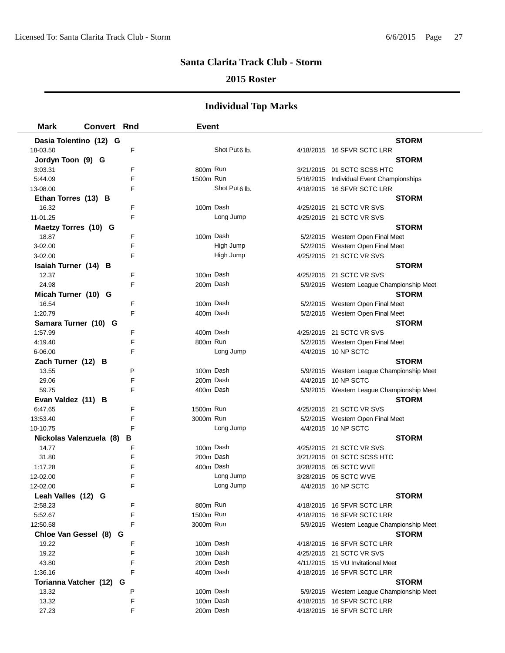### **2015 Roster**

| <b>STORM</b><br>Dasia Tolentino (12) G<br>F<br>Shot Put6 lb.<br>18-03.50<br>4/18/2015 16 SFVR SCTC LRR<br>Jordyn Toon (9) G<br><b>STORM</b><br>800m Run<br>3:03.31<br>F<br>3/21/2015 01 SCTC SCSS HTC<br>1500m Run<br>E<br>5:44.09<br>5/16/2015 Individual Event Championships<br>Shot Put <sub>6</sub> lb.<br>F<br>4/18/2015 16 SFVR SCTC LRR<br>13-08.00<br><b>STORM</b><br>Ethan Torres (13) B<br>100m Dash<br>F<br>16.32<br>4/25/2015 21 SCTC VR SVS<br>F<br>Long Jump<br>11-01.25<br>4/25/2015 21 SCTC VR SVS<br><b>STORM</b><br>Maetzy Torres (10) G<br>100m Dash<br>F<br>18.87<br>5/2/2015 Western Open Final Meet<br>3-02.00<br>F<br>High Jump<br>5/2/2015 Western Open Final Meet<br>High Jump<br>3-02.00<br>F<br>4/25/2015 21 SCTC VR SVS<br><b>STORM</b><br>Isaiah Turner (14) B<br>100m Dash<br>12.37<br>F<br>4/25/2015 21 SCTC VR SVS<br>200m Dash<br>24.98<br>F<br>5/9/2015 Western League Championship Meet<br><b>STORM</b><br>Micah Turner (10) G<br>100m Dash<br>16.54<br>F<br>5/2/2015 Western Open Final Meet<br>F<br>1:20.79<br>400m Dash<br>5/2/2015 Western Open Final Meet<br><b>STORM</b><br>Samara Turner (10) G<br>400m Dash<br>1:57.99<br>F<br>4/25/2015 21 SCTC VR SVS<br>800m Run<br>4:19.40<br>F<br>5/2/2015 Western Open Final Meet<br>Long Jump<br>6-06.00<br>F<br>4/4/2015 10 NP SCTC<br><b>STORM</b><br>Zach Turner (12) B<br>100m Dash<br>P<br>13.55<br>5/9/2015 Western League Championship Meet<br>F<br>200m Dash<br>29.06<br>4/4/2015 10 NP SCTC<br>F<br>400m Dash<br>59.75<br>5/9/2015 Western League Championship Meet<br><b>STORM</b><br>Evan Valdez (11) B<br>1500m Run<br>6:47.65<br>F<br>4/25/2015 21 SCTC VR SVS<br>F<br>3000m Run<br>13:53.40<br>5/2/2015 Western Open Final Meet<br>Long Jump<br>F<br>4/4/2015 10 NP SCTC<br>10-10.75<br><b>STORM</b><br>Nickolas Valenzuela (8)<br>в<br>100m Dash<br>14.77<br>F<br>4/25/2015 21 SCTC VR SVS<br>200m Dash<br>F<br>31.80<br>3/21/2015 01 SCTC SCSS HTC<br>400m Dash<br>1:17.28<br>F<br>3/28/2015 05 SCTC WVE<br>Long Jump<br>12-02.00<br>F<br>3/28/2015 05 SCTC WVE<br>F<br>Long Jump<br>12-02.00<br>4/4/2015 10 NP SCTC<br>Leah Valles (12) G<br><b>STORM</b><br>800m Run<br>2:58.23<br>F<br>4/18/2015 16 SFVR SCTC LRR<br>F<br>1500m Run<br>5:52.67<br>4/18/2015 16 SFVR SCTC LRR<br>F<br>3000m Run<br>12:50.58<br>5/9/2015 Western League Championship Meet<br>Chloe Van Gessel (8) G<br><b>STORM</b><br>F<br>100m Dash<br>19.22<br>4/18/2015 16 SFVR SCTC LRR<br>19.22<br>F<br>100m Dash<br>4/25/2015 21 SCTC VR SVS<br>200m Dash<br>43.80<br>F<br>4/11/2015 15 VU Invitational Meet<br>F<br>400m Dash<br>1:36.16<br>4/18/2015 16 SFVR SCTC LRR<br><b>STORM</b><br>Torianna Vatcher (12) G<br>P<br>100m Dash<br>5/9/2015 Western League Championship Meet<br>13.32<br>100m Dash<br>13.32<br>F<br>4/18/2015 16 SFVR SCTC LRR | <b>Mark</b> | <b>Convert Rnd</b> |   | <b>Event</b> |  |  |
|-------------------------------------------------------------------------------------------------------------------------------------------------------------------------------------------------------------------------------------------------------------------------------------------------------------------------------------------------------------------------------------------------------------------------------------------------------------------------------------------------------------------------------------------------------------------------------------------------------------------------------------------------------------------------------------------------------------------------------------------------------------------------------------------------------------------------------------------------------------------------------------------------------------------------------------------------------------------------------------------------------------------------------------------------------------------------------------------------------------------------------------------------------------------------------------------------------------------------------------------------------------------------------------------------------------------------------------------------------------------------------------------------------------------------------------------------------------------------------------------------------------------------------------------------------------------------------------------------------------------------------------------------------------------------------------------------------------------------------------------------------------------------------------------------------------------------------------------------------------------------------------------------------------------------------------------------------------------------------------------------------------------------------------------------------------------------------------------------------------------------------------------------------------------------------------------------------------------------------------------------------------------------------------------------------------------------------------------------------------------------------------------------------------------------------------------------------------------------------------------------------------------------------------------------------------------------------------------------------------------------------------------------------------------------------------------------------------------------------------------------------------------------------------------------------------------------------|-------------|--------------------|---|--------------|--|--|
|                                                                                                                                                                                                                                                                                                                                                                                                                                                                                                                                                                                                                                                                                                                                                                                                                                                                                                                                                                                                                                                                                                                                                                                                                                                                                                                                                                                                                                                                                                                                                                                                                                                                                                                                                                                                                                                                                                                                                                                                                                                                                                                                                                                                                                                                                                                                                                                                                                                                                                                                                                                                                                                                                                                                                                                                                               |             |                    |   |              |  |  |
|                                                                                                                                                                                                                                                                                                                                                                                                                                                                                                                                                                                                                                                                                                                                                                                                                                                                                                                                                                                                                                                                                                                                                                                                                                                                                                                                                                                                                                                                                                                                                                                                                                                                                                                                                                                                                                                                                                                                                                                                                                                                                                                                                                                                                                                                                                                                                                                                                                                                                                                                                                                                                                                                                                                                                                                                                               |             |                    |   |              |  |  |
|                                                                                                                                                                                                                                                                                                                                                                                                                                                                                                                                                                                                                                                                                                                                                                                                                                                                                                                                                                                                                                                                                                                                                                                                                                                                                                                                                                                                                                                                                                                                                                                                                                                                                                                                                                                                                                                                                                                                                                                                                                                                                                                                                                                                                                                                                                                                                                                                                                                                                                                                                                                                                                                                                                                                                                                                                               |             |                    |   |              |  |  |
|                                                                                                                                                                                                                                                                                                                                                                                                                                                                                                                                                                                                                                                                                                                                                                                                                                                                                                                                                                                                                                                                                                                                                                                                                                                                                                                                                                                                                                                                                                                                                                                                                                                                                                                                                                                                                                                                                                                                                                                                                                                                                                                                                                                                                                                                                                                                                                                                                                                                                                                                                                                                                                                                                                                                                                                                                               |             |                    |   |              |  |  |
|                                                                                                                                                                                                                                                                                                                                                                                                                                                                                                                                                                                                                                                                                                                                                                                                                                                                                                                                                                                                                                                                                                                                                                                                                                                                                                                                                                                                                                                                                                                                                                                                                                                                                                                                                                                                                                                                                                                                                                                                                                                                                                                                                                                                                                                                                                                                                                                                                                                                                                                                                                                                                                                                                                                                                                                                                               |             |                    |   |              |  |  |
|                                                                                                                                                                                                                                                                                                                                                                                                                                                                                                                                                                                                                                                                                                                                                                                                                                                                                                                                                                                                                                                                                                                                                                                                                                                                                                                                                                                                                                                                                                                                                                                                                                                                                                                                                                                                                                                                                                                                                                                                                                                                                                                                                                                                                                                                                                                                                                                                                                                                                                                                                                                                                                                                                                                                                                                                                               |             |                    |   |              |  |  |
|                                                                                                                                                                                                                                                                                                                                                                                                                                                                                                                                                                                                                                                                                                                                                                                                                                                                                                                                                                                                                                                                                                                                                                                                                                                                                                                                                                                                                                                                                                                                                                                                                                                                                                                                                                                                                                                                                                                                                                                                                                                                                                                                                                                                                                                                                                                                                                                                                                                                                                                                                                                                                                                                                                                                                                                                                               |             |                    |   |              |  |  |
|                                                                                                                                                                                                                                                                                                                                                                                                                                                                                                                                                                                                                                                                                                                                                                                                                                                                                                                                                                                                                                                                                                                                                                                                                                                                                                                                                                                                                                                                                                                                                                                                                                                                                                                                                                                                                                                                                                                                                                                                                                                                                                                                                                                                                                                                                                                                                                                                                                                                                                                                                                                                                                                                                                                                                                                                                               |             |                    |   |              |  |  |
|                                                                                                                                                                                                                                                                                                                                                                                                                                                                                                                                                                                                                                                                                                                                                                                                                                                                                                                                                                                                                                                                                                                                                                                                                                                                                                                                                                                                                                                                                                                                                                                                                                                                                                                                                                                                                                                                                                                                                                                                                                                                                                                                                                                                                                                                                                                                                                                                                                                                                                                                                                                                                                                                                                                                                                                                                               |             |                    |   |              |  |  |
|                                                                                                                                                                                                                                                                                                                                                                                                                                                                                                                                                                                                                                                                                                                                                                                                                                                                                                                                                                                                                                                                                                                                                                                                                                                                                                                                                                                                                                                                                                                                                                                                                                                                                                                                                                                                                                                                                                                                                                                                                                                                                                                                                                                                                                                                                                                                                                                                                                                                                                                                                                                                                                                                                                                                                                                                                               |             |                    |   |              |  |  |
|                                                                                                                                                                                                                                                                                                                                                                                                                                                                                                                                                                                                                                                                                                                                                                                                                                                                                                                                                                                                                                                                                                                                                                                                                                                                                                                                                                                                                                                                                                                                                                                                                                                                                                                                                                                                                                                                                                                                                                                                                                                                                                                                                                                                                                                                                                                                                                                                                                                                                                                                                                                                                                                                                                                                                                                                                               |             |                    |   |              |  |  |
|                                                                                                                                                                                                                                                                                                                                                                                                                                                                                                                                                                                                                                                                                                                                                                                                                                                                                                                                                                                                                                                                                                                                                                                                                                                                                                                                                                                                                                                                                                                                                                                                                                                                                                                                                                                                                                                                                                                                                                                                                                                                                                                                                                                                                                                                                                                                                                                                                                                                                                                                                                                                                                                                                                                                                                                                                               |             |                    |   |              |  |  |
|                                                                                                                                                                                                                                                                                                                                                                                                                                                                                                                                                                                                                                                                                                                                                                                                                                                                                                                                                                                                                                                                                                                                                                                                                                                                                                                                                                                                                                                                                                                                                                                                                                                                                                                                                                                                                                                                                                                                                                                                                                                                                                                                                                                                                                                                                                                                                                                                                                                                                                                                                                                                                                                                                                                                                                                                                               |             |                    |   |              |  |  |
|                                                                                                                                                                                                                                                                                                                                                                                                                                                                                                                                                                                                                                                                                                                                                                                                                                                                                                                                                                                                                                                                                                                                                                                                                                                                                                                                                                                                                                                                                                                                                                                                                                                                                                                                                                                                                                                                                                                                                                                                                                                                                                                                                                                                                                                                                                                                                                                                                                                                                                                                                                                                                                                                                                                                                                                                                               |             |                    |   |              |  |  |
|                                                                                                                                                                                                                                                                                                                                                                                                                                                                                                                                                                                                                                                                                                                                                                                                                                                                                                                                                                                                                                                                                                                                                                                                                                                                                                                                                                                                                                                                                                                                                                                                                                                                                                                                                                                                                                                                                                                                                                                                                                                                                                                                                                                                                                                                                                                                                                                                                                                                                                                                                                                                                                                                                                                                                                                                                               |             |                    |   |              |  |  |
|                                                                                                                                                                                                                                                                                                                                                                                                                                                                                                                                                                                                                                                                                                                                                                                                                                                                                                                                                                                                                                                                                                                                                                                                                                                                                                                                                                                                                                                                                                                                                                                                                                                                                                                                                                                                                                                                                                                                                                                                                                                                                                                                                                                                                                                                                                                                                                                                                                                                                                                                                                                                                                                                                                                                                                                                                               |             |                    |   |              |  |  |
|                                                                                                                                                                                                                                                                                                                                                                                                                                                                                                                                                                                                                                                                                                                                                                                                                                                                                                                                                                                                                                                                                                                                                                                                                                                                                                                                                                                                                                                                                                                                                                                                                                                                                                                                                                                                                                                                                                                                                                                                                                                                                                                                                                                                                                                                                                                                                                                                                                                                                                                                                                                                                                                                                                                                                                                                                               |             |                    |   |              |  |  |
|                                                                                                                                                                                                                                                                                                                                                                                                                                                                                                                                                                                                                                                                                                                                                                                                                                                                                                                                                                                                                                                                                                                                                                                                                                                                                                                                                                                                                                                                                                                                                                                                                                                                                                                                                                                                                                                                                                                                                                                                                                                                                                                                                                                                                                                                                                                                                                                                                                                                                                                                                                                                                                                                                                                                                                                                                               |             |                    |   |              |  |  |
|                                                                                                                                                                                                                                                                                                                                                                                                                                                                                                                                                                                                                                                                                                                                                                                                                                                                                                                                                                                                                                                                                                                                                                                                                                                                                                                                                                                                                                                                                                                                                                                                                                                                                                                                                                                                                                                                                                                                                                                                                                                                                                                                                                                                                                                                                                                                                                                                                                                                                                                                                                                                                                                                                                                                                                                                                               |             |                    |   |              |  |  |
|                                                                                                                                                                                                                                                                                                                                                                                                                                                                                                                                                                                                                                                                                                                                                                                                                                                                                                                                                                                                                                                                                                                                                                                                                                                                                                                                                                                                                                                                                                                                                                                                                                                                                                                                                                                                                                                                                                                                                                                                                                                                                                                                                                                                                                                                                                                                                                                                                                                                                                                                                                                                                                                                                                                                                                                                                               |             |                    |   |              |  |  |
|                                                                                                                                                                                                                                                                                                                                                                                                                                                                                                                                                                                                                                                                                                                                                                                                                                                                                                                                                                                                                                                                                                                                                                                                                                                                                                                                                                                                                                                                                                                                                                                                                                                                                                                                                                                                                                                                                                                                                                                                                                                                                                                                                                                                                                                                                                                                                                                                                                                                                                                                                                                                                                                                                                                                                                                                                               |             |                    |   |              |  |  |
|                                                                                                                                                                                                                                                                                                                                                                                                                                                                                                                                                                                                                                                                                                                                                                                                                                                                                                                                                                                                                                                                                                                                                                                                                                                                                                                                                                                                                                                                                                                                                                                                                                                                                                                                                                                                                                                                                                                                                                                                                                                                                                                                                                                                                                                                                                                                                                                                                                                                                                                                                                                                                                                                                                                                                                                                                               |             |                    |   |              |  |  |
|                                                                                                                                                                                                                                                                                                                                                                                                                                                                                                                                                                                                                                                                                                                                                                                                                                                                                                                                                                                                                                                                                                                                                                                                                                                                                                                                                                                                                                                                                                                                                                                                                                                                                                                                                                                                                                                                                                                                                                                                                                                                                                                                                                                                                                                                                                                                                                                                                                                                                                                                                                                                                                                                                                                                                                                                                               |             |                    |   |              |  |  |
|                                                                                                                                                                                                                                                                                                                                                                                                                                                                                                                                                                                                                                                                                                                                                                                                                                                                                                                                                                                                                                                                                                                                                                                                                                                                                                                                                                                                                                                                                                                                                                                                                                                                                                                                                                                                                                                                                                                                                                                                                                                                                                                                                                                                                                                                                                                                                                                                                                                                                                                                                                                                                                                                                                                                                                                                                               |             |                    |   |              |  |  |
|                                                                                                                                                                                                                                                                                                                                                                                                                                                                                                                                                                                                                                                                                                                                                                                                                                                                                                                                                                                                                                                                                                                                                                                                                                                                                                                                                                                                                                                                                                                                                                                                                                                                                                                                                                                                                                                                                                                                                                                                                                                                                                                                                                                                                                                                                                                                                                                                                                                                                                                                                                                                                                                                                                                                                                                                                               |             |                    |   |              |  |  |
|                                                                                                                                                                                                                                                                                                                                                                                                                                                                                                                                                                                                                                                                                                                                                                                                                                                                                                                                                                                                                                                                                                                                                                                                                                                                                                                                                                                                                                                                                                                                                                                                                                                                                                                                                                                                                                                                                                                                                                                                                                                                                                                                                                                                                                                                                                                                                                                                                                                                                                                                                                                                                                                                                                                                                                                                                               |             |                    |   |              |  |  |
|                                                                                                                                                                                                                                                                                                                                                                                                                                                                                                                                                                                                                                                                                                                                                                                                                                                                                                                                                                                                                                                                                                                                                                                                                                                                                                                                                                                                                                                                                                                                                                                                                                                                                                                                                                                                                                                                                                                                                                                                                                                                                                                                                                                                                                                                                                                                                                                                                                                                                                                                                                                                                                                                                                                                                                                                                               |             |                    |   |              |  |  |
|                                                                                                                                                                                                                                                                                                                                                                                                                                                                                                                                                                                                                                                                                                                                                                                                                                                                                                                                                                                                                                                                                                                                                                                                                                                                                                                                                                                                                                                                                                                                                                                                                                                                                                                                                                                                                                                                                                                                                                                                                                                                                                                                                                                                                                                                                                                                                                                                                                                                                                                                                                                                                                                                                                                                                                                                                               |             |                    |   |              |  |  |
|                                                                                                                                                                                                                                                                                                                                                                                                                                                                                                                                                                                                                                                                                                                                                                                                                                                                                                                                                                                                                                                                                                                                                                                                                                                                                                                                                                                                                                                                                                                                                                                                                                                                                                                                                                                                                                                                                                                                                                                                                                                                                                                                                                                                                                                                                                                                                                                                                                                                                                                                                                                                                                                                                                                                                                                                                               |             |                    |   |              |  |  |
|                                                                                                                                                                                                                                                                                                                                                                                                                                                                                                                                                                                                                                                                                                                                                                                                                                                                                                                                                                                                                                                                                                                                                                                                                                                                                                                                                                                                                                                                                                                                                                                                                                                                                                                                                                                                                                                                                                                                                                                                                                                                                                                                                                                                                                                                                                                                                                                                                                                                                                                                                                                                                                                                                                                                                                                                                               |             |                    |   |              |  |  |
|                                                                                                                                                                                                                                                                                                                                                                                                                                                                                                                                                                                                                                                                                                                                                                                                                                                                                                                                                                                                                                                                                                                                                                                                                                                                                                                                                                                                                                                                                                                                                                                                                                                                                                                                                                                                                                                                                                                                                                                                                                                                                                                                                                                                                                                                                                                                                                                                                                                                                                                                                                                                                                                                                                                                                                                                                               |             |                    |   |              |  |  |
|                                                                                                                                                                                                                                                                                                                                                                                                                                                                                                                                                                                                                                                                                                                                                                                                                                                                                                                                                                                                                                                                                                                                                                                                                                                                                                                                                                                                                                                                                                                                                                                                                                                                                                                                                                                                                                                                                                                                                                                                                                                                                                                                                                                                                                                                                                                                                                                                                                                                                                                                                                                                                                                                                                                                                                                                                               |             |                    |   |              |  |  |
|                                                                                                                                                                                                                                                                                                                                                                                                                                                                                                                                                                                                                                                                                                                                                                                                                                                                                                                                                                                                                                                                                                                                                                                                                                                                                                                                                                                                                                                                                                                                                                                                                                                                                                                                                                                                                                                                                                                                                                                                                                                                                                                                                                                                                                                                                                                                                                                                                                                                                                                                                                                                                                                                                                                                                                                                                               |             |                    |   |              |  |  |
|                                                                                                                                                                                                                                                                                                                                                                                                                                                                                                                                                                                                                                                                                                                                                                                                                                                                                                                                                                                                                                                                                                                                                                                                                                                                                                                                                                                                                                                                                                                                                                                                                                                                                                                                                                                                                                                                                                                                                                                                                                                                                                                                                                                                                                                                                                                                                                                                                                                                                                                                                                                                                                                                                                                                                                                                                               |             |                    |   |              |  |  |
|                                                                                                                                                                                                                                                                                                                                                                                                                                                                                                                                                                                                                                                                                                                                                                                                                                                                                                                                                                                                                                                                                                                                                                                                                                                                                                                                                                                                                                                                                                                                                                                                                                                                                                                                                                                                                                                                                                                                                                                                                                                                                                                                                                                                                                                                                                                                                                                                                                                                                                                                                                                                                                                                                                                                                                                                                               |             |                    |   |              |  |  |
|                                                                                                                                                                                                                                                                                                                                                                                                                                                                                                                                                                                                                                                                                                                                                                                                                                                                                                                                                                                                                                                                                                                                                                                                                                                                                                                                                                                                                                                                                                                                                                                                                                                                                                                                                                                                                                                                                                                                                                                                                                                                                                                                                                                                                                                                                                                                                                                                                                                                                                                                                                                                                                                                                                                                                                                                                               |             |                    |   |              |  |  |
|                                                                                                                                                                                                                                                                                                                                                                                                                                                                                                                                                                                                                                                                                                                                                                                                                                                                                                                                                                                                                                                                                                                                                                                                                                                                                                                                                                                                                                                                                                                                                                                                                                                                                                                                                                                                                                                                                                                                                                                                                                                                                                                                                                                                                                                                                                                                                                                                                                                                                                                                                                                                                                                                                                                                                                                                                               |             |                    |   |              |  |  |
|                                                                                                                                                                                                                                                                                                                                                                                                                                                                                                                                                                                                                                                                                                                                                                                                                                                                                                                                                                                                                                                                                                                                                                                                                                                                                                                                                                                                                                                                                                                                                                                                                                                                                                                                                                                                                                                                                                                                                                                                                                                                                                                                                                                                                                                                                                                                                                                                                                                                                                                                                                                                                                                                                                                                                                                                                               |             |                    |   |              |  |  |
|                                                                                                                                                                                                                                                                                                                                                                                                                                                                                                                                                                                                                                                                                                                                                                                                                                                                                                                                                                                                                                                                                                                                                                                                                                                                                                                                                                                                                                                                                                                                                                                                                                                                                                                                                                                                                                                                                                                                                                                                                                                                                                                                                                                                                                                                                                                                                                                                                                                                                                                                                                                                                                                                                                                                                                                                                               |             |                    |   |              |  |  |
|                                                                                                                                                                                                                                                                                                                                                                                                                                                                                                                                                                                                                                                                                                                                                                                                                                                                                                                                                                                                                                                                                                                                                                                                                                                                                                                                                                                                                                                                                                                                                                                                                                                                                                                                                                                                                                                                                                                                                                                                                                                                                                                                                                                                                                                                                                                                                                                                                                                                                                                                                                                                                                                                                                                                                                                                                               |             |                    |   |              |  |  |
|                                                                                                                                                                                                                                                                                                                                                                                                                                                                                                                                                                                                                                                                                                                                                                                                                                                                                                                                                                                                                                                                                                                                                                                                                                                                                                                                                                                                                                                                                                                                                                                                                                                                                                                                                                                                                                                                                                                                                                                                                                                                                                                                                                                                                                                                                                                                                                                                                                                                                                                                                                                                                                                                                                                                                                                                                               |             |                    |   |              |  |  |
|                                                                                                                                                                                                                                                                                                                                                                                                                                                                                                                                                                                                                                                                                                                                                                                                                                                                                                                                                                                                                                                                                                                                                                                                                                                                                                                                                                                                                                                                                                                                                                                                                                                                                                                                                                                                                                                                                                                                                                                                                                                                                                                                                                                                                                                                                                                                                                                                                                                                                                                                                                                                                                                                                                                                                                                                                               |             |                    |   |              |  |  |
|                                                                                                                                                                                                                                                                                                                                                                                                                                                                                                                                                                                                                                                                                                                                                                                                                                                                                                                                                                                                                                                                                                                                                                                                                                                                                                                                                                                                                                                                                                                                                                                                                                                                                                                                                                                                                                                                                                                                                                                                                                                                                                                                                                                                                                                                                                                                                                                                                                                                                                                                                                                                                                                                                                                                                                                                                               |             |                    |   |              |  |  |
|                                                                                                                                                                                                                                                                                                                                                                                                                                                                                                                                                                                                                                                                                                                                                                                                                                                                                                                                                                                                                                                                                                                                                                                                                                                                                                                                                                                                                                                                                                                                                                                                                                                                                                                                                                                                                                                                                                                                                                                                                                                                                                                                                                                                                                                                                                                                                                                                                                                                                                                                                                                                                                                                                                                                                                                                                               |             |                    |   |              |  |  |
|                                                                                                                                                                                                                                                                                                                                                                                                                                                                                                                                                                                                                                                                                                                                                                                                                                                                                                                                                                                                                                                                                                                                                                                                                                                                                                                                                                                                                                                                                                                                                                                                                                                                                                                                                                                                                                                                                                                                                                                                                                                                                                                                                                                                                                                                                                                                                                                                                                                                                                                                                                                                                                                                                                                                                                                                                               |             |                    |   |              |  |  |
|                                                                                                                                                                                                                                                                                                                                                                                                                                                                                                                                                                                                                                                                                                                                                                                                                                                                                                                                                                                                                                                                                                                                                                                                                                                                                                                                                                                                                                                                                                                                                                                                                                                                                                                                                                                                                                                                                                                                                                                                                                                                                                                                                                                                                                                                                                                                                                                                                                                                                                                                                                                                                                                                                                                                                                                                                               |             |                    |   |              |  |  |
|                                                                                                                                                                                                                                                                                                                                                                                                                                                                                                                                                                                                                                                                                                                                                                                                                                                                                                                                                                                                                                                                                                                                                                                                                                                                                                                                                                                                                                                                                                                                                                                                                                                                                                                                                                                                                                                                                                                                                                                                                                                                                                                                                                                                                                                                                                                                                                                                                                                                                                                                                                                                                                                                                                                                                                                                                               |             |                    |   |              |  |  |
|                                                                                                                                                                                                                                                                                                                                                                                                                                                                                                                                                                                                                                                                                                                                                                                                                                                                                                                                                                                                                                                                                                                                                                                                                                                                                                                                                                                                                                                                                                                                                                                                                                                                                                                                                                                                                                                                                                                                                                                                                                                                                                                                                                                                                                                                                                                                                                                                                                                                                                                                                                                                                                                                                                                                                                                                                               |             |                    |   |              |  |  |
|                                                                                                                                                                                                                                                                                                                                                                                                                                                                                                                                                                                                                                                                                                                                                                                                                                                                                                                                                                                                                                                                                                                                                                                                                                                                                                                                                                                                                                                                                                                                                                                                                                                                                                                                                                                                                                                                                                                                                                                                                                                                                                                                                                                                                                                                                                                                                                                                                                                                                                                                                                                                                                                                                                                                                                                                                               |             |                    |   |              |  |  |
| 200m Dash<br>4/18/2015 16 SFVR SCTC LRR                                                                                                                                                                                                                                                                                                                                                                                                                                                                                                                                                                                                                                                                                                                                                                                                                                                                                                                                                                                                                                                                                                                                                                                                                                                                                                                                                                                                                                                                                                                                                                                                                                                                                                                                                                                                                                                                                                                                                                                                                                                                                                                                                                                                                                                                                                                                                                                                                                                                                                                                                                                                                                                                                                                                                                                       | 27.23       |                    | F |              |  |  |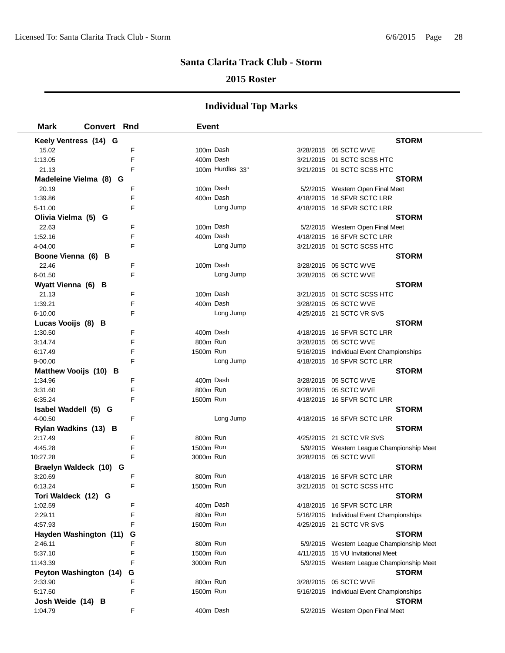### **2015 Roster**

| <b>Mark</b><br><b>Convert Rnd</b> |   | <b>Event</b> |                  |                                           |
|-----------------------------------|---|--------------|------------------|-------------------------------------------|
| Keely Ventress (14) G             |   |              |                  | <b>STORM</b>                              |
| 15.02                             | F | 100m Dash    |                  | 3/28/2015 05 SCTC WVE                     |
| 1:13.05                           | F | 400m Dash    |                  | 3/21/2015 01 SCTC SCSS HTC                |
| 21.13                             | F |              | 100m Hurdles 33" | 3/21/2015 01 SCTC SCSS HTC                |
| Madeleine Vielma (8) G            |   |              |                  | <b>STORM</b>                              |
| 20.19                             | F | 100m Dash    |                  | 5/2/2015 Western Open Final Meet          |
| 1:39.86                           | F | 400m Dash    |                  | 4/18/2015 16 SFVR SCTC LRR                |
| 5-11.00                           | F |              | Long Jump        | 4/18/2015 16 SFVR SCTC LRR                |
| Olivia Vielma (5) G               |   |              |                  | <b>STORM</b>                              |
| 22.63                             | F | 100m Dash    |                  | 5/2/2015 Western Open Final Meet          |
| 1:52.16                           | F | 400m Dash    |                  | 4/18/2015 16 SFVR SCTC LRR                |
| 4-04.00                           | F |              | Long Jump        | 3/21/2015 01 SCTC SCSS HTC                |
| Boone Vienna (6) B                |   |              |                  | <b>STORM</b>                              |
| 22.46                             | F | 100m Dash    |                  | 3/28/2015 05 SCTC WVE                     |
| 6-01.50                           | F |              | Long Jump        | 3/28/2015 05 SCTC WVE                     |
| Wyatt Vienna (6) B                |   |              |                  | <b>STORM</b>                              |
| 21.13                             | F | 100m Dash    |                  | 3/21/2015 01 SCTC SCSS HTC                |
| 1:39.21                           | F | 400m Dash    |                  | 3/28/2015 05 SCTC WVE                     |
| 6-10.00                           | F |              | Long Jump        | 4/25/2015 21 SCTC VR SVS                  |
| Lucas Vooijs (8) B                |   |              |                  | <b>STORM</b>                              |
| 1:30.50                           | F | 400m Dash    |                  | 4/18/2015 16 SFVR SCTC LRR                |
| 3:14.74                           | F | 800m Run     |                  | 3/28/2015 05 SCTC WVE                     |
| 6:17.49                           | F | 1500m Run    |                  | 5/16/2015 Individual Event Championships  |
| $9 - 00.00$                       | F |              | Long Jump        | 4/18/2015 16 SFVR SCTC LRR                |
| Matthew Vooijs (10) B             |   |              |                  | <b>STORM</b>                              |
| 1:34.96                           | F | 400m Dash    |                  | 3/28/2015 05 SCTC WVE                     |
| 3:31.60                           | F | 800m Run     |                  | 3/28/2015 05 SCTC WVE                     |
| 6:35.24                           | F | 1500m Run    |                  | 4/18/2015 16 SFVR SCTC LRR                |
| Isabel Waddell (5) G              |   |              |                  | <b>STORM</b>                              |
| 4-00.50                           | F |              | Long Jump        | 4/18/2015 16 SFVR SCTC LRR                |
| Rylan Wadkins (13) B              |   |              |                  | <b>STORM</b>                              |
| 2:17.49                           | F | 800m Run     |                  | 4/25/2015 21 SCTC VR SVS                  |
| 4:45.28                           | F | 1500m Run    |                  | 5/9/2015 Western League Championship Meet |
| 10:27.28                          | F | 3000m Run    |                  | 3/28/2015 05 SCTC WVE                     |
| Braelyn Waldeck (10) G            |   |              |                  | <b>STORM</b>                              |
| 3:20.69                           | F | 800m Run     |                  | 4/18/2015 16 SFVR SCTC LRR                |
| 6:13.24                           | F | 1500m Run    |                  | 3/21/2015 01 SCTC SCSS HTC                |
| Tori Waldeck (12) G               |   |              |                  | <b>STORM</b>                              |
| 1:02.59                           | F | 400m Dash    |                  | 4/18/2015 16 SFVR SCTC LRR                |
| 2:29.11                           | F | 800m Run     |                  | 5/16/2015 Individual Event Championships  |
| 4:57.93                           | F | 1500m Run    |                  | 4/25/2015 21 SCTC VR SVS                  |
| Hayden Washington (11)            | G |              |                  | <b>STORM</b>                              |
| 2:46.11                           | F | 800m Run     |                  | 5/9/2015 Western League Championship Meet |
| 5:37.10                           | F | 1500m Run    |                  | 4/11/2015 15 VU Invitational Meet         |
| 11:43.39                          | F | 3000m Run    |                  | 5/9/2015 Western League Championship Meet |
| Peyton Washington (14)            | G |              |                  | <b>STORM</b>                              |
| 2:33.90                           | F | 800m Run     |                  | 3/28/2015 05 SCTC WVE                     |
| 5:17.50                           | F | 1500m Run    |                  | 5/16/2015 Individual Event Championships  |
| Josh Weide (14) B                 |   |              |                  | <b>STORM</b>                              |
| 1:04.79                           | F | 400m Dash    |                  | 5/2/2015 Western Open Final Meet          |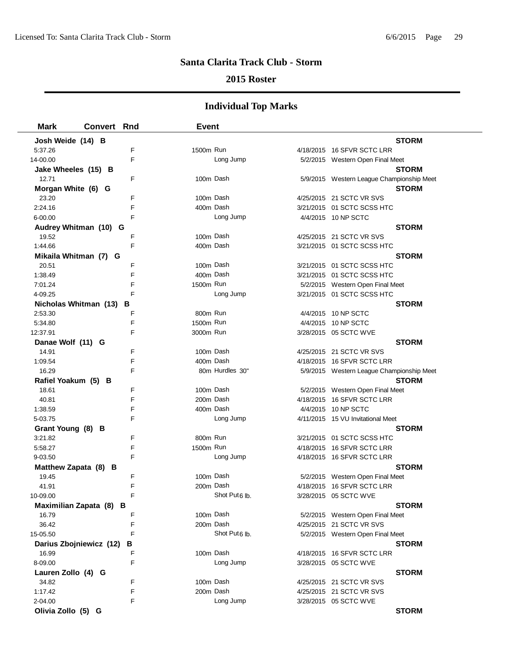### **2015 Roster**

| <b>Mark</b>         | <b>Convert Rnd</b>           |   | Event                     |                                                              |
|---------------------|------------------------------|---|---------------------------|--------------------------------------------------------------|
| Josh Weide (14) B   |                              |   |                           | <b>STORM</b>                                                 |
| 5:37.26             |                              | F | 1500m Run                 | 4/18/2015 16 SFVR SCTC LRR                                   |
| 14-00.00            |                              | F | Long Jump                 | 5/2/2015 Western Open Final Meet                             |
| Jake Wheeles (15) B |                              |   |                           | <b>STORM</b>                                                 |
| 12.71               |                              | F | 100m Dash                 | 5/9/2015 Western League Championship Meet                    |
| Morgan White (6) G  |                              |   |                           | <b>STORM</b>                                                 |
| 23.20               |                              | F | 100m Dash                 | 4/25/2015 21 SCTC VR SVS                                     |
| 2:24.16             |                              | F | 400m Dash                 | 3/21/2015 01 SCTC SCSS HTC                                   |
| 6-00.00             |                              | F | Long Jump                 | 4/4/2015 10 NP SCTC                                          |
|                     | Audrey Whitman (10) G        |   |                           | <b>STORM</b>                                                 |
| 19.52               |                              | F | 100m Dash                 | 4/25/2015 21 SCTC VR SVS                                     |
| 1:44.66             |                              | F | 400m Dash                 | 3/21/2015 01 SCTC SCSS HTC                                   |
|                     | Mikaila Whitman (7) G        |   |                           | <b>STORM</b>                                                 |
| 20.51               |                              | F | 100m Dash                 | 3/21/2015 01 SCTC SCSS HTC                                   |
| 1:38.49             |                              | F | 400m Dash                 | 3/21/2015 01 SCTC SCSS HTC                                   |
| 7:01.24             |                              | F | 1500m Run                 | 5/2/2015 Western Open Final Meet                             |
| 4-09.25             |                              | F | Long Jump                 | 3/21/2015 01 SCTC SCSS HTC                                   |
|                     | Nicholas Whitman (13) B      |   |                           | <b>STORM</b>                                                 |
| 2:53.30             |                              | F | 800m Run                  | 4/4/2015 10 NP SCTC                                          |
| 5:34.80             |                              | F | 1500m Run                 | 4/4/2015 10 NP SCTC                                          |
| 12:37.91            |                              | F | 3000m Run                 | 3/28/2015 05 SCTC WVE                                        |
| Danae Wolf (11) G   |                              |   |                           | <b>STORM</b>                                                 |
| 14.91               |                              | F | 100m Dash                 | 4/25/2015 21 SCTC VR SVS                                     |
| 1:09.54             |                              | F | 400m Dash                 | 4/18/2015 16 SFVR SCTC LRR                                   |
| 16.29               |                              | F | 80m Hurdles 30"           | 5/9/2015 Western League Championship Meet                    |
| Rafiel Yoakum (5) B |                              |   |                           | <b>STORM</b>                                                 |
| 18.61               |                              | F | 100m Dash                 | 5/2/2015 Western Open Final Meet                             |
| 40.81               |                              | F | 200m Dash                 | 4/18/2015 16 SFVR SCTC LRR                                   |
| 1:38.59             |                              | F | 400m Dash                 | 4/4/2015 10 NP SCTC                                          |
| 5-03.75             |                              | F | Long Jump                 | 4/11/2015 15 VU Invitational Meet                            |
| Grant Young (8) B   |                              |   |                           | <b>STORM</b>                                                 |
| 3:21.82             |                              | F | 800m Run                  | 3/21/2015 01 SCTC SCSS HTC                                   |
| 5:58.27             |                              | F | 1500m Run                 | 4/18/2015 16 SFVR SCTC LRR                                   |
| 9-03.50             |                              | F | Long Jump                 | 4/18/2015 16 SFVR SCTC LRR                                   |
|                     | Matthew Zapata (8) B         |   |                           | <b>STORM</b>                                                 |
| 19.45               |                              | F | 100m Dash                 | 5/2/2015 Western Open Final Meet                             |
| 41.91               |                              | F | 200m Dash                 | 4/18/2015 16 SFVR SCTC LRR                                   |
| 10-09.00            |                              |   | Shot Put6 lb.             | 3/28/2015 05 SCTC WVE                                        |
|                     | Maximilian Zapata (8) B      | F | 100m Dash                 | <b>STORM</b>                                                 |
| 16.79               |                              | F | 200m Dash                 | 5/2/2015 Western Open Final Meet<br>4/25/2015 21 SCTC VR SVS |
| 36.42               |                              | F | Shot Put <sub>6</sub> lb. |                                                              |
| 15-05.50            |                              |   |                           | 5/2/2015 Western Open Final Meet                             |
| 16.99               | Darius Zbojniewicz (12)<br>В | F | 100m Dash                 | <b>STORM</b>                                                 |
| 8-09.00             |                              | F | Long Jump                 | 4/18/2015 16 SFVR SCTC LRR<br>3/28/2015 05 SCTC WVE          |
| Lauren Zollo (4) G  |                              |   |                           | <b>STORM</b>                                                 |
| 34.82               |                              | F | 100m Dash                 | 4/25/2015 21 SCTC VR SVS                                     |
| 1:17.42             |                              | F | 200m Dash                 | 4/25/2015 21 SCTC VR SVS                                     |
| 2-04.00             |                              | F | Long Jump                 | 3/28/2015 05 SCTC WVE                                        |
| Olivia Zollo (5) G  |                              |   |                           | <b>STORM</b>                                                 |
|                     |                              |   |                           |                                                              |